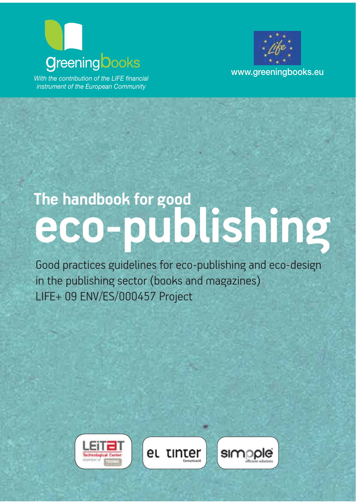## **www.greeningbooks.com**<br>With the contribution of the LIFE financial

*instrument of the European Community*



## **The handbook for good eco-publishing**

Good practices guidelines for eco-publishing and eco-design in the publishing sector (books and magazines) LIFE+ 09 ENV/ES/000457 Project

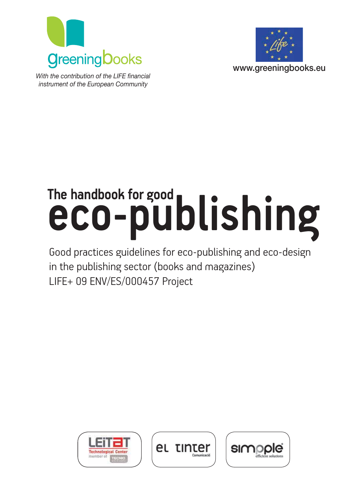



*With the contribution of the LIFE financial*  $P$ instrument of the European Community

# The handbook for good<br> **eco-publishing**

Good practices guidelines for eco-publishing and eco-design in the publishing sector (books and magazines) LIFE+ 09 ENV/ES/000457 Project





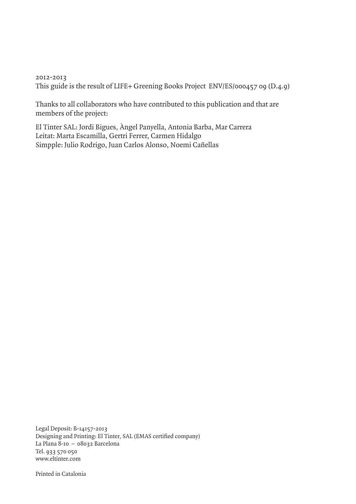2012-2013 This guide is the result of LIFE+ Greening Books Project ENV/ES/000457 09 (D.4.9)

Thanks to all collaborators who have contributed to this publication and that are members of the project:

El Tinter SAL: Jordi Bigues, Àngel Panyella, Antonia Barba, Mar Carrera Leitat: Marta Escamilla, Gertri Ferrer, Carmen Hidalgo Simpple: Julio Rodrigo, Juan Carlos Alonso, Noemi Cañellas

Legal Deposit: B-14157-2013 Designing and Printing: El Tinter, SAL (EMAS certified company) La Plana 8-10 – 08032 Barcelona Tel. 933 570 050 www.eltinter.com

Printed in Catalonia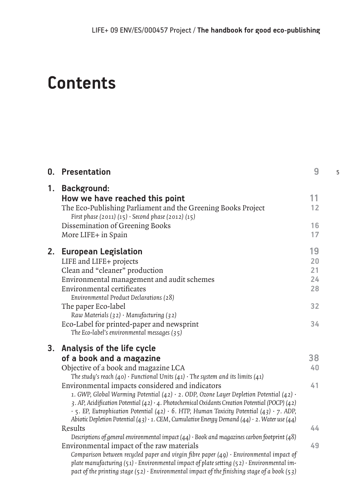5

## **Contents**

|    | <b>0.</b> Presentation                                                                                                                                                                                                                                                                                                                                                                                                                                                                                                                                                                                                                                                                                                                                                                                     | 9                                      |
|----|------------------------------------------------------------------------------------------------------------------------------------------------------------------------------------------------------------------------------------------------------------------------------------------------------------------------------------------------------------------------------------------------------------------------------------------------------------------------------------------------------------------------------------------------------------------------------------------------------------------------------------------------------------------------------------------------------------------------------------------------------------------------------------------------------------|----------------------------------------|
| 1. | <b>Background:</b><br>How we have reached this point<br>The Eco-Publishing Parliament and the Greening Books Project<br>First phase (2011) (15) · Second phase (2012) (15)<br>Dissemination of Greening Books                                                                                                                                                                                                                                                                                                                                                                                                                                                                                                                                                                                              | 11<br>12<br>16                         |
|    | More LIFE+ in Spain                                                                                                                                                                                                                                                                                                                                                                                                                                                                                                                                                                                                                                                                                                                                                                                        | 17                                     |
| 2. | <b>European Legislation</b><br>LIFE and LIFE+ projects<br>Clean and "cleaner" production<br>Environmental management and audit schemes<br><b>Environmental certificates</b><br>Environmental Product Declarations (28)<br>The paper Eco-label<br>Raw Materials (32) · Manufacturing (32)<br>Eco-Label for printed-paper and newsprint<br>The Eco-label's environmental messages $(35)$                                                                                                                                                                                                                                                                                                                                                                                                                     | 19<br>20<br>21<br>24<br>28<br>32<br>34 |
|    | 3. Analysis of the life cycle<br>of a book and a magazine<br>Objective of a book and magazine LCA<br>The study's reach (40) $\cdot$ Functional Units (41) $\cdot$ The system and its limits (41)<br>Environmental impacts considered and indicators<br>1. GWP, Global Warming Potential (42) $\cdot$ 2. ODP, Ozone Layer Depletion Potential (42) $\cdot$<br>3. AP, Acidification Potential (42) $\cdot$ 4. Photochemical Oxidants Creation Potential (POCP) (42)<br>$\cdot$ 5. EP, Eutrophication Potential (42) $\cdot$ 6. HTP, Human Toxicity Potential (43) $\cdot$ 7. ADP,<br>Abiotic Depletion Potential (43) $\cdot$ 1. CEM, Cumulative Energy Demand (44) $\cdot$ 2. Water use (44)<br>Results<br>Descriptions of general environmental impact $(44)$ · Book and magazines carbon footprint $(48)$ | 38<br>40<br>41<br>44                   |
|    | Environmental impact of the raw materials<br>Comparison between recycled paper and virgin fibre paper $(49) \cdot$ Environmental impact of<br>plate manufacturing $(51) \cdot$ Environmental impact of plate setting $(52) \cdot$ Environmental im-<br>pact of the printing stage (52) $\cdot$ Environmental impact of the finishing stage of a book (53)                                                                                                                                                                                                                                                                                                                                                                                                                                                  | 49                                     |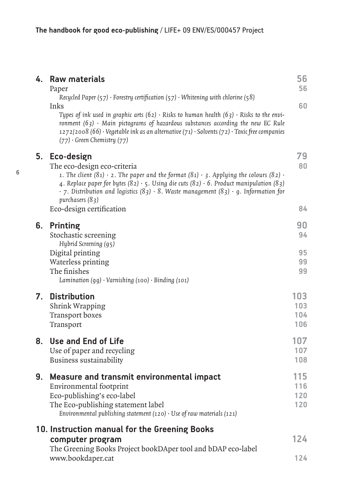| 4. | <b>Raw materials</b><br>Paper                                                                                                                                                                                                                                                                                                                                                                                                           | 56<br>56                 |
|----|-----------------------------------------------------------------------------------------------------------------------------------------------------------------------------------------------------------------------------------------------------------------------------------------------------------------------------------------------------------------------------------------------------------------------------------------|--------------------------|
|    | Recycled Paper $(57)$ · Forestry certification $(57)$ · Whitening with chlorine $(58)$<br>Inks<br>Types of ink used in graphic arts (62) $\cdot$ Risks to human health (63) $\cdot$ Risks to the envi-<br>ronment $(63)$ · Main pictograms of hazardous substances according the new EC Rule<br>1272/2008 (66) · Vegetable ink as an alternative $(71)$ · Solvents $(72)$ · Toxic free companies<br>$(77) \cdot$ Green Chemistry $(77)$ | 60                       |
| 5. | Eco-design<br>The eco-design eco-criteria<br>1. The client $(81) \cdot 2$ . The paper and the format $(81) \cdot 3$ . Applying the colours $(82) \cdot$<br>4. Replace paper for bytes $(82) \cdot 5$ . Using die cuts $(82) \cdot 6$ . Product manipulation $(83)$<br>$\cdot$ 7. Distribution and logistics (83) $\cdot$ 8. Waste management (83) $\cdot$ 9. Information for<br>purchasers $(83)$<br>Eco-design certification           | 79<br>80<br>84           |
| 6. | <b>Printing</b><br>Stochastic screening                                                                                                                                                                                                                                                                                                                                                                                                 | 90<br>94                 |
|    | Hybrid Screening (95)<br>Digital printing<br>Waterless printing<br>The finishes<br>Lamination $(gg) \cdot$ Varnishing $(100) \cdot$ Binding $(101)$                                                                                                                                                                                                                                                                                     | 95<br>99<br>99           |
| 7. | <b>Distribution</b><br><b>Shrink Wrapping</b><br><b>Transport boxes</b><br>Transport                                                                                                                                                                                                                                                                                                                                                    | 103<br>103<br>104<br>106 |
| 8. | Use and End of Life<br>Use of paper and recycling<br>Business sustainability                                                                                                                                                                                                                                                                                                                                                            | 107<br>107<br>108        |
| 9. | Measure and transmit environmental impact<br>Environmental footprint<br>Eco-publishing's eco-label<br>The Eco-publishing statement label<br>Environmental publishing statement $(120) \cdot$ Use of raw materials $(121)$                                                                                                                                                                                                               | 115<br>116<br>120<br>120 |
|    | 10. Instruction manual for the Greening Books<br>computer program<br>The Greening Books Project bookDAper tool and bDAP eco-label                                                                                                                                                                                                                                                                                                       | 124                      |
|    | www.bookdaper.cat                                                                                                                                                                                                                                                                                                                                                                                                                       | 124                      |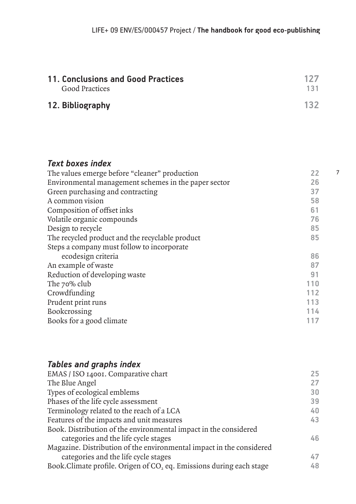7

| 11. Conclusions and Good Practices | 127 |
|------------------------------------|-----|
| <b>Good Practices</b>              | 131 |
| 12. Bibliography                   | 132 |

#### *Text boxes index*

| The values emerge before "cleaner" production        | 22  |
|------------------------------------------------------|-----|
| Environmental management schemes in the paper sector | 26  |
| Green purchasing and contracting                     | 37  |
| A common vision                                      | 58  |
| Composition of offset inks                           | 61  |
| Volatile organic compounds                           | 76  |
| Design to recycle                                    | 85  |
| The recycled product and the recyclable product      | 85  |
| Steps a company must follow to incorporate           |     |
| ecodesign criteria                                   | 86  |
| An example of waste                                  | 87  |
| Reduction of developing waste                        | 91  |
| The 70% club                                         | 110 |
| Crowdfunding                                         | 112 |
| Prudent print runs                                   | 113 |
| <b>Bookcrossing</b>                                  | 114 |
| Books for a good climate                             | 117 |

#### *Tables and graphs index*

| EMAS / ISO 14001. Comparative chart                                  | 25 |
|----------------------------------------------------------------------|----|
| The Blue Angel                                                       | 27 |
| Types of ecological emblems                                          | 30 |
| Phases of the life cycle assessment                                  | 39 |
| Terminology related to the reach of a LCA                            | 40 |
| Features of the impacts and unit measures                            | 43 |
| Book. Distribution of the environmental impact in the considered     |    |
| categories and the life cycle stages                                 | 46 |
| Magazine. Distribution of the environmental impact in the considered |    |
| categories and the life cycle stages                                 | 47 |
| Book. Climate profile. Origen of CO, eq. Emissions during each stage | 48 |
|                                                                      |    |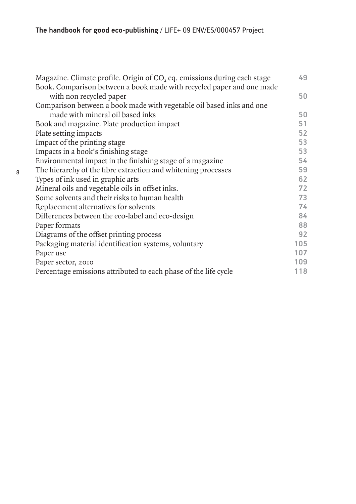| Magazine. Climate profile. Origin of $CO2$ eq. emissions during each stage | 49  |
|----------------------------------------------------------------------------|-----|
| Book. Comparison between a book made with recycled paper and one made      |     |
| with non recycled paper                                                    | 50  |
| Comparison between a book made with vegetable oil based inks and one       |     |
| made with mineral oil based inks                                           | 50  |
| Book and magazine. Plate production impact                                 | 51  |
| Plate setting impacts                                                      | 52  |
| Impact of the printing stage                                               | 53  |
| Impacts in a book's finishing stage                                        | 53  |
| Environmental impact in the finishing stage of a magazine                  | 54  |
| The hierarchy of the fibre extraction and whitening processes              | 59  |
| Types of ink used in graphic arts                                          | 62  |
| Mineral oils and vegetable oils in offset inks.                            | 72  |
| Some solvents and their risks to human health                              | 73  |
| Replacement alternatives for solvents                                      | 74  |
| Differences between the eco-label and eco-design                           | 84  |
| Paper formats                                                              | 88  |
| Diagrams of the offset printing process                                    | 92  |
| Packaging material identification systems, voluntary                       | 105 |
| Paper use                                                                  | 107 |
| Paper sector, 2010                                                         | 109 |
| Percentage emissions attributed to each phase of the life cycle            | 118 |

8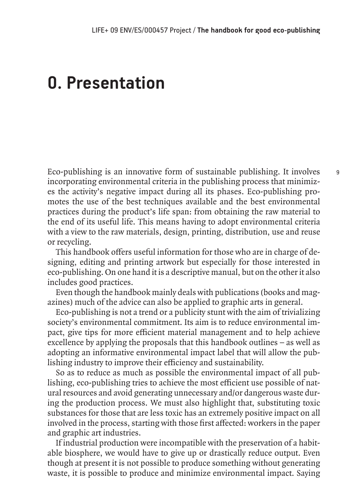### **0. Presentation**

Eco-publishing is an innovative form of sustainable publishing. It involves incorporating environmental criteria in the publishing process that minimizes the activity's negative impact during all its phases. Eco-publishing promotes the use of the best techniques available and the best environmental practices during the product's life span: from obtaining the raw material to the end of its useful life. This means having to adopt environmental criteria with a view to the raw materials, design, printing, distribution, use and reuse or recycling.

This handbook offers useful information for those who are in charge of designing, editing and printing artwork but especially for those interested in eco-publishing. On one hand it is a descriptive manual, but on the other it also includes good practices.

Even though the handbook mainly deals with publications (books and magazines) much of the advice can also be applied to graphic arts in general.

Eco-publishing is not a trend or a publicity stunt with the aim of trivializing society's environmental commitment. Its aim is to reduce environmental impact, give tips for more efficient material management and to help achieve excellence by applying the proposals that this handbook outlines – as well as adopting an informative environmental impact label that will allow the publishing industry to improve their efficiency and sustainability.

So as to reduce as much as possible the environmental impact of all publishing, eco-publishing tries to achieve the most efficient use possible of natural resources and avoid generating unnecessary and/or dangerous waste during the production process. We must also highlight that, substituting toxic substances for those that are less toxic has an extremely positive impact on all involved in the process, starting with those first affected: workers in the paper and graphic art industries.

If industrial production were incompatible with the preservation of a habitable biosphere, we would have to give up or drastically reduce output. Even though at present it is not possible to produce something without generating waste, it is possible to produce and minimize environmental impact. Saying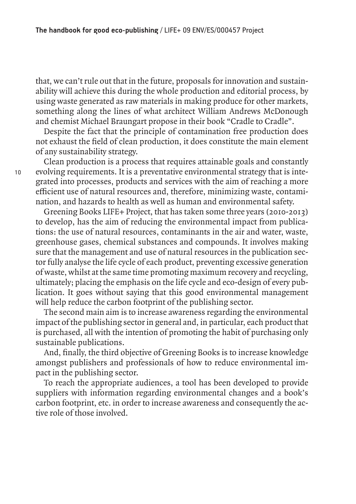that, we can't rule out that in the future, proposals for innovation and sustainability will achieve this during the whole production and editorial process, by using waste generated as raw materials in making produce for other markets, something along the lines of what architect William Andrews McDonough and chemist Michael Braungart propose in their book "Cradle to Cradle".

Despite the fact that the principle of contamination free production does not exhaust the field of clean production, it does constitute the main element of any sustainability strategy.

Clean production is a process that requires attainable goals and constantly evolving requirements. It is a preventative environmental strategy that is integrated into processes, products and services with the aim of reaching a more efficient use of natural resources and, therefore, minimizing waste, contamination, and hazards to health as well as human and environmental safety.

Greening Books LIFE+ Project, that has taken some three years (2010-2013) to develop, has the aim of reducing the environmental impact from publications: the use of natural resources, contaminants in the air and water, waste, greenhouse gases, chemical substances and compounds. It involves making sure that the management and use of natural resources in the publication sector fully analyse the life cycle of each product, preventing excessive generation of waste, whilst at the same time promoting maximum recovery and recycling, ultimately; placing the emphasis on the life cycle and eco-design of every publication. It goes without saying that this good environmental management will help reduce the carbon footprint of the publishing sector.

The second main aim is to increase awareness regarding the environmental impact of the publishing sector in general and, in particular, each product that is purchased, all with the intention of promoting the habit of purchasing only sustainable publications.

And, finally, the third objective of Greening Books is to increase knowledge amongst publishers and professionals of how to reduce environmental impact in the publishing sector.

To reach the appropriate audiences, a tool has been developed to provide suppliers with information regarding environmental changes and a book's carbon footprint, etc. in order to increase awareness and consequently the active role of those involved.

10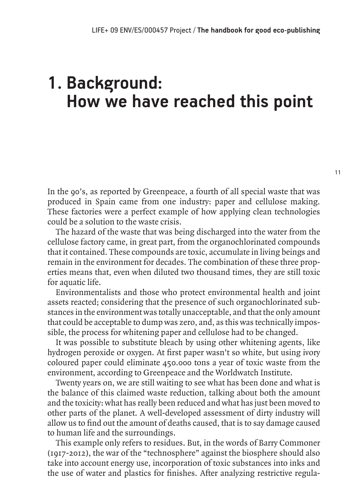## **1. Background: How we have reached this point**

In the 90's, as reported by Greenpeace, a fourth of all special waste that was produced in Spain came from one industry: paper and cellulose making. These factories were a perfect example of how applying clean technologies could be a solution to the waste crisis.

The hazard of the waste that was being discharged into the water from the cellulose factory came, in great part, from the organochlorinated compounds that it contained. These compounds are toxic, accumulate in living beings and remain in the environment for decades. The combination of these three properties means that, even when diluted two thousand times, they are still toxic for aquatic life.

Environmentalists and those who protect environmental health and joint assets reacted; considering that the presence of such organochlorinated substances in the environment was totally unacceptable, and that the only amount that could be acceptable to dump was zero, and, as this was technically impossible, the process for whitening paper and cellulose had to be changed.

It was possible to substitute bleach by using other whitening agents, like hydrogen peroxide or oxygen. At first paper wasn't so white, but using ivory coloured paper could eliminate 450.000 tons a year of toxic waste from the environment, according to Greenpeace and the Worldwatch Institute.

Twenty years on, we are still waiting to see what has been done and what is the balance of this claimed waste reduction, talking about both the amount and the toxicity: what has really been reduced and what has just been moved to other parts of the planet. A well-developed assessment of dirty industry will allow us to find out the amount of deaths caused, that is to say damage caused to human life and the surroundings.

This example only refers to residues. But, in the words of Barry Commoner (1917-2012), the war of the "technosphere" against the biosphere should also take into account energy use, incorporation of toxic substances into inks and the use of water and plastics for finishes. After analyzing restrictive regula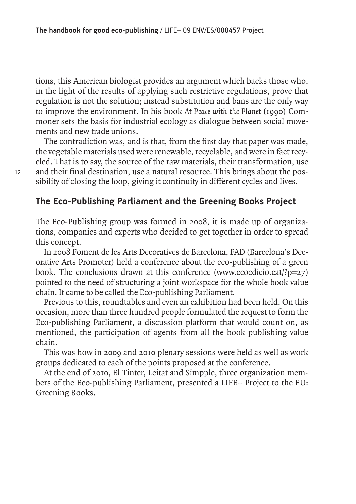tions, this American biologist provides an argument which backs those who, in the light of the results of applying such restrictive regulations, prove that regulation is not the solution; instead substitution and bans are the only way to improve the environment. In his book *At Peace with the Planet* (1990) Commoner sets the basis for industrial ecology as dialogue between social movements and new trade unions.

The contradiction was, and is that, from the first day that paper was made, the vegetable materials used were renewable, recyclable, and were in fact recycled. That is to say, the source of the raw materials, their transformation, use and their final destination, use a natural resource. This brings about the possibility of closing the loop, giving it continuity in different cycles and lives.

#### **The Eco-Publishing Parliament and the Greening Books Project**

The Eco-Publishing group was formed in 2008, it is made up of organizations, companies and experts who decided to get together in order to spread this concept.

In 2008 Foment de les Arts Decoratives de Barcelona, FAD (Barcelona's Decorative Arts Promoter) held a conference about the eco-publishing of a green book. The conclusions drawn at this conference (www.ecoedicio.cat/?p=27) pointed to the need of structuring a joint workspace for the whole book value chain. It came to be called the Eco-publishing Parliament.

Previous to this, roundtables and even an exhibition had been held. On this occasion, more than three hundred people formulated the request to form the Eco-publishing Parliament, a discussion platform that would count on, as mentioned, the participation of agents from all the book publishing value chain.

This was how in 2009 and 2010 plenary sessions were held as well as work groups dedicated to each of the points proposed at the conference.

At the end of 2010, El Tinter, Leitat and Simpple, three organization members of the Eco-publishing Parliament, presented a LIFE+ Project to the EU: Greening Books.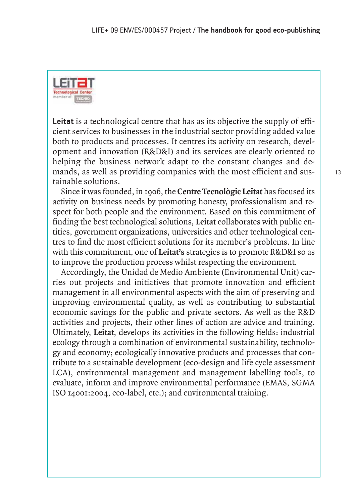

**Leitat** is a technological centre that has as its objective the supply of efficient services to businesses in the industrial sector providing added value both to products and processes. It centres its activity on research, development and innovation (R&D&I) and its services are clearly oriented to helping the business network adapt to the constant changes and demands, as well as providing companies with the most efficient and sustainable solutions.

Since it was founded, in 1906, the **Centre Tecnològic Leitat** has focused its activity on business needs by promoting honesty, professionalism and respect for both people and the environment. Based on this commitment of finding the best technological solutions, **Leitat** collaborates with public entities, government organizations, universities and other technological centres to find the most efficient solutions for its member's problems. In line with this commitment, one of **Leitat's** strategies is to promote R&D&I so as to improve the production process whilst respecting the environment.

Accordingly, the Unidad de Medio Ambiente (Environmental Unit) carries out projects and initiatives that promote innovation and efficient management in all environmental aspects with the aim of preserving and improving environmental quality, as well as contributing to substantial economic savings for the public and private sectors. As well as the R&D activities and projects, their other lines of action are advice and training. Ultimately, **Leitat**, develops its activities in the following fields: industrial ecology through a combination of environmental sustainability, technology and economy; ecologically innovative products and processes that contribute to a sustainable development (eco-design and life cycle assessment LCA), environmental management and management labelling tools, to evaluate, inform and improve environmental performance (EMAS, SGMA ISO 14001:2004, eco-label, etc.); and environmental training.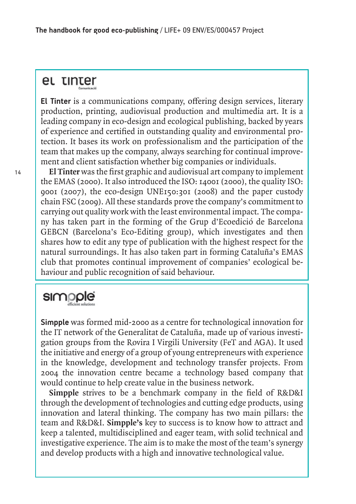#### et tinter

**El Tinter** is a communications company, offering design services, literary production, printing, audiovisual production and multimedia art. It is a leading company in eco-design and ecological publishing, backed by years of experience and certified in outstanding quality and environmental protection. It bases its work on professionalism and the participation of the team that makes up the company, always searching for continual improvement and client satisfaction whether big companies or individuals.

**El Tinter** was the first graphic and audiovisual art company to implement the EMAS (2000). It also introduced the ISO: 14001 (2000), the quality ISO: 9001 (2007), the eco-design UNE150:301 (2008) and the paper custody chain FSC (2009). All these standards prove the company's commitment to carrying out quality work with the least environmental impact. The company has taken part in the forming of the Grup d'Ecoedició de Barcelona GEBCN (Barcelona's Eco-Editing group), which investigates and then shares how to edit any type of publication with the highest respect for the natural surroundings. It has also taken part in forming Cataluña's EMAS club that promotes continual improvement of companies' ecological behaviour and public recognition of said behaviour.

### simpple

**Simpple** was formed mid-2000 as a centre for technological innovation for the IT network of the Generalitat de Cataluña, made up of various investigation groups from the Rovira I Virgili University (FeT and AGA). It used the initiative and energy of a group of young entrepreneurs with experience in the knowledge, development and technology transfer projects. From 2004 the innovation centre became a technology based company that would continue to help create value in the business network.

**Simpple** strives to be a benchmark company in the field of R&D&I through the development of technologies and cutting edge products, using innovation and lateral thinking. The company has two main pillars: the team and R&D&I. **Simpple's** key to success is to know how to attract and keep a talented, multidisciplined and eager team, with solid technical and investigative experience. The aim is to make the most of the team's synergy and develop products with a high and innovative technological value.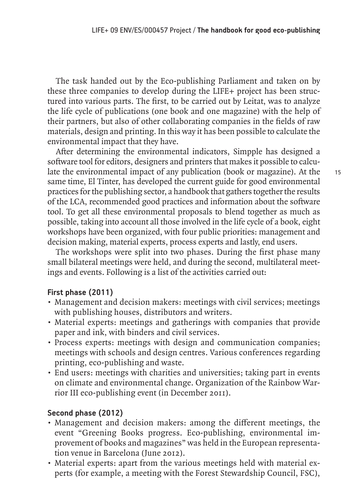The task handed out by the Eco-publishing Parliament and taken on by these three companies to develop during the LIFE+ project has been structured into various parts. The first, to be carried out by Leitat, was to analyze the life cycle of publications (one book and one magazine) with the help of their partners, but also of other collaborating companies in the fields of raw materials, design and printing. In this way it has been possible to calculate the environmental impact that they have.

After determining the environmental indicators, Simpple has designed a software tool for editors, designers and printers that makes it possible to calculate the environmental impact of any publication (book or magazine). At the same time, El Tinter, has developed the current guide for good environmental practices for the publishing sector, a handbook that gathers together the results of the LCA, recommended good practices and information about the software tool. To get all these environmental proposals to blend together as much as possible, taking into account all those involved in the life cycle of a book, eight workshops have been organized, with four public priorities: management and decision making, material experts, process experts and lastly, end users.

The workshops were split into two phases. During the first phase many small bilateral meetings were held, and during the second, multilateral meetings and events. Following is a list of the activities carried out:

#### **First phase (2011)**

- Management and decision makers: meetings with civil services; meetings with publishing houses, distributors and writers.
- Material experts: meetings and gatherings with companies that provide paper and ink, with binders and civil services.
- Process experts: meetings with design and communication companies; meetings with schools and design centres. Various conferences regarding printing, eco-publishing and waste.
- End users: meetings with charities and universities; taking part in events on climate and environmental change. Organization of the Rainbow Warrior III eco-publishing event (in December 2011).

#### **Second phase (2012)**

- Management and decision makers: among the different meetings, the event "Greening Books progress. Eco-publishing, environmental improvement of books and magazines" was held in the European representation venue in Barcelona (June 2012).
- Material experts: apart from the various meetings held with material experts (for example, a meeting with the Forest Stewardship Council, FSC),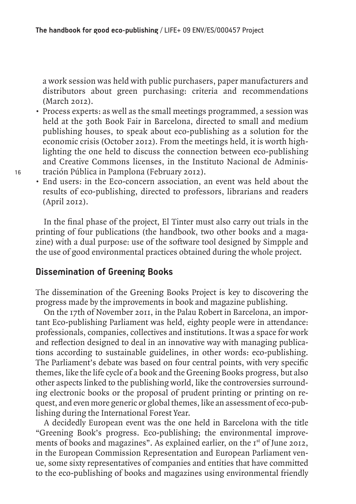a work session was held with public purchasers, paper manufacturers and distributors about green purchasing: criteria and recommendations (March 2012).

- Process experts: as well as the small meetings programmed, a session was held at the 30th Book Fair in Barcelona, directed to small and medium publishing houses, to speak about eco-publishing as a solution for the economic crisis (October 2012). From the meetings held, it is worth highlighting the one held to discuss the connection between eco-publishing and Creative Commons licenses, in the Instituto Nacional de Administración Pública in Pamplona (February 2012).
- End users: in the Eco-concern association, an event was held about the results of eco-publishing, directed to professors, librarians and readers (April 2012).

In the final phase of the project, El Tinter must also carry out trials in the printing of four publications (the handbook, two other books and a magazine) with a dual purpose: use of the software tool designed by Simpple and the use of good environmental practices obtained during the whole project.

#### **Dissemination of Greening Books**

The dissemination of the Greening Books Project is key to discovering the progress made by the improvements in book and magazine publishing.

On the 17th of November 2011, in the Palau Robert in Barcelona, an important Eco-publishing Parliament was held, eighty people were in attendance: professionals, companies, collectives and institutions. It was a space for work and reflection designed to deal in an innovative way with managing publications according to sustainable guidelines, in other words: eco-publishing. The Parliament's debate was based on four central points, with very specific themes, like the life cycle of a book and the Greening Books progress, but also other aspects linked to the publishing world, like the controversies surrounding electronic books or the proposal of prudent printing or printing on request, and even more generic or global themes, like an assessment of eco-publishing during the International Forest Year.

A decidedly European event was the one held in Barcelona with the title "Greening Book's progress. Eco-publishing; the environmental improvements of books and magazines". As explained earlier, on the  $I<sup>st</sup>$  of June 2012, in the European Commission Representation and European Parliament venue, some sixty representatives of companies and entities that have committed to the eco-publishing of books and magazines using environmental friendly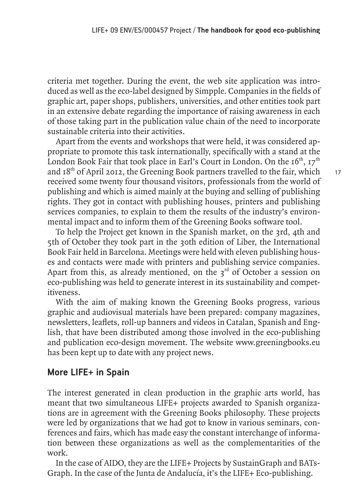criteria met together. During the event, the web site application was introduced as well as the eco-label designed by Simpple. Companies in the fields of graphic art, paper shops, publishers, universities, and other entities took part in an extensive debate regarding the importance of raising awareness in each of those taking part in the publication value chain of the need to incorporate sustainable criteria into their activities.

Apart from the events and workshops that were held, it was considered appropriate to promote this task internationally, specifically with a stand at the London Book Fair that took place in Earl's Court in London. On the  $16<sup>th</sup>$ ,  $17<sup>th</sup>$ and 18<sup>th</sup> of April 2012, the Greening Book partners travelled to the fair, which received some twenty four thousand visitors, professionals from the world of publishing and which is aimed mainly at the buying and selling of publishing rights. They got in contact with publishing houses, printers and publishing services companies, to explain to them the results of the industry's environmental impact and to inform them of the Greening Books software tool.

To help the Project get known in the Spanish market, on the 3rd, 4th and 5th of October they took part in the 30th edition of Liber, the International Book Fair held in Barcelona. Meetings were held with eleven publishing houses and contacts were made with printers and publishing service companies. Apart from this, as already mentioned, on the  $3<sup>rd</sup>$  of October a session on eco-publishing was held to generate interest in its sustainability and competitiveness.

With the aim of making known the Greening Books progress, various graphic and audiovisual materials have been prepared: company magazines, newsletters, leaflets, roll-up banners and videos in Catalan, Spanish and English, that have been distributed among those involved in the eco-publishing and publication eco-design movement. The website www.greeningbooks.eu has been kept up to date with any project news.

#### **More LIFE+ in Spain**

The interest generated in clean production in the graphic arts world, has meant that two simultaneous LIFE+ projects awarded to Spanish organizations are in agreement with the Greening Books philosophy. These projects were led by organizations that we had got to know in various seminars, conferences and fairs, which has made easy the constant interchange of information between these organizations as well as the complementarities of the work.

In the case of AIDO, they are the LIFE+ Projects by SustainGraph and BATs-Graph. In the case of the Junta de Andalucía, it's the LIFE+ Eco-publishing.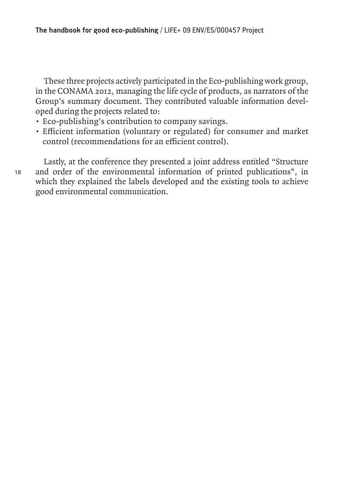These three projects actively participated in the Eco-publishing work group, in the CONAMA 2012, managing the life cycle of products, as narrators of the Group's summary document. They contributed valuable information developed during the projects related to:

- Eco-publishing's contribution to company savings.
- Efficient information (voluntary or regulated) for consumer and market control (recommendations for an efficient control).

Lastly, at the conference they presented a joint address entitled "Structure and order of the environmental information of printed publications", in which they explained the labels developed and the existing tools to achieve good environmental communication.

18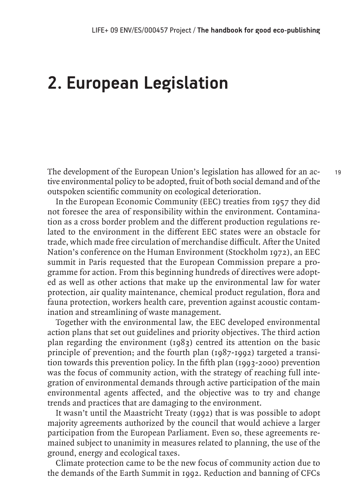## **2. European Legislation**

The development of the European Union's legislation has allowed for an active environmental policy to be adopted, fruit of both social demand and of the outspoken scientific community on ecological deterioration.

In the European Economic Community (EEC) treaties from 1957 they did not foresee the area of responsibility within the environment. Contamination as a cross border problem and the different production regulations related to the environment in the different EEC states were an obstacle for trade, which made free circulation of merchandise difficult. After the United Nation's conference on the Human Environment (Stockholm 1972), an EEC summit in Paris requested that the European Commission prepare a programme for action. From this beginning hundreds of directives were adopted as well as other actions that make up the environmental law for water protection, air quality maintenance, chemical product regulation, flora and fauna protection, workers health care, prevention against acoustic contamination and streamlining of waste management.

Together with the environmental law, the EEC developed environmental action plans that set out guidelines and priority objectives. The third action plan regarding the environment (1983) centred its attention on the basic principle of prevention; and the fourth plan (1987-1992) targeted a transition towards this prevention policy. In the fifth plan (1993-2000) prevention was the focus of community action, with the strategy of reaching full integration of environmental demands through active participation of the main environmental agents affected, and the objective was to try and change trends and practices that are damaging to the environment.

It wasn't until the Maastricht Treaty (1992) that is was possible to adopt majority agreements authorized by the council that would achieve a larger participation from the European Parliament. Even so, these agreements remained subject to unanimity in measures related to planning, the use of the ground, energy and ecological taxes.

Climate protection came to be the new focus of community action due to the demands of the Earth Summit in 1992. Reduction and banning of CFCs

19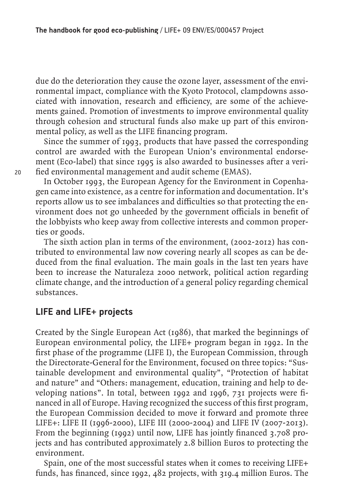due do the deterioration they cause the ozone layer, assessment of the environmental impact, compliance with the Kyoto Protocol, clampdowns associated with innovation, research and efficiency, are some of the achievements gained. Promotion of investments to improve environmental quality through cohesion and structural funds also make up part of this environmental policy, as well as the LIFE financing program.

Since the summer of 1993, products that have passed the corresponding control are awarded with the European Union's environmental endorsement (Eco-label) that since 1995 is also awarded to businesses after a verified environmental management and audit scheme (EMAS).

In October 1993, the European Agency for the Environment in Copenhagen came into existence, as a centre for information and documentation. It's reports allow us to see imbalances and difficulties so that protecting the environment does not go unheeded by the government officials in benefit of the lobbyists who keep away from collective interests and common properties or goods.

The sixth action plan in terms of the environment, (2002-2012) has contributed to environmental law now covering nearly all scopes as can be deduced from the final evaluation. The main goals in the last ten years have been to increase the Naturaleza 2000 network, political action regarding climate change, and the introduction of a general policy regarding chemical substances.

#### **LIFE and LIFE+ projects**

Created by the Single European Act (1986), that marked the beginnings of European environmental policy, the LIFE+ program began in 1992. In the first phase of the programme (LIFE I), the European Commission, through the Directorate-General for the Environment, focused on three topics: "Sustainable development and environmental quality", "Protection of habitat and nature" and "Others: management, education, training and help to developing nations". In total, between 1992 and 1996, 731 projects were financed in all of Europe. Having recognized the success of this first program, the European Commission decided to move it forward and promote three LIFE+: LIFE II (1996-2000), LIFE III (2000-2004) and LIFE IV (2007-2013). From the beginning (1992) until now, LIFE has jointly financed 3.708 projects and has contributed approximately 2.8 billion Euros to protecting the environment.

Spain, one of the most successful states when it comes to receiving LIFE+ funds, has financed, since 1992, 482 projects, with 319.4 million Euros. The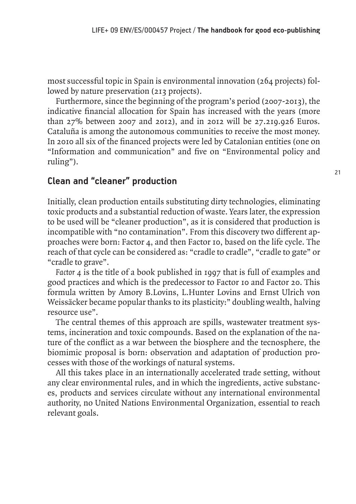most successful topic in Spain is environmental innovation (264 projects) followed by nature preservation (213 projects).

Furthermore, since the beginning of the program's period (2007-2013), the indicative financial allocation for Spain has increased with the years (more than 27% between 2007 and 2012), and in 2012 will be 27.219.926 Euros. Cataluña is among the autonomous communities to receive the most money. In 2010 all six of the financed projects were led by Catalonian entities (one on "Information and communication" and five on "Environmental policy and ruling").

#### **Clean and "cleaner" production**

Initially, clean production entails substituting dirty technologies, eliminating toxic products and a substantial reduction of waste. Years later, the expression to be used will be "cleaner production", as it is considered that production is incompatible with "no contamination". From this discovery two different approaches were born: Factor 4, and then Factor 10, based on the life cycle. The reach of that cycle can be considered as: "cradle to cradle", "cradle to gate" or "cradle to grave".

*Factor 4* is the title of a book published in 1997 that is full of examples and good practices and which is the predecessor to Factor 10 and Factor 20. This formula written by Amory B.Lovins, L.Hunter Lovins and Ernst Ulrich von Weissäcker became popular thanks to its plasticity:" doubling wealth, halving resource use".

The central themes of this approach are spills, wastewater treatment systems, incineration and toxic compounds. Based on the explanation of the nature of the conflict as a war between the biosphere and the tecnosphere, the biomimic proposal is born: observation and adaptation of production processes with those of the workings of natural systems.

All this takes place in an internationally accelerated trade setting, without any clear environmental rules, and in which the ingredients, active substances, products and services circulate without any international environmental authority, no United Nations Environmental Organization, essential to reach relevant goals.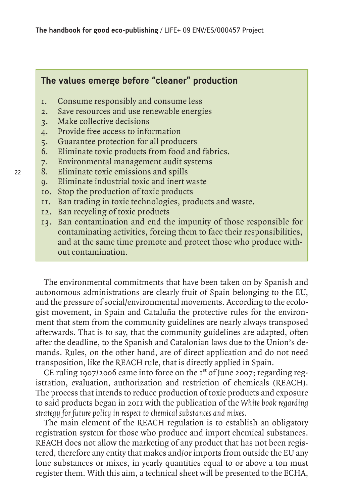#### **The values emerge before "cleaner" production**

- 1. Consume responsibly and consume less
- 2. Save resources and use renewable energies
- 3. Make collective decisions
- 4. Provide free access to information
- 5. Guarantee protection for all producers
- 6. Eliminate toxic products from food and fabrics.
- 7. Environmental management audit systems
- 8. Eliminate toxic emissions and spills
- 9. Eliminate industrial toxic and inert waste
- 10. Stop the production of toxic products
- 11. Ban trading in toxic technologies, products and waste.
- 12. Ban recycling of toxic products
- 13. Ban contamination and end the impunity of those responsible for contaminating activities, forcing them to face their responsibilities, and at the same time promote and protect those who produce without contamination.

The environmental commitments that have been taken on by Spanish and autonomous administrations are clearly fruit of Spain belonging to the EU, and the pressure of social/environmental movements. According to the ecologist movement, in Spain and Cataluña the protective rules for the environment that stem from the community guidelines are nearly always transposed afterwards. That is to say, that the community guidelines are adapted, often after the deadline, to the Spanish and Catalonian laws due to the Union's demands. Rules, on the other hand, are of direct application and do not need transposition, like the REACH rule, that is directly applied in Spain.

CE ruling 1907/2006 came into force on the  $I<sup>st</sup>$  of June 2007; regarding registration, evaluation, authorization and restriction of chemicals (REACH). The process that intends to reduce production of toxic products and exposure to said products began in 2011 with the publication of the *White book regarding strategy for future policy in respect to chemical substances and mixes.*

The main element of the REACH regulation is to establish an obligatory registration system for those who produce and import chemical substances. REACH does not allow the marketing of any product that has not been registered, therefore any entity that makes and/or imports from outside the EU any lone substances or mixes, in yearly quantities equal to or above a ton must register them. With this aim, a technical sheet will be presented to the ECHA,

22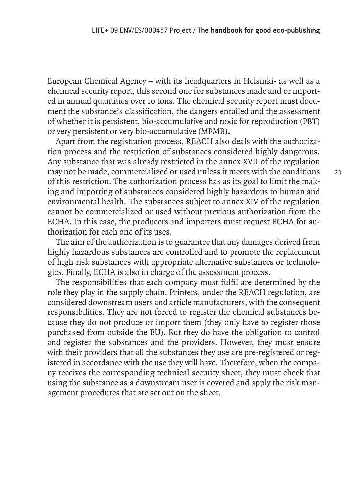European Chemical Agency – with its headquarters in Helsinki- as well as a chemical security report, this second one for substances made and or imported in annual quantities over 10 tons. The chemical security report must document the substance's classification, the dangers entailed and the assessment of whether it is persistent, bio-accumulative and toxic for reproduction (PBT) or very persistent or very bio-accumulative (MPMB).

Apart from the registration process, REACH also deals with the authorization process and the restriction of substances considered highly dangerous. Any substance that was already restricted in the annex XVII of the regulation may not be made, commercialized or used unless it meets with the conditions of this restriction. The authorization process has as its goal to limit the making and importing of substances considered highly hazardous to human and environmental health. The substances subject to annex XIV of the regulation cannot be commercialized or used without previous authorization from the ECHA. In this case, the producers and importers must request ECHA for authorization for each one of its uses.

The aim of the authorization is to guarantee that any damages derived from highly hazardous substances are controlled and to promote the replacement of high risk substances with appropriate alternative substances or technologies. Finally, ECHA is also in charge of the assessment process.

The responsibilities that each company must fulfil are determined by the role they play in the supply chain. Printers, under the REACH regulation, are considered downstream users and article manufacturers, with the consequent responsibilities. They are not forced to register the chemical substances because they do not produce or import them (they only have to register those purchased from outside the EU). But they do have the obligation to control and register the substances and the providers. However, they must ensure with their providers that all the substances they use are pre-registered or registered in accordance with the use they will have. Therefore, when the company receives the corresponding technical security sheet, they must check that using the substance as a downstream user is covered and apply the risk management procedures that are set out on the sheet.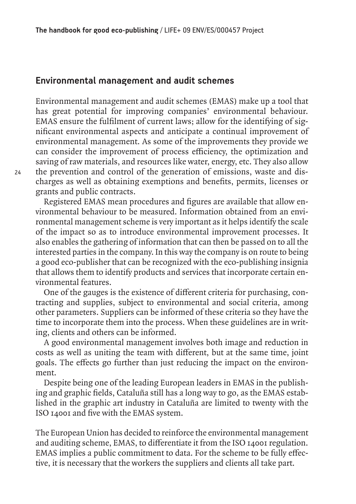#### **Environmental management and audit schemes**

Environmental management and audit schemes (EMAS) make up a tool that has great potential for improving companies' environmental behaviour. EMAS ensure the fulfilment of current laws; allow for the identifying of significant environmental aspects and anticipate a continual improvement of environmental management. As some of the improvements they provide we can consider the improvement of process efficiency, the optimization and saving of raw materials, and resources like water, energy, etc. They also allow the prevention and control of the generation of emissions, waste and discharges as well as obtaining exemptions and benefits, permits, licenses or grants and public contracts.

Registered EMAS mean procedures and figures are available that allow environmental behaviour to be measured. Information obtained from an environmental management scheme is very important as it helps identify the scale of the impact so as to introduce environmental improvement processes. It also enables the gathering of information that can then be passed on to all the interested parties in the company. In this way the company is on route to being a good eco-publisher that can be recognized with the eco-publishing insignia that allows them to identify products and services that incorporate certain environmental features.

One of the gauges is the existence of different criteria for purchasing, contracting and supplies, subject to environmental and social criteria, among other parameters. Suppliers can be informed of these criteria so they have the time to incorporate them into the process. When these guidelines are in writing, clients and others can be informed.

A good environmental management involves both image and reduction in costs as well as uniting the team with different, but at the same time, joint goals. The effects go further than just reducing the impact on the environment.

Despite being one of the leading European leaders in EMAS in the publishing and graphic fields, Cataluña still has a long way to go, as the EMAS established in the graphic art industry in Cataluña are limited to twenty with the ISO 14001 and five with the EMAS system.

The European Union has decided to reinforce the environmental management and auditing scheme, EMAS, to differentiate it from the ISO 14001 regulation. EMAS implies a public commitment to data. For the scheme to be fully effective, it is necessary that the workers the suppliers and clients all take part.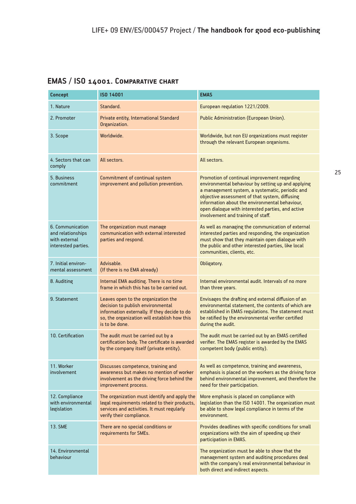#### **EMAS / ISO 14001. Comparative chart**

| <b>ISO 14001</b><br><b>Concept</b>                                            |                                                                                                                                                                                                                                                                                                                                                                                                                                 | <b>EMAS</b>                                                                                                                                                                                                                                      |  |
|-------------------------------------------------------------------------------|---------------------------------------------------------------------------------------------------------------------------------------------------------------------------------------------------------------------------------------------------------------------------------------------------------------------------------------------------------------------------------------------------------------------------------|--------------------------------------------------------------------------------------------------------------------------------------------------------------------------------------------------------------------------------------------------|--|
| 1. Nature                                                                     | Standard.                                                                                                                                                                                                                                                                                                                                                                                                                       | European regulation 1221/2009.                                                                                                                                                                                                                   |  |
| 2. Promoter                                                                   | Private entity, International Standard<br>Organization.                                                                                                                                                                                                                                                                                                                                                                         | Public Administration (European Union).                                                                                                                                                                                                          |  |
| 3. Scope                                                                      | Worldwide.                                                                                                                                                                                                                                                                                                                                                                                                                      | Worldwide, but non EU organizations must register<br>through the relevant European organisms.                                                                                                                                                    |  |
| 4. Sectors that can<br>comply                                                 | All sectors.                                                                                                                                                                                                                                                                                                                                                                                                                    | All sectors.                                                                                                                                                                                                                                     |  |
| 5. Business<br>commitment                                                     | Commitment of continual system<br>Promotion of continual improvement regarding<br>improvement and pollution prevention.<br>environmental behaviour by setting up and applying<br>a management system, a systematic, periodic and<br>objective assessment of that system, diffusing<br>information about the environmental behaviour,<br>open dialogue with interested parties, and active<br>involvement and training of staff. |                                                                                                                                                                                                                                                  |  |
| 6. Communication<br>and relationships<br>with external<br>interested parties. | The organization must manage<br>communication with external interested<br>parties and respond.                                                                                                                                                                                                                                                                                                                                  | As well as managing the communication of external<br>interested parties and responding, the organization<br>must show that they maintain open dialogue with<br>the public and other interested parties, like local<br>communities, clients, etc. |  |
| 7. Initial environ-<br>mental assessment                                      | Advisable.<br>(If there is no EMA already)                                                                                                                                                                                                                                                                                                                                                                                      | Obligatory.                                                                                                                                                                                                                                      |  |
| 8. Auditing                                                                   | Internal EMA auditing. There is no time<br>frame in which this has to be carried out.                                                                                                                                                                                                                                                                                                                                           | Internal environmental audit. Intervals of no more<br>than three years.                                                                                                                                                                          |  |
| 9. Statement                                                                  | Leaves open to the organization the<br>decision to publish environmental<br>information externally. If they decide to do<br>so, the organization will establish how this<br>is to be done.                                                                                                                                                                                                                                      | Envisages the drafting and external diffusion of an<br>environmental statement, the contents of which are<br>established in EMAS regulations. The statement must<br>be ratified by the environmental verifier certified<br>during the audit.     |  |
| 10. Certification                                                             | The audit must be carried out by a<br>certification body. The certificate is awarded<br>by the company itself (private entity).                                                                                                                                                                                                                                                                                                 | The audit must be carried out by an EMAS certified<br>verifier. The EMAS register is awarded by the EMAS<br>competent body (public entity).                                                                                                      |  |
| 11. Worker<br>involvement                                                     | Discusses competence, training and<br>awareness but makes no mention of worker<br>involvement as the driving force behind the<br>improvement process.                                                                                                                                                                                                                                                                           | As well as competence, training and awareness,<br>emphasis is placed on the workers as the driving force<br>behind environmental improvement, and therefore the<br>need for their participation.                                                 |  |
| 12. Compliance<br>with environmental<br>legislation                           | The organization must identify and apply the<br>legal requirements related to their products,<br>services and activities. It must regularly<br>verify their compliance.                                                                                                                                                                                                                                                         | More emphasis is placed on compliance with<br>legislation than the ISO 14001. The organization must<br>be able to show legal compliance in terms of the<br>environment.                                                                          |  |
| <b>13. SME</b>                                                                | There are no special conditions or<br>requirements for SMEs.                                                                                                                                                                                                                                                                                                                                                                    | Provides deadlines with specific conditions for small<br>organizations with the aim of speeding up their<br>participation in EMAS.                                                                                                               |  |
| 14. Environmental<br>behaviour                                                |                                                                                                                                                                                                                                                                                                                                                                                                                                 | The organization must be able to show that the<br>management system and auditing procedures deal<br>with the company's real environmental behaviour in<br>both direct and indirect aspects.                                                      |  |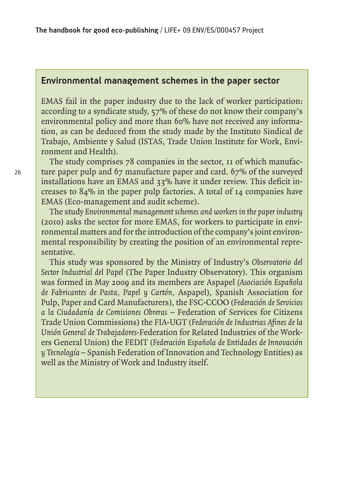#### **Environmental management schemes in the paper sector**

EMAS fail in the paper industry due to the lack of worker participation: according to a syndicate study, 57% of these do not know their company's environmental policy and more than 60% have not received any information, as can be deduced from the study made by the Instituto Sindical de Trabajo, Ambiente y Salud (ISTAS, Trade Union Institute for Work, Environment and Health).

The study comprises 78 companies in the sector, 11 of which manufacture paper pulp and 67 manufacture paper and card. 67% of the surveyed installations have an EMAS and 33% have it under review. This deficit increases to 84% in the paper pulp factories. A total of 14 companies have EMAS (Eco-management and audit scheme).

The study *Environmental management schemes and workers in the paper industry*  (2010) asks the sector for more EMAS, for workers to participate in environmental matters and for the introduction of the company's joint environmental responsibility by creating the position of an environmental representative.

This study was sponsored by the Ministry of Industry's *Observatorio del Sector Industrial del Papel* (The Paper Industry Observatory). This organism was formed in May 2009 and its members are Aspapel *(Asociación Española de Fabricantes de Pasta, Papel y Cartón,* Aspapel), Spanish Association for Pulp, Paper and Card Manufacturers), the FSC-CCOO (*Federación de Servicios a la Ciudadanía de Comisiones Obreras –* Federation of Services for Citizens Trade Union Commissions) the FIA-UGT (*Federación de Industrias Afines de la Unión General de Trabajadores-*Federation for Related Industries of the Workers General Union) the FEDIT (*Federación Española de Entidades de Innovación y Tecnología* – Spanish Federation of Innovation and Technology Entities) as well as the Ministry of Work and Industry itself.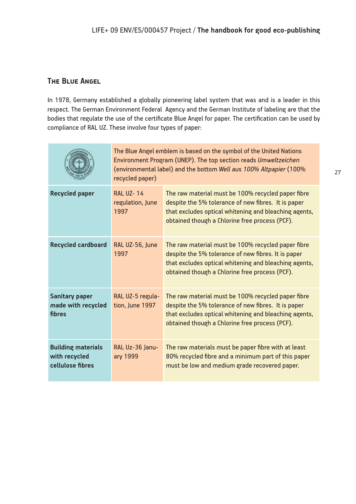#### **The Blue Angel**

In 1978, Germany established a globally pioneering label system that was and is a leader in this respect. The German Environment Federal Agency and the German Institute of labeling are that the bodies that regulate the use of the certificate Blue Angel for paper. The certification can be used by compliance of RAL UZ. These involve four types of paper:

|                                                                | The Blue Angel emblem is based on the symbol of the United Nations<br>Environment Program (UNEP). The top section reads Umweltzeichen<br>(environmental label) and the bottom Well aus 100% Altpapier (100%)<br>recycled paper) |                                                                                                                                                                                                                      |  |
|----------------------------------------------------------------|---------------------------------------------------------------------------------------------------------------------------------------------------------------------------------------------------------------------------------|----------------------------------------------------------------------------------------------------------------------------------------------------------------------------------------------------------------------|--|
| <b>Recycled paper</b>                                          | <b>RAL UZ-14</b><br>regulation, June<br>1997                                                                                                                                                                                    | The raw material must be 100% recycled paper fibre<br>despite the 5% tolerance of new fibres. It is paper<br>that excludes optical whitening and bleaching agents,<br>obtained though a Chlorine free process (PCF). |  |
| <b>Recycled cardboard</b>                                      | RAL UZ-56, June<br>1997                                                                                                                                                                                                         | The raw material must be 100% recycled paper fibre<br>despite the 5% tolerance of new fibres. It is paper<br>that excludes optical whitening and bleaching agents,<br>obtained though a Chlorine free process (PCF). |  |
| <b>Sanitary paper</b><br>made with recycled<br>fibres          | RAL UZ-5 regula-<br>tion, June 1997                                                                                                                                                                                             | The raw material must be 100% recycled paper fibre<br>despite the 5% tolerance of new fibres. It is paper<br>that excludes optical whitening and bleaching agents,<br>obtained though a Chlorine free process (PCF). |  |
| <b>Building materials</b><br>with recycled<br>cellulose fibres | RAL Uz-36 Janu-<br>ary 1999                                                                                                                                                                                                     | The raw materials must be paper fibre with at least<br>80% recycled fibre and a minimum part of this paper<br>must be low and medium grade recovered paper.                                                          |  |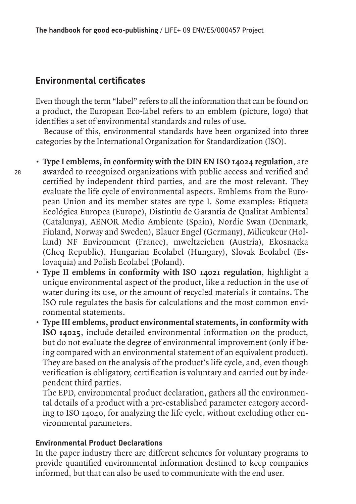#### **Environmental certificates**

Even though the term "label" refers to all the information that can be found on a product, the European Eco-label refers to an emblem (picture, logo) that identifies a set of environmental standards and rules of use.

Because of this, environmental standards have been organized into three categories by the International Organization for Standardization (ISO).

**• Type I emblems, in conformity with the DIN EN ISO 14024 regulation**, are awarded to recognized organizations with public access and verified and certified by independent third parties, and are the most relevant. They evaluate the life cycle of environmental aspects. Emblems from the European Union and its member states are type I. Some examples: Etiqueta Ecológica Europea (Europe), Distintiu de Garantia de Qualitat Ambiental (Catalunya), AENOR Medio Ambiente (Spain), Nordic Swan (Denmark, Finland, Norway and Sweden), Blauer Engel (Germany), Milieukeur (Holland) NF Environment (France), mweltzeichen (Austria), Ekosnacka (Cheq Republic), Hungarian Ecolabel (Hungary), Slovak Ecolabel (Eslovaquia) and Polish Ecolabel (Poland).

- **Type II emblems in conformity with ISO 14021 regulation**, highlight a unique environmental aspect of the product, like a reduction in the use of water during its use, or the amount of recycled materials it contains. The ISO rule regulates the basis for calculations and the most common environmental statements.
- **Type III emblems, product environmental statements, in conformity with ISO 14025**, include detailed environmental information on the product, but do not evaluate the degree of environmental improvement (only if being compared with an environmental statement of an equivalent product). They are based on the analysis of the product's life cycle, and, even though verification is obligatory, certification is voluntary and carried out by independent third parties.

The EPD, environmental product declaration, gathers all the environmental details of a product with a pre-established parameter category according to ISO 14040, for analyzing the life cycle, without excluding other environmental parameters.

#### **Environmental Product Declarations**

In the paper industry there are different schemes for voluntary programs to provide quantified environmental information destined to keep companies informed, but that can also be used to communicate with the end user.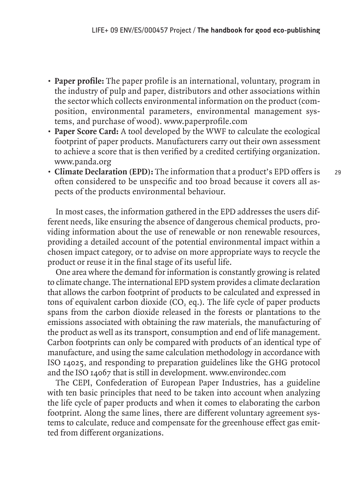- **Paper profile:** The paper profile is an international, voluntary, program in the industry of pulp and paper, distributors and other associations within the sector which collects environmental information on the product (composition, environmental parameters, environmental management systems, and purchase of wood). www.paperprofile.com
- **Paper Score Card:** A tool developed by the WWF to calculate the ecological footprint of paper products. Manufacturers carry out their own assessment to achieve a score that is then verified by a credited certifying organization. www.panda.org
- **Climate Declaration (EPD):** The information that a product's EPD offers is often considered to be unspecific and too broad because it covers all aspects of the products environmental behaviour.

In most cases, the information gathered in the EPD addresses the users different needs, like ensuring the absence of dangerous chemical products, providing information about the use of renewable or non renewable resources, providing a detailed account of the potential environmental impact within a chosen impact category, or to advise on more appropriate ways to recycle the product or reuse it in the final stage of its useful life.

One area where the demand for information is constantly growing is related to climate change. The international EPD system provides a climate declaration that allows the carbon footprint of products to be calculated and expressed in tons of equivalent carbon dioxide  $(CO, eq.)$ . The life cycle of paper products spans from the carbon dioxide released in the forests or plantations to the emissions associated with obtaining the raw materials, the manufacturing of the product as well as its transport, consumption and end of life management. Carbon footprints can only be compared with products of an identical type of manufacture, and using the same calculation methodology in accordance with ISO 14025, and responding to preparation guidelines like the GHG protocol and the ISO 14067 that is still in development. www.environdec.com

The CEPI, Confederation of European Paper Industries, has a guideline with ten basic principles that need to be taken into account when analyzing the life cycle of paper products and when it comes to elaborating the carbon footprint. Along the same lines, there are different voluntary agreement systems to calculate, reduce and compensate for the greenhouse effect gas emitted from different organizations.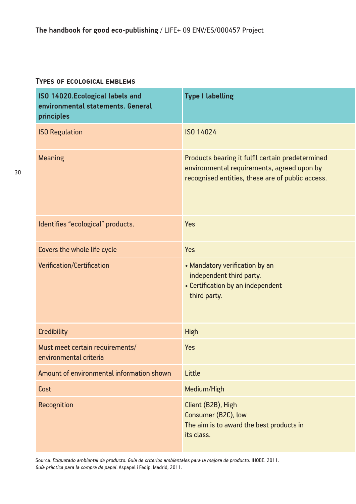#### **Types of ecological emblems**

| ISO 14020.Ecological labels and<br>environmental statements. General<br>principles | <b>Type I labelling</b>                                                                                                                            |
|------------------------------------------------------------------------------------|----------------------------------------------------------------------------------------------------------------------------------------------------|
| <b>ISO Regulation</b>                                                              | ISO 14024                                                                                                                                          |
| <b>Meaning</b>                                                                     | Products bearing it fulfil certain predetermined<br>environmental requirements, agreed upon by<br>recognised entities, these are of public access. |
| Identifies "ecological" products.                                                  | <b>Yes</b>                                                                                                                                         |
| Covers the whole life cycle                                                        | <b>Yes</b>                                                                                                                                         |
| <b>Verification/Certification</b>                                                  | • Mandatory verification by an<br>independent third party.<br>• Certification by an independent<br>third party.                                    |
| <b>Credibility</b>                                                                 | <b>High</b>                                                                                                                                        |
| Must meet certain requirements/<br>environmental criteria                          | <b>Yes</b>                                                                                                                                         |
| Amount of environmental information shown                                          | <b>Little</b>                                                                                                                                      |
| Cost                                                                               | Medium/High                                                                                                                                        |
| Recognition                                                                        | Client (B2B), High<br>Consumer (B2C), low<br>The aim is to award the best products in<br>its class.                                                |

Source: *Etiquetado ambiental de producto. Guía de criterios ambientales para la mejora de producto.* IHOBE. 2011. *Guía pràctica para la compra de papel*. Aspapel i Fedip. Madrid, 2011.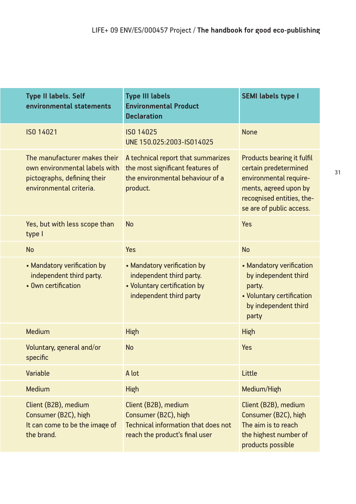| <b>Type II labels. Self</b><br>environmental statements                                                                 | <b>Type III labels</b><br><b>Environmental Product</b><br><b>Declaration</b>                                                 | <b>SEMI labels type I</b>                                                                                                                                       |
|-------------------------------------------------------------------------------------------------------------------------|------------------------------------------------------------------------------------------------------------------------------|-----------------------------------------------------------------------------------------------------------------------------------------------------------------|
| ISO 14021                                                                                                               | ISO 14025<br>UNE 150.025:2003-IS014025                                                                                       | <b>None</b>                                                                                                                                                     |
| The manufacturer makes their<br>own environmental labels with<br>pictographs, defining their<br>environmental criteria. | A technical report that summarizes<br>the most significant features of<br>the environmental behaviour of a<br>product.       | Products bearing it fulfil<br>certain predetermined<br>environmental require-<br>ments, agreed upon by<br>recognised entities, the-<br>se are of public access. |
| Yes, but with less scope than<br>type I                                                                                 | <b>No</b>                                                                                                                    | Yes                                                                                                                                                             |
| <b>No</b>                                                                                                               | <b>Yes</b>                                                                                                                   | <b>No</b>                                                                                                                                                       |
| • Mandatory verification by<br>independent third party.<br>• Own certification                                          | • Mandatory verification by<br>independent third party.<br>• Voluntary certification by<br>independent third party           | • Mandatory verification<br>by independent third<br>party.<br>• Voluntary certification<br>by independent third<br>party                                        |
| Medium                                                                                                                  | <b>High</b>                                                                                                                  | High                                                                                                                                                            |
| Voluntary, general and/or<br>specific                                                                                   | <b>No</b>                                                                                                                    | <b>Yes</b>                                                                                                                                                      |
| <b>Variable</b>                                                                                                         | A lot                                                                                                                        | Little                                                                                                                                                          |
| Medium                                                                                                                  | <b>High</b>                                                                                                                  | Medium/High                                                                                                                                                     |
| Client (B2B), medium<br>Consumer (B2C), high<br>It can come to be the image of<br>the brand.                            | Client (B2B), medium<br>Consumer (B2C), high<br><b>Technical information that does not</b><br>reach the product's final user | Client (B2B), medium<br>Consumer (B2C), high<br>The aim is to reach<br>the highest number of<br>products possible                                               |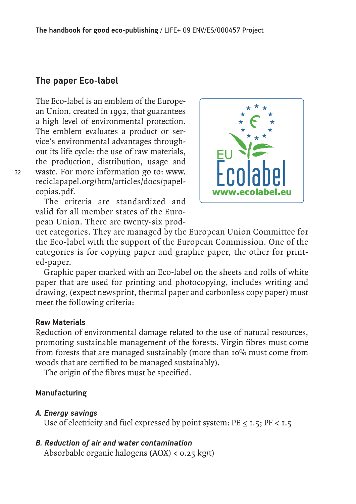#### **The paper Eco-label**

The Eco-label is an emblem of the European Union, created in 1992, that guarantees a high level of environmental protection. The emblem evaluates a product or service's environmental advantages throughout its life cycle: the use of raw materials, the production, distribution, usage and waste. For more information go to: www. reciclapapel.org/htm/articles/docs/papelcopias.pdf.

The criteria are standardized and valid for all member states of the European Union. There are twenty-six prod-



uct categories. They are managed by the European Union Committee for the Eco-label with the support of the European Commission. One of the categories is for copying paper and graphic paper, the other for printed-paper.

Graphic paper marked with an Eco-label on the sheets and rolls of white paper that are used for printing and photocopying, includes writing and drawing, (expect newsprint, thermal paper and carbonless copy paper) must meet the following criteria:

#### **Raw Materials**

32

Reduction of environmental damage related to the use of natural resources, promoting sustainable management of the forests. Virgin fibres must come from forests that are managed sustainably (more than 10% must come from woods that are certified to be managed sustainably).

The origin of the fibres must be specified.

#### **Manufacturing**

#### *A. Energy savings*

Use of electricity and fuel expressed by point system:  $PE \le 1.5$ ;  $PF < 1.5$ 

#### *B. Reduction of air and water contamination*

Absorbable organic halogens (AOX) < 0.25 kg/t)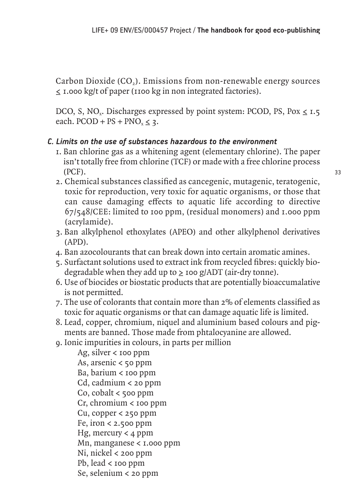Carbon Dioxide (CO<sub>2</sub>). Emissions from non-renewable energy sources ≤ 1.000 kg/t of paper (1100 kg in non integrated factories).

DCO, S, NO<sub>x</sub>. Discharges expressed by point system: PCOD, PS, Pox  $\leq$  1.5 each.  $PCOD + PS + PNO<sub>x</sub> < 3$ .

#### *C. Limits on the use of substances hazardous to the environment*

- 1. Ban chlorine gas as a whitening agent (elementary chlorine). The paper isn't totally free from chlorine (TCF) or made with a free chlorine process (PCF).
- 2. Chemical substances classified as cancegenic, mutagenic, teratogenic, toxic for reproduction, very toxic for aquatic organisms, or those that can cause damaging effects to aquatic life according to directive 67/548/CEE: limited to 100 ppm, (residual monomers) and 1.000 ppm (acrylamide).
- 3. Ban alkylphenol ethoxylates (APEO) and other alkylphenol derivatives (APD).
- 4. Ban azocolourants that can break down into certain aromatic amines.
- 5. Surfactant solutions used to extract ink from recycled fibres: quickly biodegradable when they add up to  $\geq$  100 g/ADT (air-dry tonne).
- 6. Use of biocides or biostatic products that are potentially bioaccumalative is not permitted.
- 7. The use of colorants that contain more than 2% of elements classified as toxic for aquatic organisms or that can damage aquatic life is limited.
- 8. Lead, copper, chromium, niquel and aluminium based colours and pigments are banned. Those made from phtalocyanine are allowed.
- 9. Ionic impurities in colours, in parts per million

 Ag, silver < 100 ppm As, arsenic < 50 ppm Ba, barium < 100 ppm Cd, cadmium < 20 ppm Co,  $\text{cobalt}$  < 500 ppm  $Cr$ , chromium  $\lt$  100 ppm Cu, copper < 250 ppm Fe, iron  $<$  2.500 ppm Hg, mercury  $\lt$  4 ppm Mn, manganese  $\lt$  1.000 ppm Ni, nickel < 200 ppm Pb, lead < 100 ppm Se, selenium < 20 ppm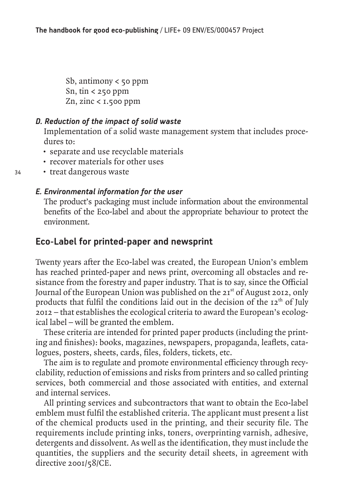Sb, antimony  $\lt$  50 ppm Sn, tin  $\lt$  250 ppm Zn, zinc < 1.500 ppm

#### *D. Reduction of the impact of solid waste*

 Implementation of a solid waste management system that includes procedures to:

- separate and use recyclable materials
- recover materials for other uses
- treat dangerous waste

#### *E. Environmental information for the user*

 The product's packaging must include information about the environmental benefits of the Eco-label and about the appropriate behaviour to protect the environment.

#### **Eco-Label for printed-paper and newsprint**

Twenty years after the Eco-label was created, the European Union's emblem has reached printed-paper and news print, overcoming all obstacles and resistance from the forestry and paper industry. That is to say, since the Official Journal of the European Union was published on the 21<sup>st</sup> of August 2012, only products that fulfil the conditions laid out in the decision of the  $12<sup>th</sup>$  of July 2012 – that establishes the ecological criteria to award the European's ecological label – will be granted the emblem.

These criteria are intended for printed paper products (including the printing and finishes): books, magazines, newspapers, propaganda, leaflets, catalogues, posters, sheets, cards, files, folders, tickets, etc.

The aim is to regulate and promote environmental efficiency through recyclability, reduction of emissions and risks from printers and so called printing services, both commercial and those associated with entities, and external and internal services.

All printing services and subcontractors that want to obtain the Eco-label emblem must fulfil the established criteria. The applicant must present a list of the chemical products used in the printing, and their security file. The requirements include printing inks, toners, overprinting varnish, adhesive, detergents and dissolvent. As well as the identification, they must include the quantities, the suppliers and the security detail sheets, in agreement with directive 2001/58/CE.

34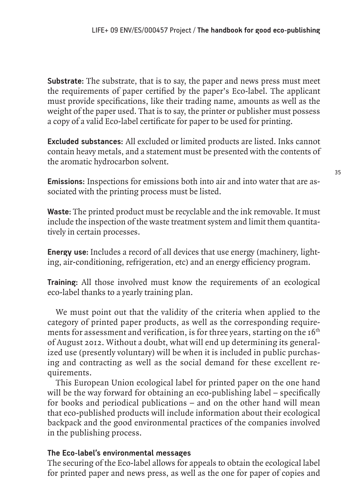**Substrate:** The substrate, that is to say, the paper and news press must meet the requirements of paper certified by the paper's Eco-label. The applicant must provide specifications, like their trading name, amounts as well as the weight of the paper used. That is to say, the printer or publisher must possess a copy of a valid Eco-label certificate for paper to be used for printing.

**Excluded substances:** All excluded or limited products are listed. Inks cannot contain heavy metals, and a statement must be presented with the contents of the aromatic hydrocarbon solvent.

**Emissions:** Inspections for emissions both into air and into water that are associated with the printing process must be listed.

**Waste:** The printed product must be recyclable and the ink removable. It must include the inspection of the waste treatment system and limit them quantitatively in certain processes.

**Energy use:** Includes a record of all devices that use energy (machinery, lighting, air-conditioning, refrigeration, etc) and an energy efficiency program.

**Training:** All those involved must know the requirements of an ecological eco-label thanks to a yearly training plan.

We must point out that the validity of the criteria when applied to the category of printed paper products, as well as the corresponding requirements for assessment and verification, is for three years, starting on the  $16<sup>th</sup>$ of August 2012. Without a doubt, what will end up determining its generalized use (presently voluntary) will be when it is included in public purchasing and contracting as well as the social demand for these excellent requirements.

This European Union ecological label for printed paper on the one hand will be the way forward for obtaining an eco-publishing label – specifically for books and periodical publications – and on the other hand will mean that eco-published products will include information about their ecological backpack and the good environmental practices of the companies involved in the publishing process.

#### **The Eco-label's environmental messages**

The securing of the Eco-label allows for appeals to obtain the ecological label for printed paper and news press, as well as the one for paper of copies and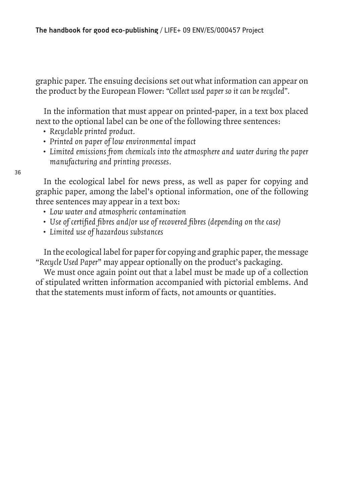graphic paper. The ensuing decisions set out what information can appear on the product by the European Flower: *"Collect used paper so it can be recycled".*

In the information that must appear on printed-paper, in a text box placed next to the optional label can be one of the following three sentences:

- *Recyclable printed product.*
- *Printed on paper of low environmental impact*
- *Limited emissions from chemicals into the atmosphere and water during the paper manufacturing and printing processes.*

36

In the ecological label for news press, as well as paper for copying and graphic paper, among the label's optional information, one of the following three sentences may appear in a text box:

- *Low water and atmospheric contamination*
- *Use of certified fibres and/or use of recovered fibres (depending on the case)*
- *Limited use of hazardous substances*

In the ecological label for paper for copying and graphic paper, the message "*Recycle Used Paper*" may appear optionally on the product's packaging.

We must once again point out that a label must be made up of a collection of stipulated written information accompanied with pictorial emblems. And that the statements must inform of facts, not amounts or quantities.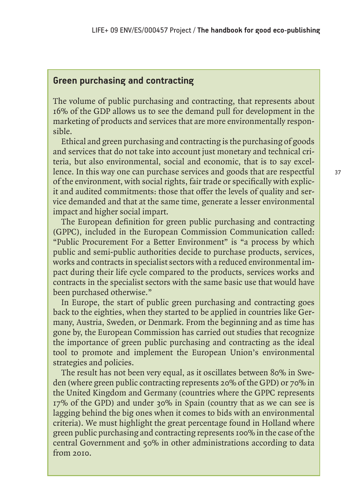## **Green purchasing and contracting**

The volume of public purchasing and contracting, that represents about 16% of the GDP allows us to see the demand pull for development in the marketing of products and services that are more environmentally responsible.

Ethical and green purchasing and contracting is the purchasing of goods and services that do not take into account just monetary and technical criteria, but also environmental, social and economic, that is to say excellence. In this way one can purchase services and goods that are respectful of the environment, with social rights, fair trade or specifically with explicit and audited commitments: those that offer the levels of quality and service demanded and that at the same time, generate a lesser environmental impact and higher social impart.

The European definition for green public purchasing and contracting (GPPC), included in the European Commission Communication called: "Public Procurement For a Better Environment" is "a process by which public and semi-public authorities decide to purchase products, services, works and contracts in specialist sectors with a reduced environmental impact during their life cycle compared to the products, services works and contracts in the specialist sectors with the same basic use that would have been purchased otherwise."

In Europe, the start of public green purchasing and contracting goes back to the eighties, when they started to be applied in countries like Germany, Austria, Sweden, or Denmark. From the beginning and as time has gone by, the European Commission has carried out studies that recognize the importance of green public purchasing and contracting as the ideal tool to promote and implement the European Union's environmental strategies and policies.

The result has not been very equal, as it oscillates between 80% in Sweden (where green public contracting represents 20% of the GPD) or 70% in the United Kingdom and Germany (countries where the GPPC represents 17% of the GPD) and under 30% in Spain (country that as we can see is lagging behind the big ones when it comes to bids with an environmental criteria). We must highlight the great percentage found in Holland where green public purchasing and contracting represents 100% in the case of the central Government and 50% in other administrations according to data from 2010.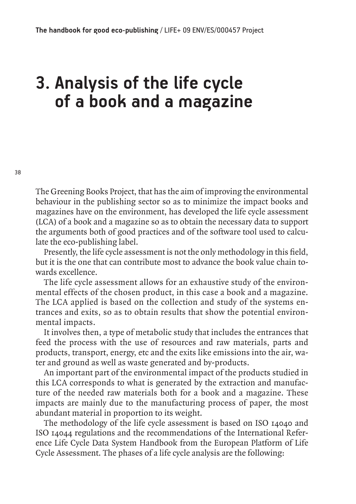# **3. Analysis of the life cycle of a book and a magazine**

The Greening Books Project, that has the aim of improving the environmental behaviour in the publishing sector so as to minimize the impact books and magazines have on the environment, has developed the life cycle assessment (LCA) of a book and a magazine so as to obtain the necessary data to support the arguments both of good practices and of the software tool used to calculate the eco-publishing label.

Presently, the life cycle assessment is not the only methodology in this field, but it is the one that can contribute most to advance the book value chain towards excellence.

The life cycle assessment allows for an exhaustive study of the environmental effects of the chosen product, in this case a book and a magazine. The LCA applied is based on the collection and study of the systems entrances and exits, so as to obtain results that show the potential environmental impacts.

It involves then, a type of metabolic study that includes the entrances that feed the process with the use of resources and raw materials, parts and products, transport, energy, etc and the exits like emissions into the air, water and ground as well as waste generated and by-products.

An important part of the environmental impact of the products studied in this LCA corresponds to what is generated by the extraction and manufacture of the needed raw materials both for a book and a magazine. These impacts are mainly due to the manufacturing process of paper, the most abundant material in proportion to its weight.

The methodology of the life cycle assessment is based on ISO 14040 and ISO 14044 regulations and the recommendations of the International Reference Life Cycle Data System Handbook from the European Platform of Life Cycle Assessment. The phases of a life cycle analysis are the following: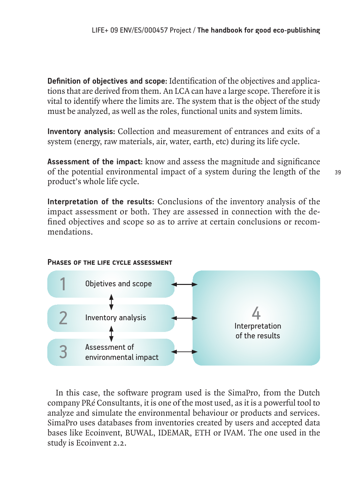**Definition of objectives and scope:** Identification of the objectives and applications that are derived from them. An LCA can have a large scope. Therefore it is vital to identify where the limits are. The system that is the object of the study must be analyzed, as well as the roles, functional units and system limits.

**Inventory analysis:** Collection and measurement of entrances and exits of a system (energy, raw materials, air, water, earth, etc) during its life cycle.

**Assessment of the impact:** know and assess the magnitude and significance of the potential environmental impact of a system during the length of the product's whole life cycle.

**Interpretation of the results:** Conclusions of the inventory analysis of the impact assessment or both. They are assessed in connection with the defined objectives and scope so as to arrive at certain conclusions or recommendations.

#### **Phases of the life cycle assessment**



In this case, the software program used is the SimaPro, from the Dutch company PRé Consultants, it is one of the most used, as it is a powerful tool to analyze and simulate the environmental behaviour or products and services. SimaPro uses databases from inventories created by users and accepted data bases like Ecoinvent, BUWAL, IDEMAR, ETH or IVAM. The one used in the study is Ecoinvent 2.2.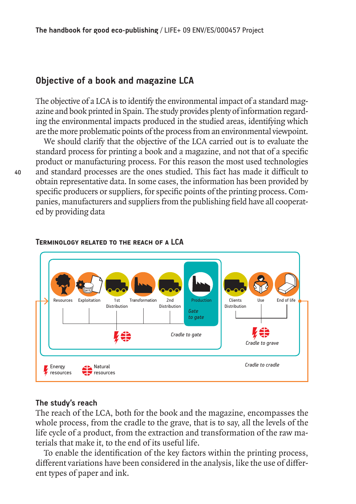## **Objective of a book and magazine LCA**

The objective of a LCA is to identify the environmental impact of a standard magazine and book printed in Spain. The study provides plenty of information regarding the environmental impacts produced in the studied areas, identifying which are the more problematic points of the process from an environmental viewpoint.

We should clarify that the objective of the LCA carried out is to evaluate the standard process for printing a book and a magazine, and not that of a specific product or manufacturing process. For this reason the most used technologies and standard processes are the ones studied. This fact has made it difficult to obtain representative data. In some cases, the information has been provided by specific producers or suppliers, for specific points of the printing process. Companies, manufacturers and suppliers from the publishing field have all cooperated by providing data



#### **Terminology related to the reach of a LCA**

#### **The study's reach**

The reach of the LCA, both for the book and the magazine, encompasses the whole process, from the cradle to the grave, that is to say, all the levels of the life cycle of a product, from the extraction and transformation of the raw materials that make it, to the end of its useful life.

To enable the identification of the key factors within the printing process, different variations have been considered in the analysis, like the use of different types of paper and ink.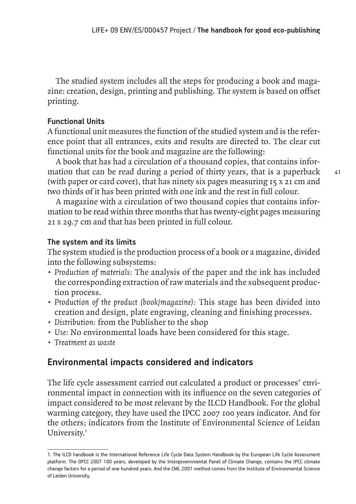The studied system includes all the steps for producing a book and magazine: creation, design, printing and publishing. The system is based on offset printing.

## **Functional Units**

A functional unit measures the function of the studied system and is the reference point that all entrances, exits and results are directed to. The clear cut functional units for the book and magazine are the following:

A book that has had a circulation of a thousand copies, that contains information that can be read during a period of thirty years, that is a paperback (with paper or card cover), that has ninety six pages measuring 15 x 21 cm and two thirds of it has been printed with one ink and the rest in full colour.

A magazine with a circulation of two thousand copies that contains information to be read within three months that has twenty-eight pages measuring 21 x 29.7 cm and that has been printed in full colour.

## **The system and its limits**

The system studied is the production process of a book or a magazine, divided into the following subsystems:

- *Production of materials:* The analysis of the paper and the ink has included the corresponding extraction of raw materials and the subsequent production process.
- *Production of the product (book/magazine):* This stage has been divided into creation and design, plate engraving, cleaning and finishing processes.
- *Distribution:* from the Publisher to the shop
- *Use:* No environmental loads have been considered for this stage.
- *Treatment as waste*

## **Environmental impacts considered and indicators**

The life cycle assessment carried out calculated a product or processes' environmental impact in connection with its influence on the seven categories of impact considered to be most relevant by the ILCD Handbook. For the global warming category, they have used the IPCC 2007 100 years indicator. And for the others; indicators from the Institute of Environmental Science of Leidan University.<sup>1</sup>

41

<sup>1.</sup> The ILCD handbook is the International Reference Life Cycle Data System Handbook by the European Life Cycle Assessment platform. The OPCC 2007 100 years, developed by the Intergovernmental Panel of Climate Change, contains the IPCC climate change factors for a period of one hundred years. And the CML 2001 method comes from the Institute of Environmental Science of Leiden University.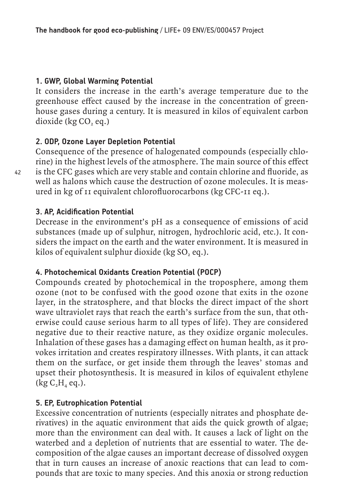## **1. GWP, Global Warming Potential**

It considers the increase in the earth's average temperature due to the greenhouse effect caused by the increase in the concentration of greenhouse gases during a century. It is measured in kilos of equivalent carbon dioxide ( $kg CO$ , eq.)

## **2. ODP, Ozone Layer Depletion Potential**

Consequence of the presence of halogenated compounds (especially chlorine) in the highest levels of the atmosphere. The main source of this effect is the CFC gases which are very stable and contain chlorine and fluoride, as well as halons which cause the destruction of ozone molecules. It is measured in kg of 11 equivalent chlorofluorocarbons (kg CFC-11 eq.).

## **3. AP, Acidification Potential**

Decrease in the environment's pH as a consequence of emissions of acid substances (made up of sulphur, nitrogen, hydrochloric acid, etc.). It considers the impact on the earth and the water environment. It is measured in kilos of equivalent sulphur dioxide (kg  $SO$ , eq.).

## **4. Photochemical Oxidants Creation Potential (POCP)**

Compounds created by photochemical in the troposphere, among them ozone (not to be confused with the good ozone that exits in the ozone layer, in the stratosphere, and that blocks the direct impact of the short wave ultraviolet rays that reach the earth's surface from the sun, that otherwise could cause serious harm to all types of life). They are considered negative due to their reactive nature, as they oxidize organic molecules. Inhalation of these gases has a damaging effect on human health, as it provokes irritation and creates respiratory illnesses. With plants, it can attack them on the surface, or get inside them through the leaves' stomas and upset their photosynthesis. It is measured in kilos of equivalent ethylene  $(kg C, H<sub>4</sub> eq.).$ 

## **5. EP, Eutrophication Potential**

Excessive concentration of nutrients (especially nitrates and phosphate derivatives) in the aquatic environment that aids the quick growth of algae; more than the environment can deal with. It causes a lack of light on the waterbed and a depletion of nutrients that are essential to water. The decomposition of the algae causes an important decrease of dissolved oxygen that in turn causes an increase of anoxic reactions that can lead to compounds that are toxic to many species. And this anoxia or strong reduction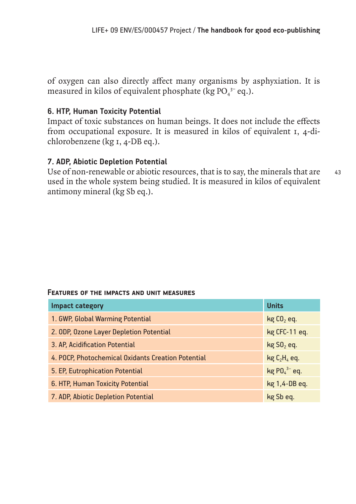of oxygen can also directly affect many organisms by asphyxiation. It is measured in kilos of equivalent phosphate (kg  $PO_4^{3-}$  eq.).

## **6. HTP, Human Toxicity Potential**

Impact of toxic substances on human beings. It does not include the effects from occupational exposure. It is measured in kilos of equivalent 1, 4-dichlorobenzene (kg 1, 4-DB eq.).

## **7. ADP, Abiotic Depletion Potential**

43 Use of non-renewable or abiotic resources, that is to say, the minerals that are used in the whole system being studied. It is measured in kilos of equivalent antimony mineral (kg Sb eq.).

#### **Features of the impacts and unit measures**

| <b>Impact category</b>                             | <b>Units</b>             |
|----------------------------------------------------|--------------------------|
| 1. GWP, Global Warming Potential                   | $kgCO2$ eq.              |
| 2. ODP, Ozone Layer Depletion Potential            | kg CFC-11 eq.            |
| 3. AP, Acidification Potential                     | $kg$ SO <sub>2</sub> eq. |
| 4. POCP, Photochemical Oxidants Creation Potential | $kg C2H4$ eq.            |
| 5. EP, Eutrophication Potential                    | $kg$ PO $_4^{3-}$ eq.    |
| 6. HTP, Human Toxicity Potential                   | kg 1,4-DB eq.            |
| 7. ADP, Abiotic Depletion Potential                | kg Sb eq.                |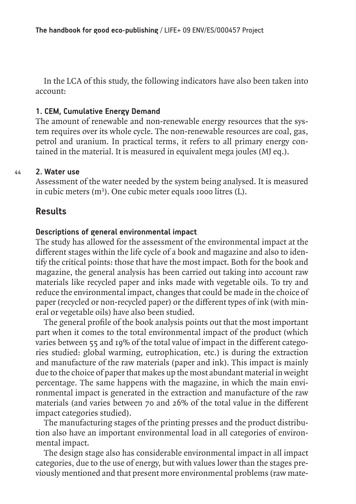In the LCA of this study, the following indicators have also been taken into account:

## **1. CEM, Cumulative Energy Demand**

The amount of renewable and non-renewable energy resources that the system requires over its whole cycle. The non-renewable resources are coal, gas, petrol and uranium. In practical terms, it refers to all primary energy contained in the material. It is measured in equivalent mega joules (MJ eq.).

#### 44 **2. Water use**

Assessment of the water needed by the system being analysed. It is measured in cubic meters (m<sup>3</sup>). One cubic meter equals 1000 litres (L).

## **Results**

## **Descriptions of general environmental impact**

The study has allowed for the assessment of the environmental impact at the different stages within the life cycle of a book and magazine and also to identify the critical points: those that have the most impact. Both for the book and magazine, the general analysis has been carried out taking into account raw materials like recycled paper and inks made with vegetable oils. To try and reduce the environmental impact, changes that could be made in the choice of paper (recycled or non-recycled paper) or the different types of ink (with mineral or vegetable oils) have also been studied.

The general profile of the book analysis points out that the most important part when it comes to the total environmental impact of the product (which varies between 55 and 19% of the total value of impact in the different categories studied: global warming, eutrophication, etc.) is during the extraction and manufacture of the raw materials (paper and ink). This impact is mainly due to the choice of paper that makes up the most abundant material in weight percentage. The same happens with the magazine, in which the main environmental impact is generated in the extraction and manufacture of the raw materials (and varies between 70 and 26% of the total value in the different impact categories studied).

The manufacturing stages of the printing presses and the product distribution also have an important environmental load in all categories of environmental impact.

The design stage also has considerable environmental impact in all impact categories, due to the use of energy, but with values lower than the stages previously mentioned and that present more environmental problems (raw mate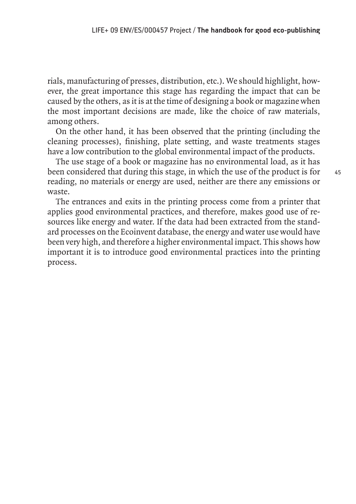rials, manufacturing of presses, distribution, etc.). We should highlight, however, the great importance this stage has regarding the impact that can be caused by the others, as it is at the time of designing a book or magazine when the most important decisions are made, like the choice of raw materials, among others.

On the other hand, it has been observed that the printing (including the cleaning processes), finishing, plate setting, and waste treatments stages have a low contribution to the global environmental impact of the products.

The use stage of a book or magazine has no environmental load, as it has been considered that during this stage, in which the use of the product is for reading, no materials or energy are used, neither are there any emissions or waste.

The entrances and exits in the printing process come from a printer that applies good environmental practices, and therefore, makes good use of resources like energy and water. If the data had been extracted from the standard processes on the Ecoinvent database, the energy and water use would have been very high, and therefore a higher environmental impact. This shows how important it is to introduce good environmental practices into the printing process.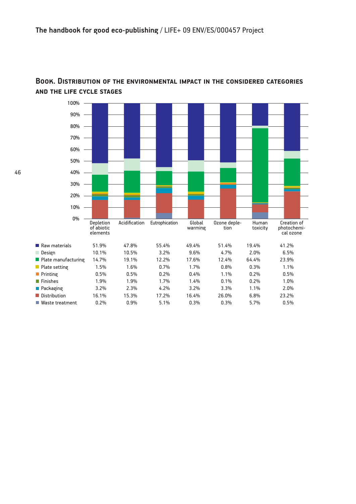

### **Book. Distribution of the environmental impact in the considered categories and the life cycle stages**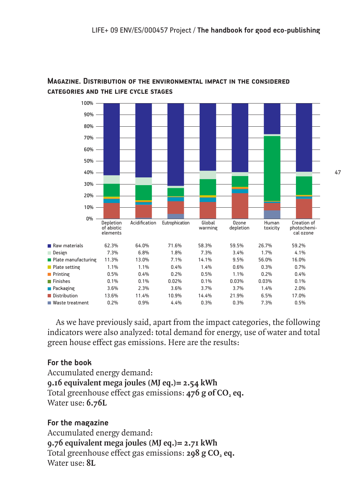

## **Magazine. Distribution of the environmental impact in the considered categories and the life cycle stages**

As we have previously said, apart from the impact categories, the following indicators were also analyzed: total demand for energy, use of water and total green house effect gas emissions. Here are the results:

## **For the book**

Accumulated energy demand: **9.16 equivalent mega joules (MJ eq.)= 2.54 kWh** Total greenhouse effect gas emissions: 476 g of CO, eq. Water use: **6.76L**

## **For the magazine**

Accumulated energy demand: **9.76 equivalent mega joules (MJ eq.)= 2.71 kWh** Total greenhouse effect gas emissions: 298 g CO<sub>2</sub> eq. Water use: **8L**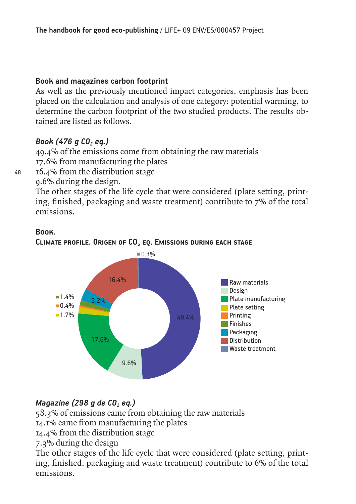## **Book and magazines carbon footprint**

As well as the previously mentioned impact categories, emphasis has been placed on the calculation and analysis of one category: potential warming, to determine the carbon footprint of the two studied products. The results obtained are listed as follows.

## *Book (476 g CO<sub>2</sub> eg.)*

49.4% of the emissions come from obtaining the raw materials 17.6% from manufacturing the plates

16.4% from the distribution stage

9.6% during the design.

The other stages of the life cycle that were considered (plate setting, printing, finished, packaging and waste treatment) contribute to 7% of the total emissions.



## **Book.**

48

## **CLIMATE PROFILE. ORIGEN OF CO<sub>2</sub> EQ. EMISSIONS DURING EACH STAGE**

## *Magazine (298 g de CO<sub>2</sub> eq.)*

58.3% of emissions came from obtaining the raw materials

14.1% came from manufacturing the plates

14.4% from the distribution stage

7.3% during the design

The other stages of the life cycle that were considered (plate setting, printing, finished, packaging and waste treatment) contribute to 6% of the total emissions.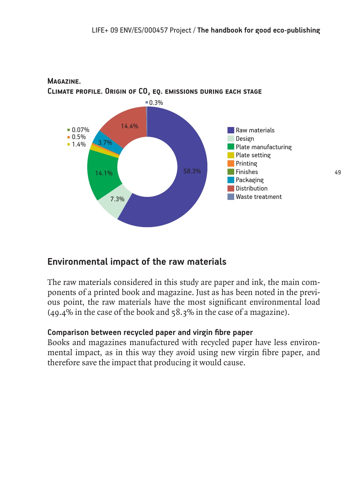

## **Magazine. CLIMATE PROFILE. ORIGIN OF CO<sub>2</sub> EQ. EMISSIONS DURING EACH STAGE**

## **Environmental impact of the raw materials**

The raw materials considered in this study are paper and ink, the main components of a printed book and magazine. Just as has been noted in the previous point, the raw materials have the most significant environmental load (49.4% in the case of the book and 58.3% in the case of a magazine).

## **Comparison between recycled paper and virgin fibre paper**

Books and magazines manufactured with recycled paper have less environmental impact, as in this way they avoid using new virgin fibre paper, and therefore save the impact that producing it would cause.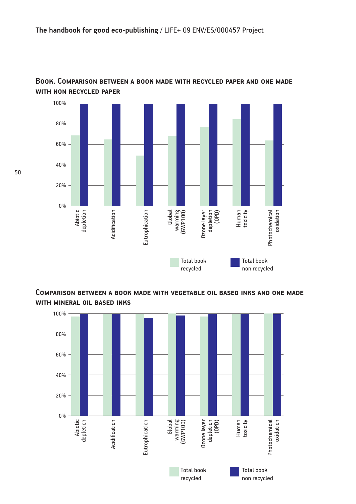

### **Book. Comparison between a book made with recycled paper and one made with non recycled paper**

**Comparison between a book made with vegetable oil based inks and one made with mineral oil based inks**



50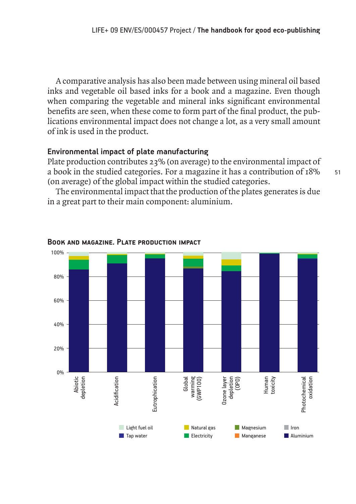A comparative analysis has also been made between using mineral oil based inks and vegetable oil based inks for a book and a magazine. Even though when comparing the vegetable and mineral inks significant environmental benefits are seen, when these come to form part of the final product, the publications environmental impact does not change a lot, as a very small amount of ink is used in the product.

### **Environmental impact of plate manufacturing**

Plate production contributes 23% (on average) to the environmental impact of a book in the studied categories. For a magazine it has a contribution of 18% (on average) of the global impact within the studied categories.

The environmental impact that the production of the plates generates is due in a great part to their main component: aluminium.



#### **Book and magazine. Plate production impact**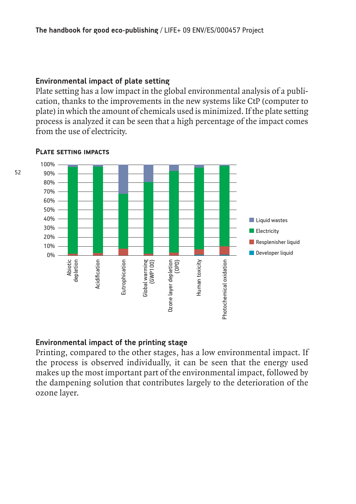#### **Environmental impact of plate setting**

Plate setting has a low impact in the global environmental analysis of a publication, thanks to the improvements in the new systems like CtP (computer to plate) in which the amount of chemicals used is minimized. If the plate setting process is analyzed it can be seen that a high percentage of the impact comes from the use of electricity.



#### **Plate setting impacts**

#### **Environmental impact of the printing stage**

Printing, compared to the other stages, has a low environmental impact. If the process is observed individually, it can be seen that the energy used makes up the most important part of the environmental impact, followed by the dampening solution that contributes largely to the deterioration of the ozone layer.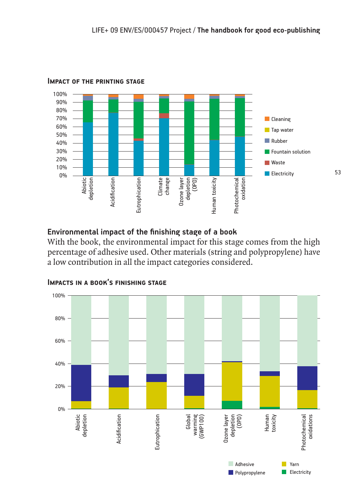

#### **Impact of the printing stage**

## **Environmental impact of the finishing stage of a book**

With the book, the environmental impact for this stage comes from the high percentage of adhesive used. Other materials (string and polypropylene) have a low contribution in all the impact categories considered.



### **Impacts in a book's finishing stage**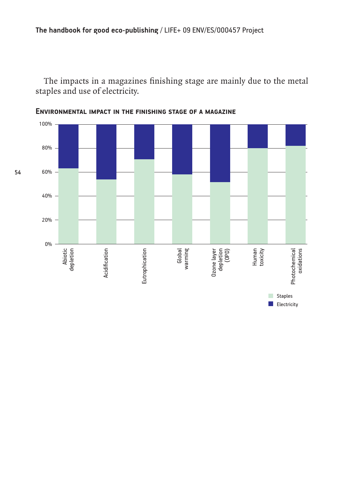The impacts in a magazines finishing stage are mainly due to the metal staples and use of electricity.



**Environmental impact in the finishing stage of a magazine**

54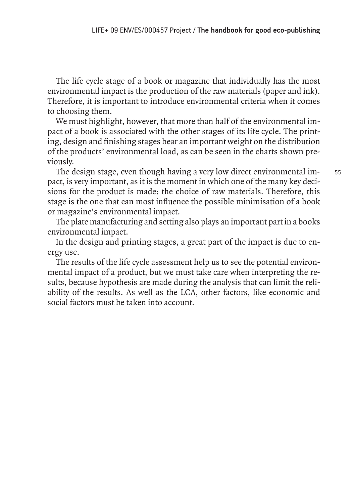The life cycle stage of a book or magazine that individually has the most environmental impact is the production of the raw materials (paper and ink). Therefore, it is important to introduce environmental criteria when it comes to choosing them.

We must highlight, however, that more than half of the environmental impact of a book is associated with the other stages of its life cycle. The printing, design and finishing stages bear an important weight on the distribution of the products' environmental load, as can be seen in the charts shown previously.

The design stage, even though having a very low direct environmental impact, is very important, as it is the moment in which one of the many key decisions for the product is made: the choice of raw materials. Therefore, this stage is the one that can most influence the possible minimisation of a book or magazine's environmental impact.

The plate manufacturing and setting also plays an important part in a books environmental impact.

In the design and printing stages, a great part of the impact is due to energy use.

The results of the life cycle assessment help us to see the potential environmental impact of a product, but we must take care when interpreting the results, because hypothesis are made during the analysis that can limit the reliability of the results. As well as the LCA, other factors, like economic and social factors must be taken into account.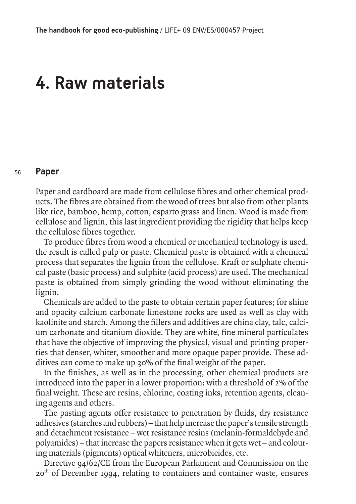# **4. Raw materials**

#### 56 **Paper**

Paper and cardboard are made from cellulose fibres and other chemical products. The fibres are obtained from the wood of trees but also from other plants like rice, bamboo, hemp, cotton, esparto grass and linen. Wood is made from cellulose and lignin, this last ingredient providing the rigidity that helps keep the cellulose fibres together.

To produce fibres from wood a chemical or mechanical technology is used, the result is called pulp or paste. Chemical paste is obtained with a chemical process that separates the lignin from the cellulose. Kraft or sulphate chemical paste (basic process) and sulphite (acid process) are used. The mechanical paste is obtained from simply grinding the wood without eliminating the lignin.

Chemicals are added to the paste to obtain certain paper features; for shine and opacity calcium carbonate limestone rocks are used as well as clay with kaolinite and starch. Among the fillers and additives are china clay, talc, calcium carbonate and titanium dioxide. They are white, fine mineral particulates that have the objective of improving the physical, visual and printing properties that denser, whiter, smoother and more opaque paper provide. These additives can come to make up 30% of the final weight of the paper.

In the finishes, as well as in the processing, other chemical products are introduced into the paper in a lower proportion: with a threshold of 2% of the final weight. These are resins, chlorine, coating inks, retention agents, cleaning agents and others.

The pasting agents offer resistance to penetration by fluids, dry resistance adhesives (starches and rubbers) – that help increase the paper's tensile strength and detachment resistance – wet resistance resins (melanin-formaldehyde and polyamides) – that increase the papers resistance when it gets wet – and colouring materials (pigments) optical whiteners, microbicides, etc.

Directive 94/62/CE from the European Parliament and Commission on the 20<sup>th</sup> of December 1994, relating to containers and container waste, ensures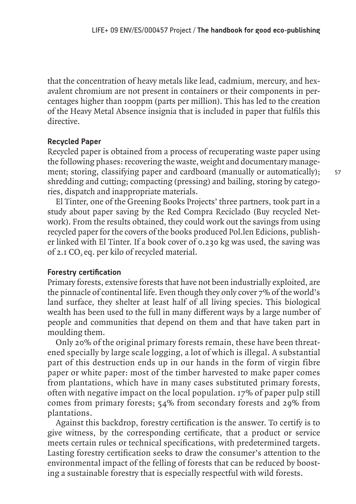that the concentration of heavy metals like lead, cadmium, mercury, and hexavalent chromium are not present in containers or their components in percentages higher than 100ppm (parts per million). This has led to the creation of the Heavy Metal Absence insignia that is included in paper that fulfils this directive.

### **Recycled Paper**

Recycled paper is obtained from a process of recuperating waste paper using the following phases: recovering the waste, weight and documentary management; storing, classifying paper and cardboard (manually or automatically); shredding and cutting; compacting (pressing) and bailing, storing by categories, dispatch and inappropriate materials.

El Tinter, one of the Greening Books Projects' three partners, took part in a study about paper saving by the Red Compra Reciclado (Buy recycled Network). From the results obtained, they could work out the savings from using recycled paper for the covers of the books produced Pol.len Edicions, publisher linked with El Tinter. If a book cover of 0.230 kg was used, the saving was of  $2.1 \text{ CO}_2$  eq. per kilo of recycled material.

## **Forestry certification**

Primary forests, extensive forests that have not been industrially exploited, are the pinnacle of continental life. Even though they only cover 7% of the world's land surface, they shelter at least half of all living species. This biological wealth has been used to the full in many different ways by a large number of people and communities that depend on them and that have taken part in moulding them.

Only 20% of the original primary forests remain, these have been threatened specially by large scale logging, a lot of which is illegal. A substantial part of this destruction ends up in our hands in the form of virgin fibre paper or white paper: most of the timber harvested to make paper comes from plantations, which have in many cases substituted primary forests, often with negative impact on the local population. 17% of paper pulp still comes from primary forests; 54% from secondary forests and 29% from plantations.

Against this backdrop, forestry certification is the answer. To certify is to give witness, by the corresponding certificate, that a product or service meets certain rules or technical specifications, with predetermined targets. Lasting forestry certification seeks to draw the consumer's attention to the environmental impact of the felling of forests that can be reduced by boosting a sustainable forestry that is especially respectful with wild forests.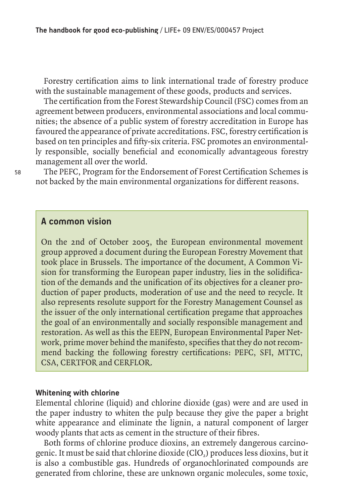Forestry certification aims to link international trade of forestry produce with the sustainable management of these goods, products and services.

The certification from the Forest Stewardship Council (FSC) comes from an agreement between producers, environmental associations and local communities; the absence of a public system of forestry accreditation in Europe has favoured the appearance of private accreditations. FSC, forestry certification is based on ten principles and fifty-six criteria. FSC promotes an environmentally responsible, socially beneficial and economically advantageous forestry management all over the world.

The PEFC, Program for the Endorsement of Forest Certification Schemes is not backed by the main environmental organizations for different reasons.

## **A common vision**

On the 2nd of October 2005, the European environmental movement group approved a document during the European Forestry Movement that took place in Brussels. The importance of the document, A Common Vision for transforming the European paper industry, lies in the solidification of the demands and the unification of its objectives for a cleaner production of paper products, moderation of use and the need to recycle. It also represents resolute support for the Forestry Management Counsel as the issuer of the only international certification pregame that approaches the goal of an environmentally and socially responsible management and restoration. As well as this the EEPN, European Environmental Paper Network, prime mover behind the manifesto, specifies that they do not recommend backing the following forestry certifications: PEFC, SFI, MTTC, CSA, CERTFOR and CERFLOR.

#### **Whitening with chlorine**

Elemental chlorine (liquid) and chlorine dioxide (gas) were and are used in the paper industry to whiten the pulp because they give the paper a bright white appearance and eliminate the lignin, a natural component of larger woody plants that acts as cement in the structure of their fibres.

Both forms of chlorine produce dioxins, an extremely dangerous carcinogenic. It must be said that chlorine dioxide (ClO<sub>2</sub>) produces less dioxins, but it is also a combustible gas. Hundreds of organochlorinated compounds are generated from chlorine, these are unknown organic molecules, some toxic,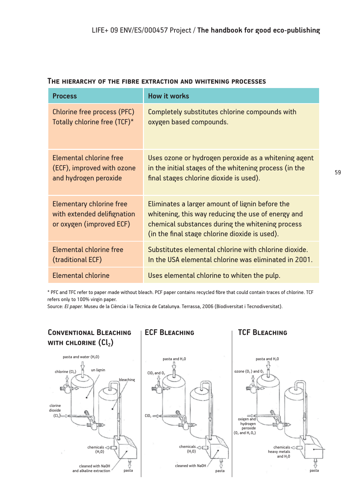| <b>Process</b>                                                                             | <b>How it works</b>                                                                                                                                                                                         |
|--------------------------------------------------------------------------------------------|-------------------------------------------------------------------------------------------------------------------------------------------------------------------------------------------------------------|
| Chlorine free process (PFC)                                                                | Completely substitutes chlorine compounds with                                                                                                                                                              |
| Totally chlorine free (TCF)*                                                               | oxygen based compounds.                                                                                                                                                                                     |
| Elemental chlorine free                                                                    | Uses ozone or hydrogen peroxide as a whitening agent                                                                                                                                                        |
| (ECF), improved with ozone                                                                 | in the initial stages of the whitening process (in the                                                                                                                                                      |
| and hydrogen peroxide                                                                      | final stages chlorine dioxide is used).                                                                                                                                                                     |
| <b>Elementary chlorine free</b><br>with extended delifignation<br>or oxygen (improved ECF) | Eliminates a larger amount of lignin before the<br>whitening, this way reducing the use of energy and<br>chemical substances during the whitening process<br>(in the final stage chlorine dioxide is used). |
| Elemental chlorine free                                                                    | Substitutes elemental chlorine with chlorine dioxide.                                                                                                                                                       |
| (traditional ECF)                                                                          | In the USA elemental chlorine was eliminated in 2001.                                                                                                                                                       |
| Elemental chlorine                                                                         | Uses elemental chlorine to whiten the pulp.                                                                                                                                                                 |

#### **The hierarchy of the fibre extraction and whitening processes**

\* PFC and TFC refer to paper made without bleach. PCF paper contains recycled fibre that could contain traces of chlorine. TCF refers only to 100% virgin paper.

Source: *El paper.* Museu de la Ciència i la Tècnica de Catalunya. Terrassa, 2006 (Biodiversitat i Tecnodiversitat).



59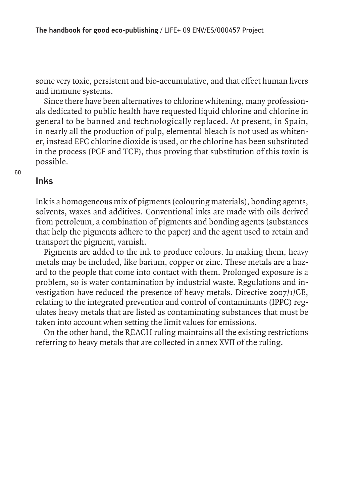some very toxic, persistent and bio-accumulative, and that effect human livers and immune systems.

Since there have been alternatives to chlorine whitening, many professionals dedicated to public health have requested liquid chlorine and chlorine in general to be banned and technologically replaced. At present, in Spain, in nearly all the production of pulp, elemental bleach is not used as whitener, instead EFC chlorine dioxide is used, or the chlorine has been substituted in the process (PCF and TCF), thus proving that substitution of this toxin is possible.

## **Inks**

Ink is a homogeneous mix of pigments (colouring materials), bonding agents, solvents, waxes and additives. Conventional inks are made with oils derived from petroleum, a combination of pigments and bonding agents (substances that help the pigments adhere to the paper) and the agent used to retain and transport the pigment, varnish.

Pigments are added to the ink to produce colours. In making them, heavy metals may be included, like barium, copper or zinc. These metals are a hazard to the people that come into contact with them. Prolonged exposure is a problem, so is water contamination by industrial waste. Regulations and investigation have reduced the presence of heavy metals. Directive 2007/1/CE, relating to the integrated prevention and control of contaminants (IPPC) regulates heavy metals that are listed as contaminating substances that must be taken into account when setting the limit values for emissions.

On the other hand, the REACH ruling maintains all the existing restrictions referring to heavy metals that are collected in annex XVII of the ruling.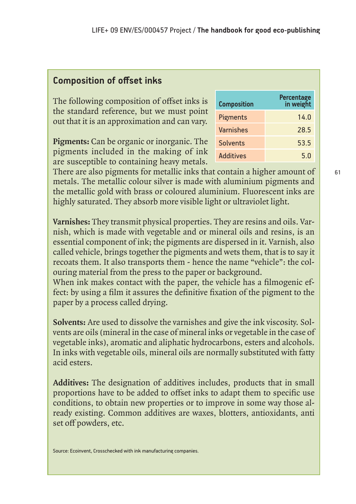## **Composition of offset inks**

The following composition of offset inks is the standard reference, but we must point out that it is an approximation and can vary.

**Pigments:** Can be organic or inorganic. The pigments included in the making of ink are susceptible to containing heavy metals.

There are also pigments for metallic inks that contain a higher amount of metals. The metallic colour silver is made with aluminium pigments and the metallic gold with brass or coloured aluminium. Fluorescent inks are highly saturated. They absorb more visible light or ultraviolet light.

**Varnishes:** They transmit physical properties. They are resins and oils. Varnish, which is made with vegetable and or mineral oils and resins, is an essential component of ink; the pigments are dispersed in it. Varnish, also called vehicle, brings together the pigments and wets them, that is to say it recoats them. It also transports them - hence the name "vehicle": the colouring material from the press to the paper or background.

When ink makes contact with the paper, the vehicle has a filmogenic effect: by using a film it assures the definitive fixation of the pigment to the paper by a process called drying.

**Solvents:** Are used to dissolve the varnishes and give the ink viscosity. Solvents are oils (mineral in the case of mineral inks or vegetable in the case of vegetable inks), aromatic and aliphatic hydrocarbons, esters and alcohols. In inks with vegetable oils, mineral oils are normally substituted with fatty acid esters.

**Additives:** The designation of additives includes, products that in small proportions have to be added to offset inks to adapt them to specific use conditions, to obtain new properties or to improve in some way those already existing. Common additives are waxes, blotters, antioxidants, anti set off powders, etc.

| <b>Composition</b> | Percentage<br>in weight |
|--------------------|-------------------------|
| <b>Pigments</b>    | 14.0                    |
| <b>Varnishes</b>   | 28.5                    |
| <b>Solvents</b>    | 53.5                    |
| <b>Additives</b>   | 5.0                     |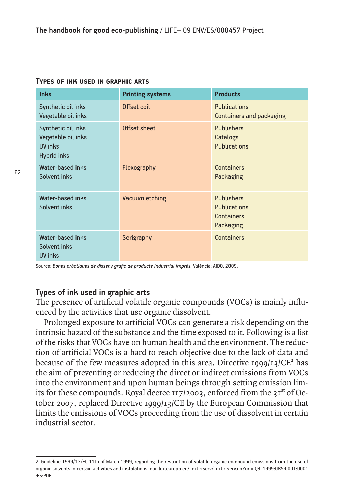| <b>Inks</b>                                                                      | <b>Printing systems</b> | <b>Products</b>                                                     |
|----------------------------------------------------------------------------------|-------------------------|---------------------------------------------------------------------|
| Synthetic oil inks<br>Vegetable oil inks                                         | Offset coil             | <b>Publications</b><br><b>Containers and packaging</b>              |
| Synthetic oil inks<br>Vegetable oil inks<br><b>UV inks</b><br><b>Hybrid inks</b> | Offset sheet            | <b>Publishers</b><br>Catalogs<br><b>Publications</b>                |
| Water-based inks<br>Solvent inks                                                 | Flexography             | <b>Containers</b><br>Packaging                                      |
| Water-based inks<br>Solvent inks                                                 | Vacuum etching          | <b>Publishers</b><br><b>Publications</b><br>Containers<br>Packaging |
| Water-based inks<br>Solvent inks<br>UV inks                                      | Serigraphy              | <b>Containers</b>                                                   |

#### **Types of ink used in graphic arts**

Source: *Bones pràctiques de disseny gràfic de producte Industrial imprès.* València: AIDO, 2009.

#### **Types of ink used in graphic arts**

The presence of artificial volatile organic compounds (VOCs) is mainly influenced by the activities that use organic dissolvent.

Prolonged exposure to artificial VOCs can generate a risk depending on the intrinsic hazard of the substance and the time exposed to it. Following is a list of the risks that VOCs have on human health and the environment. The reduction of artificial VOCs is a hard to reach objective due to the lack of data and because of the few measures adopted in this area. Directive 1999/13/ $CE<sup>2</sup>$  has the aim of preventing or reducing the direct or indirect emissions from VOCs into the environment and upon human beings through setting emission limits for these compounds. Royal decree  $117/2003$ , enforced from the  $31<sup>st</sup>$  of October 2007, replaced Directive 1999/13/CE by the European Commission that limits the emissions of VOCs proceeding from the use of dissolvent in certain industrial sector.

<sup>2.</sup> Guideline 1999/13/EC 11th of March 1999, regarding the restriction of volatile organic compound emissions from the use of organic solvents in certain activities and instalations: eur-lex.europa.eu/LexUriServ/LexUriServ.do?uri=OJ:L:1999:085:0001:0001 :ES:PDF.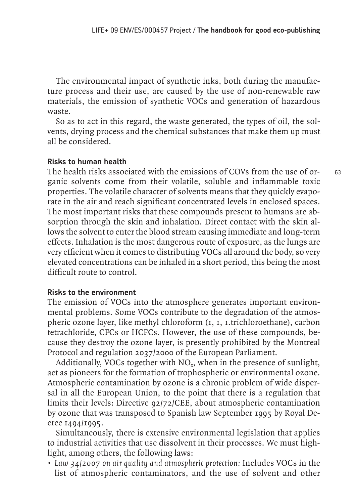The environmental impact of synthetic inks, both during the manufacture process and their use, are caused by the use of non-renewable raw materials, the emission of synthetic VOCs and generation of hazardous waste.

So as to act in this regard, the waste generated, the types of oil, the solvents, drying process and the chemical substances that make them up must all be considered.

#### **Risks to human health**

The health risks associated with the emissions of COVs from the use of organic solvents come from their volatile, soluble and inflammable toxic properties. The volatile character of solvents means that they quickly evaporate in the air and reach significant concentrated levels in enclosed spaces. The most important risks that these compounds present to humans are absorption through the skin and inhalation. Direct contact with the skin allows the solvent to enter the blood stream causing immediate and long-term effects. Inhalation is the most dangerous route of exposure, as the lungs are very efficient when it comes to distributing VOCs all around the body, so very elevated concentrations can be inhaled in a short period, this being the most difficult route to control.

#### **Risks to the environment**

The emission of VOCs into the atmosphere generates important environmental problems. Some VOCs contribute to the degradation of the atmospheric ozone layer, like methyl chloroform (1, 1, 1.trichloroethane), carbon tetrachloride, CFCs or HCFCs. However, the use of these compounds, because they destroy the ozone layer, is presently prohibited by the Montreal Protocol and regulation 2037/2000 of the European Parliament.

Additionally, VOCs together with  $NO<sub>x</sub>$ , when in the presence of sunlight, act as pioneers for the formation of trophospheric or environmental ozone. Atmospheric contamination by ozone is a chronic problem of wide dispersal in all the European Union, to the point that there is a regulation that limits their levels: Directive 92/72/CEE, about atmospheric contamination by ozone that was transposed to Spanish law September 1995 by Royal Decree 1494/1995.

Simultaneously, there is extensive environmental legislation that applies to industrial activities that use dissolvent in their processes. We must highlight, among others, the following laws:

*• Law 34/2007 on air quality and atmospheric protection:* Includes VOCs in the list of atmospheric contaminators, and the use of solvent and other 63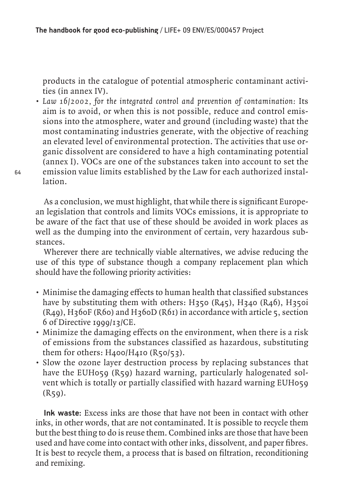products in the catalogue of potential atmospheric contaminant activities (in annex IV).

*• Law 16/2002, for the integrated control and prevention of contamination:* Its aim is to avoid, or when this is not possible, reduce and control emissions into the atmosphere, water and ground (including waste) that the most contaminating industries generate, with the objective of reaching an elevated level of environmental protection. The activities that use organic dissolvent are considered to have a high contaminating potential (annex I). VOCs are one of the substances taken into account to set the emission value limits established by the Law for each authorized installation.

As a conclusion, we must highlight, that while there is significant European legislation that controls and limits VOCs emissions, it is appropriate to be aware of the fact that use of these should be avoided in work places as well as the dumping into the environment of certain, very hazardous substances.

Wherever there are technically viable alternatives, we advise reducing the use of this type of substance though a company replacement plan which should have the following priority activities:

- Minimise the damaging effects to human health that classified substances have by substituting them with others: H350 (R45), H340 (R46), H350i  $(R<sub>49</sub>)$ , H<sub>3</sub>60F (R<sub>60</sub>) and H<sub>3</sub>60D (R<sub>61</sub>) in accordance with article 5, section 6 of Directive 1999/13/CE.
- Minimize the damaging effects on the environment, when there is a risk of emissions from the substances classified as hazardous, substituting them for others: H400/H410 (R50/53).
- Slow the ozone layer destruction process by replacing substances that have the EUH059 (R59) hazard warning, particularly halogenated solvent which is totally or partially classified with hazard warning EUH059  $(R59)$ .

**Ink waste:** Excess inks are those that have not been in contact with other inks, in other words, that are not contaminated. It is possible to recycle them but the best thing to do is reuse them. Combined inks are those that have been used and have come into contact with other inks, dissolvent, and paper fibres. It is best to recycle them, a process that is based on filtration, reconditioning and remixing.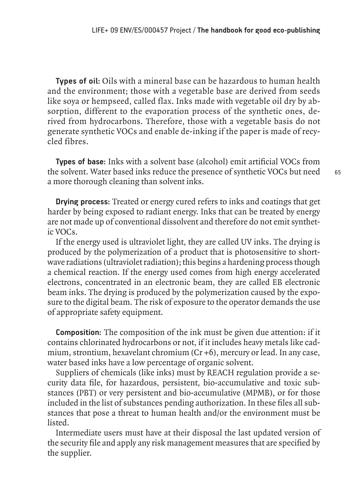**Types of oil:** Oils with a mineral base can be hazardous to human health and the environment; those with a vegetable base are derived from seeds like soya or hempseed, called flax. Inks made with vegetable oil dry by absorption, different to the evaporation process of the synthetic ones, derived from hydrocarbons. Therefore, those with a vegetable basis do not generate synthetic VOCs and enable de-inking if the paper is made of recycled fibres.

**Types of base:** Inks with a solvent base (alcohol) emit artificial VOCs from the solvent. Water based inks reduce the presence of synthetic VOCs but need a more thorough cleaning than solvent inks.

**Drying process:** Treated or energy cured refers to inks and coatings that get harder by being exposed to radiant energy. Inks that can be treated by energy are not made up of conventional dissolvent and therefore do not emit synthetic VOCs.

If the energy used is ultraviolet light, they are called UV inks. The drying is produced by the polymerization of a product that is photosensitive to shortwave radiations (ultraviolet radiation); this begins a hardening process though a chemical reaction. If the energy used comes from high energy accelerated electrons, concentrated in an electronic beam, they are called EB electronic beam inks. The drying is produced by the polymerization caused by the exposure to the digital beam. The risk of exposure to the operator demands the use of appropriate safety equipment.

**Composition:** The composition of the ink must be given due attention: if it contains chlorinated hydrocarbons or not, if it includes heavy metals like cadmium, strontium, hexavelant chromium (Cr +6), mercury or lead. In any case, water based inks have a low percentage of organic solvent.

Suppliers of chemicals (like inks) must by REACH regulation provide a security data file, for hazardous, persistent, bio-accumulative and toxic substances (PBT) or very persistent and bio-accumulative (MPMB), or for those included in the list of substances pending authorization. In these files all substances that pose a threat to human health and/or the environment must be listed.

Intermediate users must have at their disposal the last updated version of the security file and apply any risk management measures that are specified by the supplier.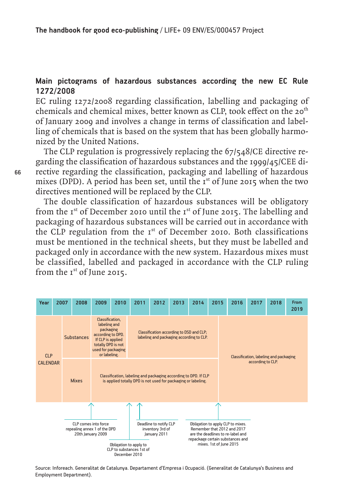#### **Main pictograms of hazardous substances according the new EC Rule 1272/2008**

EC ruling 1272/2008 regarding classification, labelling and packaging of chemicals and chemical mixes, better known as CLP, took effect on the 20<sup>th</sup> of January 2009 and involves a change in terms of classification and labelling of chemicals that is based on the system that has been globally harmonized by the United Nations.

The CLP regulation is progressively replacing the 67/548/CE directive regarding the classification of hazardous substances and the 1999/45/CEE directive regarding the classification, packaging and labelling of hazardous mixes (DPD). A period has been set, until the  $I<sup>st</sup>$  of June 2015 when the two directives mentioned will be replaced by the CLP.

The double classification of hazardous substances will be obligatory from the  $I^{st}$  of December 2010 until the  $I^{st}$  of June 2015. The labelling and packaging of hazardous substances will be carried out in accordance with the CLP regulation from the  $I<sup>st</sup>$  of December 2010. Both classifications must be mentioned in the technical sheets, but they must be labelled and packaged only in accordance with the new system. Hazardous mixes must be classified, labelled and packaged in accordance with the CLP ruling from the 1<sup>st</sup> of June 2015.



Source: Inforeach. Generalitat de Catalunya. Departament d'Empresa i Ocupació. (Generalitat de Catalunya's Business and Employment Department).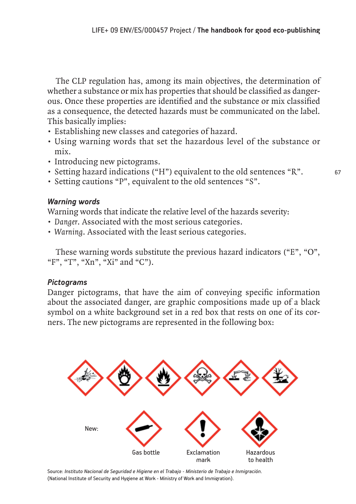The CLP regulation has, among its main objectives, the determination of whether a substance or mix has properties that should be classified as dangerous. Once these properties are identified and the substance or mix classified as a consequence, the detected hazards must be communicated on the label. This basically implies:

- Establishing new classes and categories of hazard.
- Using warning words that set the hazardous level of the substance or mix.
- Introducing new pictograms.
- Setting hazard indications ("H") equivalent to the old sentences "R".
- Setting cautions "P", equivalent to the old sentences "S".

### *Warning words*

Warning words that indicate the relative level of the hazards severity:

- *Danger*. Associated with the most serious categories.
- *Warning*. Associated with the least serious categories.

These warning words substitute the previous hazard indicators ("E", "O", "F", "T", "Xn", "Xi" and "C").

## *Pictograms*

Danger pictograms, that have the aim of conveying specific information about the associated danger, are graphic compositions made up of a black symbol on a white background set in a red box that rests on one of its corners. The new pictograms are represented in the following box:



Source: *Instituto Nacional de Seguridad e Higiene en el Trabajo - Ministerio de Trabajo e Inmigración*. (National Institute of Security and Hygiene at Work - Ministry of Work and Immigration).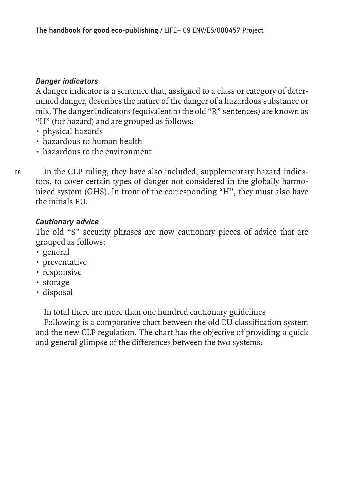## *Danger indicators*

A danger indicator is a sentence that, assigned to a class or category of determined danger, describes the nature of the danger of a hazardous substance or mix. The danger indicators (equivalent to the old "R" sentences) are known as "H" (for hazard) and are grouped as follows:

- physical hazards
- hazardous to human health
- hazardous to the environment

In the CLP ruling, they have also included, supplementary hazard indicators, to cover certain types of danger not considered in the globally harmonized system (GHS). In front of the corresponding "H", they must also have the initials EU.

## *Cautionary advice*

The old "S" security phrases are now cautionary pieces of advice that are grouped as follows:

• general

68

- preventative
- responsive
- storage
- disposal

In total there are more than one hundred cautionary guidelines

Following is a comparative chart between the old EU classification system and the new CLP regulation. The chart has the objective of providing a quick and general glimpse of the differences between the two systems: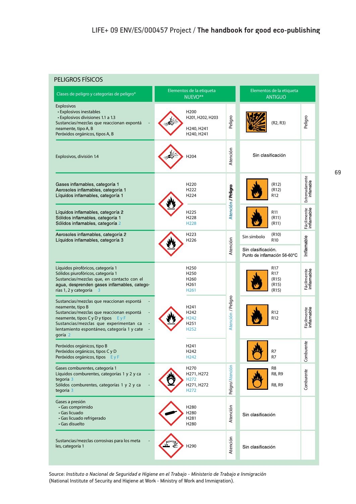#### **PELIGROS FÍSICOS**

| Clases de peligro y categorías de peligro*                                                                                                                                                                                                            | Elementos de la etiqueta<br>NUEVO <sup>**</sup>                                                  |                      | Elementos de la etiqueta<br><b>ANTIGUO</b>         |                              |
|-------------------------------------------------------------------------------------------------------------------------------------------------------------------------------------------------------------------------------------------------------|--------------------------------------------------------------------------------------------------|----------------------|----------------------------------------------------|------------------------------|
| <b>Explosivos</b><br>• Explosivos inestables<br>• Explosivos divisiones 1.1 a 1.3<br>Sustancias/mezclas que reaccionan expontá<br>neamente, tipo A, B<br>Peróxidos orgánicos, tipos A, B                                                              | H <sub>200</sub><br>H201, H202, H203<br>H240, H241<br>H240, H241                                 | Peligro              | (R2, R3)                                           | Peligro                      |
| Explosivos, división 1.4                                                                                                                                                                                                                              | H204                                                                                             | Atención             | Sin clasificación                                  |                              |
| Gases inflamables, categoría 1<br>Aerosoles inflamables, categoría 1<br>Líquidos inflamables, categoría 1                                                                                                                                             | H <sub>220</sub><br>H <sub>222</sub><br>H224                                                     | Atención // Pelligro | (R12)<br>(R12)<br>R12                              | Extremadamente<br>inflamable |
| Líquidos inflamables, categoría 2<br>Sólidos inflamables, categoría 1<br>Sólidos inflamables, categoría 2                                                                                                                                             | H225<br>H228<br>H228                                                                             |                      | R11<br>(R11)<br>(R11)                              | Fácilmente<br>inflamable     |
| Aerosoles inflamables, categoría 2<br>Líquidos inflamables, categoría 3                                                                                                                                                                               | H <sub>223</sub><br>H226                                                                         |                      | (R10)<br>Sin símbolo<br>R <sub>10</sub>            |                              |
|                                                                                                                                                                                                                                                       |                                                                                                  | Atención             | Sin clasificación.<br>Punto de inflamación 56-60°C | Inflamable                   |
| Líquidos pirofóricos, categoría 1<br>Sólidos piurofóricos, categoría 1<br>Sustancias/mezclas que, en contacto con el<br>agua, desprenden gases inflamables, catego-<br>rías 1, 2 y categoría                                                          | H <sub>250</sub><br>H <sub>250</sub><br>H <sub>260</sub><br>H <sub>261</sub><br>H <sub>261</sub> |                      | R17<br>R17<br>(R15)<br>(R15)<br>(R15)              | Fácilmente<br>inflamable     |
| Sustancias/mezclas que reaccionan espontá<br>neamente, tipo B<br>Sustancias/mezclas que reaccionan espontá<br>neamente, tipos C y D y tipos<br>EyF<br>Sustancias/mezclas que experimentan ca<br>lentamiento espontáneo, categoría 1 y cate<br>goría 2 | H241<br>H242<br>H <sub>242</sub><br>H251<br>H <sub>252</sub>                                     | Atención / Peligro   | R <sub>12</sub><br>R12                             | Fácilmente<br>inflamable     |
| Peróxidos orgánicos, tipo B<br>Peróxidos orgánicos, tipos C y D<br>Peróxidos orgánicos, tipos E y F                                                                                                                                                   | H <sub>241</sub><br>H242<br>H <sub>242</sub>                                                     |                      | R7                                                 | Comburente                   |
| Gases comburentes, categoría 1<br>Líquidos comburentes, categorías 1 y 2 y ca<br>tegoria 3<br>Sólidos comburentes, categorías 1 y 2 y ca<br>tegoria 3                                                                                                 | H <sub>270</sub><br>H271, H272<br>H <sub>272</sub><br>H271, H272<br>H <sub>272</sub>             | Peligro/Atención     | R8<br>R8, R9<br>R8, R9                             | Comburente                   |
| Gases a presión<br>• Gas comprimido<br>• Gas licuado<br>· Gas licuado refrigerado<br>• Gas disuelto                                                                                                                                                   | H280<br>H280<br>H281<br>H <sub>280</sub>                                                         | Atención             | Sin clasificación                                  |                              |
| Sustancias/mezclas corrosivas para los meta<br>les, categoría 1                                                                                                                                                                                       | H290                                                                                             | Atención             | Sin clasificación                                  |                              |

Source: *Instituto o Nacional de Seguridad e Higiene en el Trabajo - Ministerio de Trabajo e Inmigración*  (National Institute of Security and Higiene at Work - Ministry of Work and Immigration).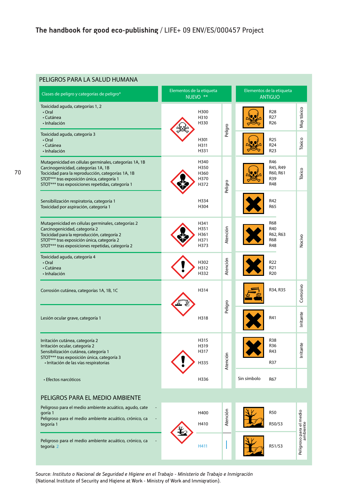#### **PELIGROS PARA LA SALUD HUMANA**

| Clases de peligro y categorías de peligro*                                                                                                                                                                                                           | Elementos de la etiqueta<br>NUEVO <sup>**</sup>  | Elementos de la etiqueta<br><b>ANTIGUO</b>                          |
|------------------------------------------------------------------------------------------------------------------------------------------------------------------------------------------------------------------------------------------------------|--------------------------------------------------|---------------------------------------------------------------------|
| Toxicidad aguda, categorías 1, 2<br>$\cdot$ Oral<br>• Cutánea<br>· Inhalación                                                                                                                                                                        | H300<br>H310<br>H330                             | Muy tóxico<br>R <sub>28</sub><br>R <sub>27</sub><br>R26             |
| Toxicidad aguda, categoría 3<br>• Oral<br>· Cutánea<br>· Inhalación                                                                                                                                                                                  | Peligro<br>H301<br>H311<br>H331                  | R25<br>Tóxico<br>R <sub>24</sub><br>R <sub>23</sub>                 |
| Mutagenicidad en células germinales, categorías 1A, 1B<br>Carcinogenicidad, categorías 1A, 1B<br>Tocicidad para la reproducción, categorías 1A, 1B<br>STOT*** tras exposición única, categoría 1<br>STOT*** tras exposiciones repetidas, categoría 1 | H340<br>H350<br>H360<br>H370<br>Peligro<br>H372  | R46<br>R45, R49<br>Tóxico<br>R60, R61<br>R39<br>R48                 |
| Sensibilización respiratoria, categoría 1<br>Toxicidad por aspiración, categoria 1                                                                                                                                                                   | H334<br>H304                                     | R42<br>R65                                                          |
| Mutagenicidad en células germinales, categorías 2<br>Carcinogenicidad, categoría 2<br>Tocicidad para la reproducción, categoría 2<br>STOT*** tras exposición única, categoría 2<br>STOT*** tras exposiciones repetidas, categoría 2                  | H341<br>Atención<br>H351<br>H361<br>H371<br>H373 | <b>R68</b><br>R40<br>R62, R63<br>Nocivo<br><b>R68</b><br><b>R48</b> |
| Toxicidad aguda, categoría 4<br>$\cdot$ Oral<br>· Cutánea<br>· Inhalación                                                                                                                                                                            | Atención<br>H302<br>H312<br>H332                 | R <sub>22</sub><br>R <sub>21</sub><br>R <sub>20</sub>               |
| Corrosión cutánea, categorías 1A, 1B, 1C                                                                                                                                                                                                             | H314                                             | Corrosivo<br>R34, R35                                               |
| Lesión ocular grave, categoría 1                                                                                                                                                                                                                     | Peligro<br>H318                                  | Irritante<br>R41                                                    |
| Irritación cutánea, categoría 2<br>Irritación ocular, categoría 2<br>Sensibilización cutánea, categoría 1<br>STOT*** tras exposición única, categoría 3<br>· Irritación de las vías respiratorias                                                    | H315<br>H319<br>H317<br>Atención<br>H335         | R38<br>tante<br>R36<br>R43<br>Έ<br>R37                              |
| • Efectos narcóticos                                                                                                                                                                                                                                 | H336                                             | Sin símbolo<br>R67                                                  |
| PELIGROS PARA EL MEDIO AMBIENTE                                                                                                                                                                                                                      |                                                  |                                                                     |
| Peligroso para el medio ambiente acuático, agudo, cate<br>qoría 1<br>Peligroso para el medio ambiente acuático, crónico, ca<br>tegoría 1                                                                                                             | Atención<br>H400<br>H410                         | <b>R50</b><br>R50/53                                                |
| Peligroso para el medio ambiente acuático, crónico, ca<br>tegoría 2                                                                                                                                                                                  | H411                                             | Peligroso para el medio<br>ambiente<br>R51/53                       |

Source: *Instituto o Nacional de Seguridad e Higiene en el Trabajo - Ministerio de Trabajo e Inmigración*  (National Institute of Security and Higiene at Work - Ministry of Work and Immigration).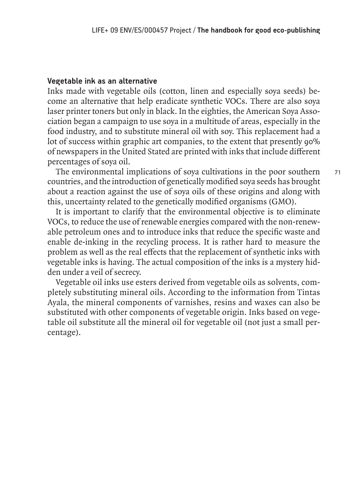### **Vegetable ink as an alternative**

Inks made with vegetable oils (cotton, linen and especially soya seeds) become an alternative that help eradicate synthetic VOCs. There are also soya laser printer toners but only in black. In the eighties, the American Soya Association began a campaign to use soya in a multitude of areas, especially in the food industry, and to substitute mineral oil with soy. This replacement had a lot of success within graphic art companies, to the extent that presently 90% of newspapers in the United Stated are printed with inks that include different percentages of soya oil.

The environmental implications of soya cultivations in the poor southern countries, and the introduction of genetically modified soya seeds has brought about a reaction against the use of soya oils of these origins and along with this, uncertainty related to the genetically modified organisms (GMO).

It is important to clarify that the environmental objective is to eliminate VOCs, to reduce the use of renewable energies compared with the non-renewable petroleum ones and to introduce inks that reduce the specific waste and enable de-inking in the recycling process. It is rather hard to measure the problem as well as the real effects that the replacement of synthetic inks with vegetable inks is having. The actual composition of the inks is a mystery hidden under a veil of secrecy.

Vegetable oil inks use esters derived from vegetable oils as solvents, completely substituting mineral oils. According to the information from Tintas Ayala, the mineral components of varnishes, resins and waxes can also be substituted with other components of vegetable origin. Inks based on vegetable oil substitute all the mineral oil for vegetable oil (not just a small percentage).

71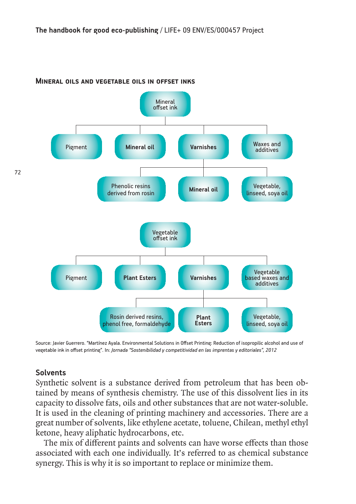

#### **Mineral oils and vegetable oils in offset inks**

Source: Javier Guerrero. "Martínez Ayala. Environmental Solutions in Offset Printing: Reduction of isopropilic alcohol and use of vegetable ink in offset printing". In: *Jornada "Sostenibilidad y competitividad en las imprentas y editoriales", 2012*

#### **Solvents**

Synthetic solvent is a substance derived from petroleum that has been obtained by means of synthesis chemistry. The use of this dissolvent lies in its capacity to dissolve fats, oils and other substances that are not water-soluble. It is used in the cleaning of printing machinery and accessories. There are a great number of solvents, like ethylene acetate, toluene, Chilean, methyl ethyl ketone, heavy aliphatic hydrocarbons, etc.

The mix of different paints and solvents can have worse effects than those associated with each one individually. It's referred to as chemical substance synergy. This is why it is so important to replace or minimize them.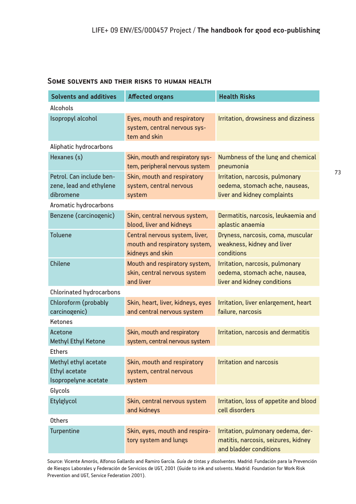#### **Some solvents and their risks to human health**

| <b>Solvents and additives</b>                                        | <b>Affected organs</b>                                                              | <b>Health Risks</b>                                                                                 |  |  |
|----------------------------------------------------------------------|-------------------------------------------------------------------------------------|-----------------------------------------------------------------------------------------------------|--|--|
| Alcohols                                                             |                                                                                     |                                                                                                     |  |  |
| Isopropyl alcohol                                                    | Eyes, mouth and respiratory<br>system, central nervous sys-<br>tem and skin         | Irritation, drowsiness and dizziness                                                                |  |  |
| Aliphatic hydrocarbons                                               |                                                                                     |                                                                                                     |  |  |
| Hexanes (s)                                                          | Skin, mouth and respiratory sys-<br>tem, peripheral nervous system                  | Numbness of the lung and chemical<br>pneumonia                                                      |  |  |
| Petrol. Can include ben-<br>zene, lead and ethylene<br>dibromene     | Skin, mouth and respiratory<br>system, central nervous<br>system                    | Irritation, narcosis, pulmonary<br>oedema, stomach ache, nauseas,<br>liver and kidney complaints    |  |  |
| Aromatic hydrocarbons                                                |                                                                                     |                                                                                                     |  |  |
| Benzene (carcinogenic)                                               | Skin, central nervous system,<br>blood, liver and kidneys                           | Dermatitis, narcosis, leukaemia and<br>aplastic anaemia                                             |  |  |
| <b>Toluene</b>                                                       | Central nervous system, liver,<br>mouth and respiratory system,<br>kidneys and skin | Dryness, narcosis, coma, muscular<br>weakness, kidney and liver<br>conditions                       |  |  |
| Chilene                                                              | Mouth and respiratory system,<br>skin, central nervous system<br>and liver          | Irritation, narcosis, pulmonary<br>oedema, stomach ache, nausea,<br>liver and kidney conditions     |  |  |
| <b>Chlorinated hydrocarbons</b>                                      |                                                                                     |                                                                                                     |  |  |
| Chloroform (probably<br>carcinogenic)                                | Skin, heart, liver, kidneys, eyes<br>and central nervous system                     | Irritation, liver enlargement, heart<br>failure, narcosis                                           |  |  |
| <b>Ketones</b>                                                       |                                                                                     |                                                                                                     |  |  |
| Acetone<br><b>Methyl Ethyl Ketone</b>                                | Skin, mouth and respiratory<br>system, central nervous system                       | Irritation, narcosis and dermatitis                                                                 |  |  |
| <b>Ethers</b>                                                        |                                                                                     |                                                                                                     |  |  |
| Methyl ethyl acetate<br><b>Ethyl acetate</b><br>Isopropelyne acetate | Skin, mouth and respiratory<br>system, central nervous<br>system                    | <b>Irritation and narcosis</b>                                                                      |  |  |
| Glycols                                                              |                                                                                     |                                                                                                     |  |  |
| Etylglycol                                                           | Skin, central nervous system<br>and kidneys                                         | Irritation, loss of appetite and blood<br>cell disorders                                            |  |  |
| <b>Others</b>                                                        |                                                                                     |                                                                                                     |  |  |
| <b>Turpentine</b>                                                    | Skin, eyes, mouth and respira-<br>tory system and lungs                             | Irritation, pulmonary oedema, der-<br>matitis, narcosis, seizures, kidney<br>and bladder conditions |  |  |

Source: Vicente Amorós, Alfonso Gallardo and Ramiro García. *Guía de tintas y disolventes.* Madrid: Fundación para la Prevención de Riesgos Laborales y Federación de Servicios de UGT, 2001 (Guide to ink and solvents. Madrid: Foundation for Work Risk Prevention and UGT, Service Federation 2001).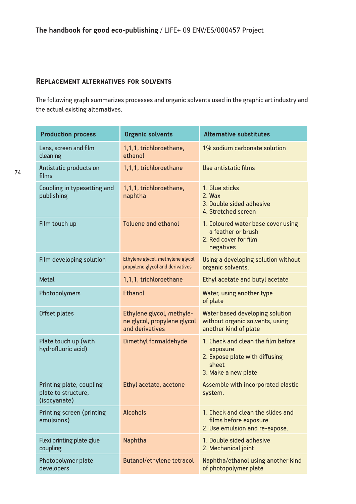#### **Replacement alternatives for solvents**

The following graph summarizes processes and organic solvents used in the graphic art industry and the actual existing alternatives.

| <b>Production process</b>                                       | <b>Organic solvents</b>                                                     | <b>Alternative substitutes</b>                                                                                   |
|-----------------------------------------------------------------|-----------------------------------------------------------------------------|------------------------------------------------------------------------------------------------------------------|
| Lens, screen and film<br>cleaning                               | 1,1,1, trichloroethane,<br>ethanol                                          | 1% sodium carbonate solution                                                                                     |
| Antistatic products on<br>films                                 | 1,1,1, trichloroethane                                                      | Use antistatic films                                                                                             |
| Coupling in typesetting and<br>publishing                       | 1,1,1, trichloroethane,<br>naphtha                                          | 1. Glue sticks<br>$2.$ Wax<br>3. Double sided adhesive<br>4. Stretched screen                                    |
| Film touch up                                                   | <b>Toluene and ethanol</b>                                                  | 1. Coloured water base cover using<br>a feather or brush<br>2. Red cover for film<br>negatives                   |
| Film developing solution                                        | Ethylene glycol, methylene glycol,<br>propylene glycol and derivatives      | Using a developing solution without<br>organic solvents.                                                         |
| <b>Metal</b>                                                    | 1,1,1, trichloroethane                                                      | Ethyl acetate and butyl acetate                                                                                  |
| Photopolymers                                                   | <b>Ethanol</b>                                                              | Water, using another type<br>of plate                                                                            |
| Offset plates                                                   | Ethylene glycol, methyle-<br>ne glycol, propylene glycol<br>and derivatives | Water based developing solution<br>without organic solvents, using<br>another kind of plate                      |
| Plate touch up (with<br>hydrofluoric acid)                      | Dimethyl formaldehyde                                                       | 1. Check and clean the film before<br>exposure<br>2. Expose plate with diffusing<br>sheet<br>3. Make a new plate |
| Printing plate, coupling<br>plate to structure,<br>(isocyanate) | Ethyl acetate, acetone                                                      | Assemble with incorporated elastic<br>system.                                                                    |
| Printing screen (printing<br>emulsions)                         | <b>Alcohols</b>                                                             | 1. Check and clean the slides and<br>films before exposure.<br>2. Use emulsion and re-expose.                    |
| Flexi printing plate glue<br>coupling                           | Naphtha                                                                     | 1. Double sided adhesive<br>2. Mechanical joint                                                                  |
| Photopolymer plate<br>developers                                | Butanol/ethylene tetracol                                                   | Naphtha/ethanol using another kind<br>of photopolymer plate                                                      |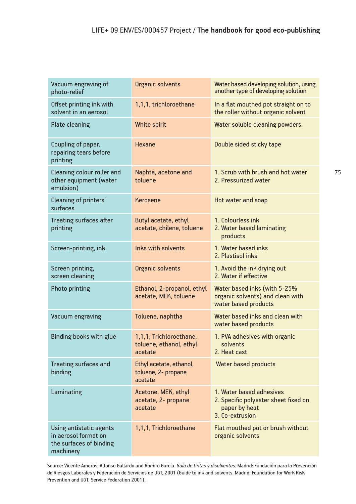| Vacuum engraving of<br>photo-relief                                                     | Organic solvents                                              | Water based developing solution, using<br>another type of developing solution                        |
|-----------------------------------------------------------------------------------------|---------------------------------------------------------------|------------------------------------------------------------------------------------------------------|
| Offset printing ink with<br>solvent in an aerosol                                       | 1,1,1, trichloroethane                                        | In a flat mouthed pot straight on to<br>the roller without organic solvent                           |
| Plate cleaning                                                                          | White spirit                                                  | Water soluble cleaning powders.                                                                      |
| Coupling of paper,<br>repairing tears before<br>printing                                | <b>Hexane</b>                                                 | Double sided sticky tape                                                                             |
| Cleaning colour roller and<br>other equipment (water<br>emulsion)                       | Naphta, acetone and<br>toluene                                | 1. Scrub with brush and hot water<br>2. Pressurized water                                            |
| Cleaning of printers'<br>surfaces                                                       | Kerosene                                                      | Hot water and soap                                                                                   |
| <b>Treating surfaces after</b><br>printing                                              | Butyl acetate, ethyl<br>acetate, chilene, toluene             | 1. Colourless ink<br>2. Water based laminating<br>products                                           |
| Screen-printing, ink                                                                    | Inks with solvents                                            | 1. Water based inks<br>2. Plastisol inks                                                             |
| Screen printing,<br>screen cleaning                                                     | Organic solvents                                              | 1. Avoid the ink drying out<br>2. Water if effective                                                 |
| Photo printing                                                                          | Ethanol, 2-propanol, ethyl<br>acetate, MEK, toluene           | Water based inks (with 5-25%<br>organic solvents) and clean with<br>water based products             |
| Vacuum engraving                                                                        | Toluene, naphtha                                              | Water based inks and clean with<br>water based products                                              |
| <b>Binding books with glue</b>                                                          | 1,1,1, Trichloroethane,<br>toluene, ethanol, ethyl<br>acetate | 1. PVA adhesives with organic<br>solvents<br>2. Heat cast                                            |
| Treating surfaces and<br>binding                                                        | Ethyl acetate, ethanol,<br>toluene, 2- propane<br>acetate     | <b>Water based products</b>                                                                          |
| Laminating                                                                              | Acetone, MEK, ethyl<br>acetate, 2- propane<br>acetate         | 1. Water based adhesives<br>2. Specific polyester sheet fixed on<br>paper by heat<br>3. Co-extrusion |
| Using antistatic agents<br>in aerosol format on<br>the surfaces of binding<br>machinery | 1,1,1, Trichloroethane                                        | Flat mouthed pot or brush without<br>organic solvents                                                |

Source: Vicente Amorós, Alfonso Gallardo and Ramiro García. *Guía de tintas y disolventes.* Madrid: Fundación para la Prevención de Riesgos Laborales y Federación de Servicios de UGT, 2001 (Guide to ink and solvents. Madrid: Foundation for Work Risk Prevention and UGT, Service Federation 2001).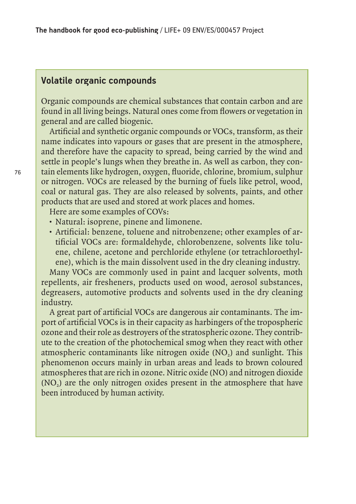## **Volatile organic compounds**

Organic compounds are chemical substances that contain carbon and are found in all living beings. Natural ones come from flowers or vegetation in general and are called biogenic.

Artificial and synthetic organic compounds or VOCs, transform, as their name indicates into vapours or gases that are present in the atmosphere, and therefore have the capacity to spread, being carried by the wind and settle in people's lungs when they breathe in. As well as carbon, they contain elements like hydrogen, oxygen, fluoride, chlorine, bromium, sulphur or nitrogen. VOCs are released by the burning of fuels like petrol, wood, coal or natural gas. They are also released by solvents, paints, and other products that are used and stored at work places and homes.

Here are some examples of COVs:

- Natural: isoprene, pinene and limonene.
- Artificial: benzene, toluene and nitrobenzene; other examples of artificial VOCs are: formaldehyde, chlorobenzene, solvents like toluene, chilene, acetone and perchloride ethylene (or tetrachloroethylene), which is the main dissolvent used in the dry cleaning industry.

Many VOCs are commonly used in paint and lacquer solvents, moth repellents, air fresheners, products used on wood, aerosol substances, degreasers, automotive products and solvents used in the dry cleaning industry.

A great part of artificial VOCs are dangerous air contaminants. The import of artificial VOCs is in their capacity as harbingers of the tropospheric ozone and their role as destroyers of the stratospheric ozone. They contribute to the creation of the photochemical smog when they react with other atmospheric contaminants like nitrogen oxide (NO<sub>2</sub>) and sunlight. This phenomenon occurs mainly in urban areas and leads to brown coloured atmospheres that are rich in ozone. Nitric oxide (NO) and nitrogen dioxide (NO<sub>2</sub>) are the only nitrogen oxides present in the atmosphere that have been introduced by human activity.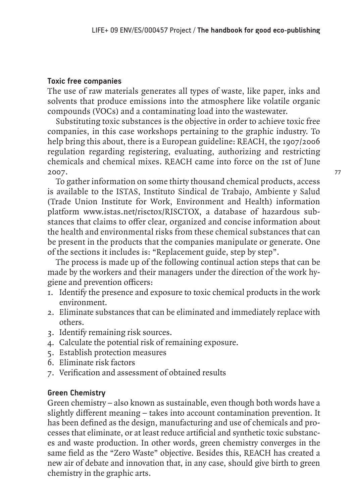## **Toxic free companies**

The use of raw materials generates all types of waste, like paper, inks and solvents that produce emissions into the atmosphere like volatile organic compounds (VOCs) and a contaminating load into the wastewater.

Substituting toxic substances is the objective in order to achieve toxic free companies, in this case workshops pertaining to the graphic industry. To help bring this about, there is a European guideline: REACH, the 1907/2006 regulation regarding registering, evaluating, authorizing and restricting chemicals and chemical mixes. REACH came into force on the 1st of June 2007.

To gather information on some thirty thousand chemical products, access is available to the ISTAS, Instituto Sindical de Trabajo, Ambiente y Salud (Trade Union Institute for Work, Environment and Health) information platform www.istas.net/risctox/RISCTOX, a database of hazardous substances that claims to offer clear, organized and concise information about the health and environmental risks from these chemical substances that can be present in the products that the companies manipulate or generate. One of the sections it includes is: "Replacement guide, step by step".

The process is made up of the following continual action steps that can be made by the workers and their managers under the direction of the work hygiene and prevention officers:

- 1. Identify the presence and exposure to toxic chemical products in the work environment.
- 2. Eliminate substances that can be eliminated and immediately replace with others.
- 3. Identify remaining risk sources.
- 4. Calculate the potential risk of remaining exposure.
- 5. Establish protection measures
- 6. Eliminate risk factors
- 7. Verification and assessment of obtained results

## **Green Chemistry**

Green chemistry – also known as sustainable, even though both words have a slightly different meaning – takes into account contamination prevention. It has been defined as the design, manufacturing and use of chemicals and processes that eliminate, or at least reduce artificial and synthetic toxic substances and waste production. In other words, green chemistry converges in the same field as the "Zero Waste" objective. Besides this, REACH has created a new air of debate and innovation that, in any case, should give birth to green chemistry in the graphic arts.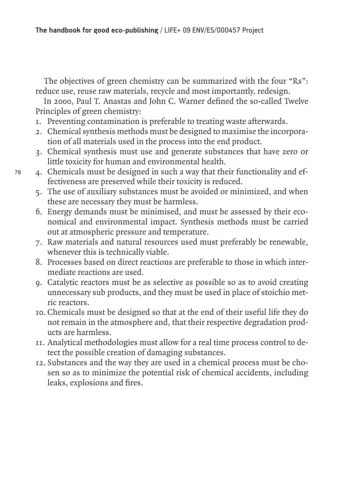The objectives of green chemistry can be summarized with the four "Rs": reduce use, reuse raw materials, recycle and most importantly, redesign.

In 2000, Paul T. Anastas and John C. Warner defined the so-called Twelve Principles of green chemistry:

- 1. Preventing contamination is preferable to treating waste afterwards.
- 2. Chemical synthesis methods must be designed to maximise the incorporation of all materials used in the process into the end product.
- 3. Chemical synthesis must use and generate substances that have zero or little toxicity for human and environmental health.
- 78

4. Chemicals must be designed in such a way that their functionality and effectiveness are preserved while their toxicity is reduced.

- 5. The use of auxiliary substances must be avoided or minimized, and when these are necessary they must be harmless.
- 6. Energy demands must be minimised, and must be assessed by their economical and environmental impact. Synthesis methods must be carried out at atmospheric pressure and temperature.
- 7. Raw materials and natural resources used must preferably be renewable, whenever this is technically viable.
- 8. Processes based on direct reactions are preferable to those in which intermediate reactions are used.
- 9. Catalytic reactors must be as selective as possible so as to avoid creating unnecessary sub products, and they must be used in place of stoichio metric reactors.
- 10. Chemicals must be designed so that at the end of their useful life they do not remain in the atmosphere and, that their respective degradation products are harmless.
- 11. Analytical methodologies must allow for a real time process control to detect the possible creation of damaging substances.
- 12. Substances and the way they are used in a chemical process must be chosen so as to minimize the potential risk of chemical accidents, including leaks, explosions and fires.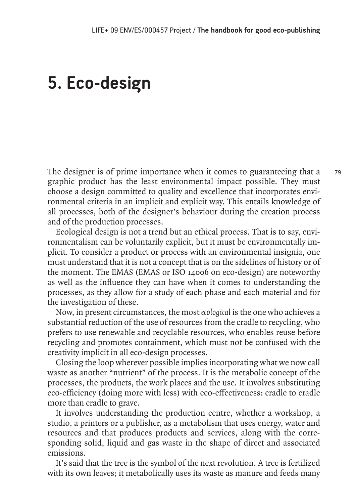# **5. Eco-design**

The designer is of prime importance when it comes to guaranteeing that a graphic product has the least environmental impact possible. They must choose a design committed to quality and excellence that incorporates environmental criteria in an implicit and explicit way. This entails knowledge of all processes, both of the designer's behaviour during the creation process and of the production processes.

Ecological design is not a trend but an ethical process. That is to say, environmentalism can be voluntarily explicit, but it must be environmentally implicit. To consider a product or process with an environmental insignia, one must understand that it is not a concept that is on the sidelines of history or of the moment. The EMAS (EMAS or ISO 14006 on eco-design) are noteworthy as well as the influence they can have when it comes to understanding the processes, as they allow for a study of each phase and each material and for the investigation of these.

Now, in present circumstances, the most *ecological* is the one who achieves a substantial reduction of the use of resources from the cradle to recycling, who prefers to use renewable and recyclable resources, who enables reuse before recycling and promotes containment, which must not be confused with the creativity implicit in all eco-design processes.

Closing the loop wherever possible implies incorporating what we now call waste as another "nutrient" of the process. It is the metabolic concept of the processes, the products, the work places and the use. It involves substituting eco-efficiency (doing more with less) with eco-effectiveness: cradle to cradle more than cradle to grave.

It involves understanding the production centre, whether a workshop, a studio, a printers or a publisher, as a metabolism that uses energy, water and resources and that produces products and services, along with the corresponding solid, liquid and gas waste in the shape of direct and associated emissions.

It's said that the tree is the symbol of the next revolution. A tree is fertilized with its own leaves; it metabolically uses its waste as manure and feeds many 79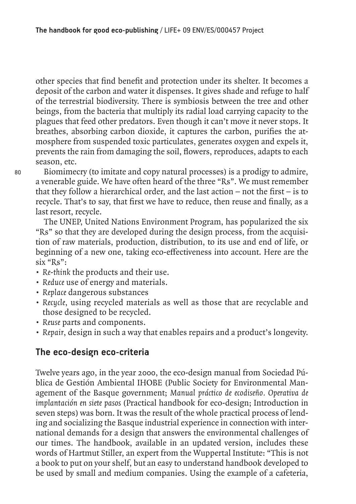other species that find benefit and protection under its shelter. It becomes a deposit of the carbon and water it dispenses. It gives shade and refuge to half of the terrestrial biodiversity. There is symbiosis between the tree and other beings, from the bacteria that multiply its radial load carrying capacity to the plagues that feed other predators. Even though it can't move it never stops. It breathes, absorbing carbon dioxide, it captures the carbon, purifies the atmosphere from suspended toxic particulates, generates oxygen and expels it, prevents the rain from damaging the soil, flowers, reproduces, adapts to each season, etc.

Biomimecry (to imitate and copy natural processes) is a prodigy to admire, a venerable guide. We have often heard of the three "Rs". We must remember that they follow a hierarchical order, and the last action  $-$  not the first  $-$  is to recycle. That's to say, that first we have to reduce, then reuse and finally, as a last resort, recycle.

The UNEP, United Nations Environment Program, has popularized the six "Rs" so that they are developed during the design process, from the acquisition of raw materials, production, distribution, to its use and end of life, or beginning of a new one, taking eco-effectiveness into account. Here are the six "Rs":

- *Re-think* the products and their use.
- *Reduce* use of energy and materials.
- *Replace* dangerous substances
- *Recycle*, using recycled materials as well as those that are recyclable and those designed to be recycled.
- *Reuse* parts and components.
- *Repair*, design in such a way that enables repairs and a product's longevity.

# **The eco-design eco-criteria**

Twelve years ago, in the year 2000, the eco-design manual from Sociedad Pública de Gestión Ambiental IHOBE (Public Society for Environmental Management of the Basque government; *Manual práctico de ecodiseño. Operativa de implantación en siete pasos* (Practical handbook for eco-design; Introduction in seven steps) was born. It was the result of the whole practical process of lending and socializing the Basque industrial experience in connection with international demands for a design that answers the environmental challenges of our times. The handbook, available in an updated version, includes these words of Hartmut Stiller, an expert from the Wuppertal Institute: "This is not a book to put on your shelf, but an easy to understand handbook developed to be used by small and medium companies. Using the example of a cafeteria,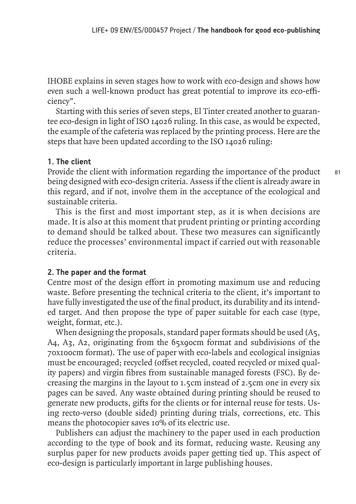IHOBE explains in seven stages how to work with eco-design and shows how even such a well-known product has great potential to improve its eco-efficiency".

Starting with this series of seven steps, El Tinter created another to guarantee eco-design in light of ISO 14026 ruling. In this case, as would be expected, the example of the cafeteria was replaced by the printing process. Here are the steps that have been updated according to the ISO 14026 ruling:

## **1. The client**

Provide the client with information regarding the importance of the product being designed with eco-design criteria. Assess if the client is already aware in this regard, and if not, involve them in the acceptance of the ecological and sustainable criteria.

This is the first and most important step, as it is when decisions are made. It is also at this moment that prudent printing or printing according to demand should be talked about. These two measures can significantly reduce the processes' environmental impact if carried out with reasonable criteria.

## **2. The paper and the format**

Centre most of the design effort in promoting maximum use and reducing waste. Before presenting the technical criteria to the client, it's important to have fully investigated the use of the final product, its durability and its intended target. And then propose the type of paper suitable for each case (type, weight, format, etc.).

When designing the proposals, standard paper formats should be used (A5, A4, A3, A2, originating from the 65x90cm format and subdivisions of the 70x100cm format). The use of paper with eco-labels and ecological insignias must be encouraged; recycled (offset recycled, coated recycled or mixed quality papers) and virgin fibres from sustainable managed forests (FSC). By decreasing the margins in the layout to 1.5cm instead of 2.5cm one in every six pages can be saved. Any waste obtained during printing should be reused to generate new products, gifts for the clients or for internal reuse for tests. Using recto-verso (double sided) printing during trials, corrections, etc. This means the photocopier saves 10% of its electric use.

Publishers can adjust the machinery to the paper used in each production according to the type of book and its format, reducing waste. Reusing any surplus paper for new products avoids paper getting tied up. This aspect of eco-design is particularly important in large publishing houses.

81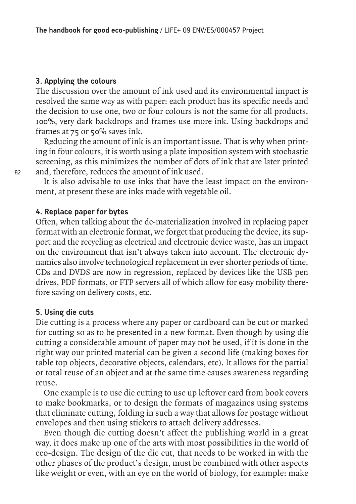## **3. Applying the colours**

The discussion over the amount of ink used and its environmental impact is resolved the same way as with paper: each product has its specific needs and the decision to use one, two or four colours is not the same for all products. 100%, very dark backdrops and frames use more ink. Using backdrops and frames at 75 or 50% saves ink.

Reducing the amount of ink is an important issue. That is why when printing in four colours, it is worth using a plate imposition system with stochastic screening, as this minimizes the number of dots of ink that are later printed and, therefore, reduces the amount of ink used.

It is also advisable to use inks that have the least impact on the environment, at present these are inks made with vegetable oil.

## **4. Replace paper for bytes**

Often, when talking about the de-materialization involved in replacing paper format with an electronic format, we forget that producing the device, its support and the recycling as electrical and electronic device waste, has an impact on the environment that isn't always taken into account. The electronic dynamics also involve technological replacement in ever shorter periods of time, CDs and DVDS are now in regression, replaced by devices like the USB pen drives, PDF formats, or FTP servers all of which allow for easy mobility therefore saving on delivery costs, etc.

### **5. Using die cuts**

Die cutting is a process where any paper or cardboard can be cut or marked for cutting so as to be presented in a new format. Even though by using die cutting a considerable amount of paper may not be used, if it is done in the right way our printed material can be given a second life (making boxes for table top objects, decorative objects, calendars, etc). It allows for the partial or total reuse of an object and at the same time causes awareness regarding reuse.

One example is to use die cutting to use up leftover card from book covers to make bookmarks, or to design the formats of magazines using systems that eliminate cutting, folding in such a way that allows for postage without envelopes and then using stickers to attach delivery addresses.

Even though die cutting doesn't affect the publishing world in a great way, it does make up one of the arts with most possibilities in the world of eco-design. The design of the die cut, that needs to be worked in with the other phases of the product's design, must be combined with other aspects like weight or even, with an eye on the world of biology, for example: make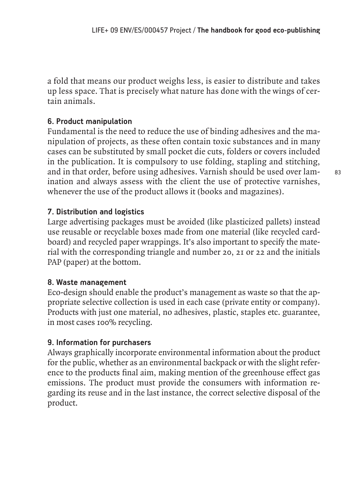a fold that means our product weighs less, is easier to distribute and takes up less space. That is precisely what nature has done with the wings of certain animals.

## **6. Product manipulation**

Fundamental is the need to reduce the use of binding adhesives and the manipulation of projects, as these often contain toxic substances and in many cases can be substituted by small pocket die cuts, folders or covers included in the publication. It is compulsory to use folding, stapling and stitching, and in that order, before using adhesives. Varnish should be used over lamination and always assess with the client the use of protective varnishes, whenever the use of the product allows it (books and magazines).

## **7. Distribution and logistics**

Large advertising packages must be avoided (like plasticized pallets) instead use reusable or recyclable boxes made from one material (like recycled cardboard) and recycled paper wrappings. It's also important to specify the material with the corresponding triangle and number 20, 21 or 22 and the initials PAP (paper) at the bottom.

## **8. Waste management**

Eco-design should enable the product's management as waste so that the appropriate selective collection is used in each case (private entity or company). Products with just one material, no adhesives, plastic, staples etc. guarantee, in most cases 100% recycling.

## **9. Information for purchasers**

Always graphically incorporate environmental information about the product for the public, whether as an environmental backpack or with the slight reference to the products final aim, making mention of the greenhouse effect gas emissions. The product must provide the consumers with information regarding its reuse and in the last instance, the correct selective disposal of the product.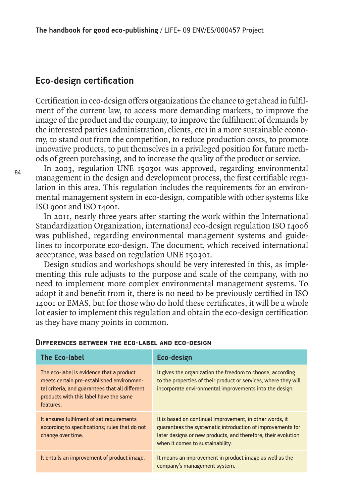# **Eco-design certification**

Certification in eco-design offers organizations the chance to get ahead in fulfilment of the current law, to access more demanding markets, to improve the image of the product and the company, to improve the fulfilment of demands by the interested parties (administration, clients, etc) in a more sustainable economy, to stand out from the competition, to reduce production costs, to promote innovative products, to put themselves in a privileged position for future methods of green purchasing, and to increase the quality of the product or service.

84

In 2003, regulation UNE 150301 was approved, regarding environmental management in the design and development process, the first certifiable regulation in this area. This regulation includes the requirements for an environmental management system in eco-design, compatible with other systems like ISO 9001 and ISO 14001.

In 2011, nearly three years after starting the work within the International Standardization Organization, international eco-design regulation ISO 14006 was published, regarding environmental management systems and guidelines to incorporate eco-design. The document, which received international acceptance, was based on regulation UNE 150301.

Design studios and workshops should be very interested in this, as implementing this rule adjusts to the purpose and scale of the company, with no need to implement more complex environmental management systems. To adopt it and benefit from it, there is no need to be previously certified in ISO 14001 or EMAS, but for those who do hold these certificates, it will be a whole lot easier to implement this regulation and obtain the eco-design certification as they have many points in common.

| <b>The Eco-label</b>                                                                                                                                                                            | <b>Eco-design</b>                                                                                                                                                                                                           |
|-------------------------------------------------------------------------------------------------------------------------------------------------------------------------------------------------|-----------------------------------------------------------------------------------------------------------------------------------------------------------------------------------------------------------------------------|
| The eco-label is evidence that a product<br>meets certain pre-established environmen-<br>tal criteria, and guarantees that all different<br>products with this label have the same<br>features. | It gives the organization the freedom to choose, according<br>to the properties of their product or services, where they will<br>incorporate environmental improvements into the design.                                    |
| It ensures fulfilment of set requirements<br>according to specifications; rules that do not<br>change over time.                                                                                | It is based on continual improvement, in other words, it<br>guarantees the systematic introduction of improvements for<br>later designs or new products, and therefore, their evolution<br>when it comes to sustainability. |
| It entails an improvement of product image.                                                                                                                                                     | It means an improvement in product image as well as the<br>company's management system.                                                                                                                                     |

#### **Differences between the eco-label and eco-design**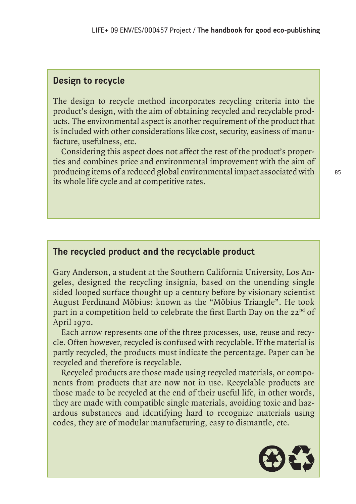# **Design to recycle**

The design to recycle method incorporates recycling criteria into the product's design, with the aim of obtaining recycled and recyclable products. The environmental aspect is another requirement of the product that is included with other considerations like cost, security, easiness of manufacture, usefulness, etc.

Considering this aspect does not affect the rest of the product's properties and combines price and environmental improvement with the aim of producing items of a reduced global environmental impact associated with its whole life cycle and at competitive rates.

# **The recycled product and the recyclable product**

Gary Anderson, a student at the Southern California University, Los Angeles, designed the recycling insignia, based on the unending single sided looped surface thought up a century before by visionary scientist August Ferdinand Möbius: known as the "Möbius Triangle". He took part in a competition held to celebrate the first Earth Day on the 22<sup>nd</sup> of April 1970.

Each arrow represents one of the three processes, use, reuse and recycle. Often however, recycled is confused with recyclable. If the material is partly recycled, the products must indicate the percentage. Paper can be recycled and therefore is recyclable.

Recycled products are those made using recycled materials, or components from products that are now not in use. Recyclable products are those made to be recycled at the end of their useful life, in other words, they are made with compatible single materials, avoiding toxic and hazardous substances and identifying hard to recognize materials using codes, they are of modular manufacturing, easy to dismantle, etc.

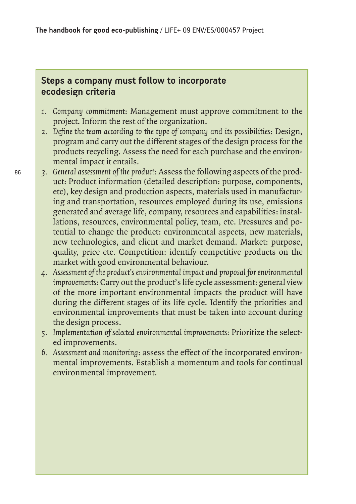# **Steps a company must follow to incorporate ecodesign criteria**

- *1. Company commitment*: Management must approve commitment to the project. Inform the rest of the organization.
- *2. Define the team according to the type of company and its possibilities*: Design, program and carry out the different stages of the design process for the products recycling. Assess the need for each purchase and the environmental impact it entails.
- *3. General assessment of the product:* Assess the following aspects of the product: Product information (detailed description: purpose, components, etc), key design and production aspects, materials used in manufacturing and transportation, resources employed during its use, emissions generated and average life, company, resources and capabilities: installations, resources, environmental policy, team, etc. Pressures and potential to change the product: environmental aspects, new materials, new technologies, and client and market demand. Market: purpose, quality, price etc. Competition: identify competitive products on the market with good environmental behaviour.
- *4. Assessment of the product's environmental impact and proposal for environmental improvements*: Carry out the product's life cycle assessment: general view of the more important environmental impacts the product will have during the different stages of its life cycle. Identify the priorities and environmental improvements that must be taken into account during the design process.
- *5. Implementation of selected environmental improvements:* Prioritize the selected improvements.
- *6. Assessment and monitoring*: assess the effect of the incorporated environmental improvements. Establish a momentum and tools for continual environmental improvement.

86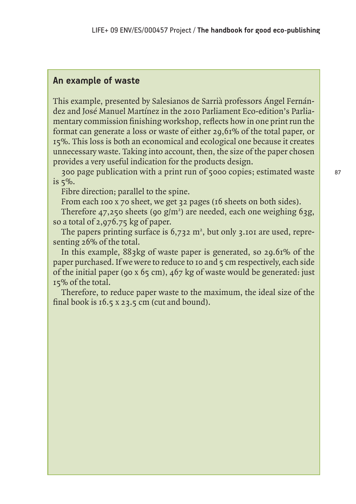## **An example of waste**

This example, presented by Salesianos de Sarrià professors Ángel Fernández and José Manuel Martínez in the 2010 Parliament Eco-edition's Parliamentary commission finishing workshop, reflects how in one print run the format can generate a loss or waste of either 29,61% of the total paper, or 15%. This loss is both an economical and ecological one because it creates unnecessary waste. Taking into account, then, the size of the paper chosen provides a very useful indication for the products design.

300 page publication with a print run of 5000 copies; estimated waste is 5%.

Fibre direction; parallel to the spine.

From each 100 x 70 sheet, we get 32 pages (16 sheets on both sides).

Therefore  $47,250$  sheets (90  $g/m<sup>2</sup>$ ) are needed, each one weighing 63g, so a total of 2,976.75 kg of paper.

The papers printing surface is  $6,732 \text{ m}^2$ , but only 3.101 are used, representing 26% of the total.

In this example, 883kg of waste paper is generated, so 29.61% of the paper purchased. If we were to reduce to 10 and 5 cm respectively, each side of the initial paper (90 x 65 cm),  $467$  kg of waste would be generated: just 15% of the total.

Therefore, to reduce paper waste to the maximum, the ideal size of the final book is 16.5 x 23.5 cm (cut and bound).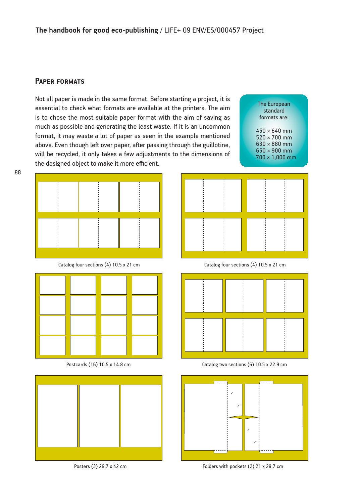### **Paper formats**

Not all paper is made in the same format. Before starting a project, it is essential to check what formats are available at the printers. The aim is to chose the most suitable paper format with the aim of saving as much as possible and generating the least waste. If it is an uncommon format, it may waste a lot of paper as seen in the example mentioned above. Even though left over paper, after passing through the guillotine, will be recycled, it only takes a few adjustments to the dimensions of the designed object to make it more efficient.

The European standard formats are:

450 × 640 mm 520 × 700 mm 630 × 880 mm 650 × 900 mm 700 × 1,000 mm



Catalog four sections (4) 10.5 x 21 cm



Postcards (16) 10.5 x 14.8 cm







Catalog four sections (4) 10.5 x 21 cm



Catalog two sections (6) 10.5 x 22.9 cm



Posters (3) 29.7 x 42 cm Folders with pockets (2) 21 x 29.7 cm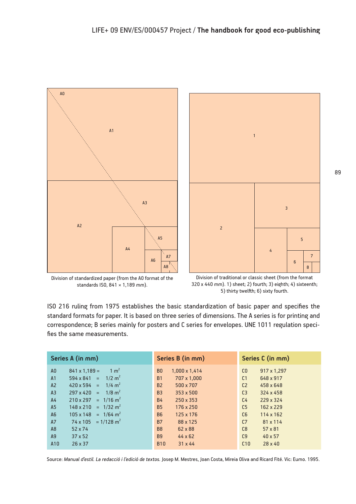



Division of standardized paper (from the A0 format of the standards ISO, 841 × 1,189 mm).

Division of traditional or classic sheet (from the format 320 x 440 mm). 1) sheet; 2) fourth; 3) eighth; 4) sixteenth; 5) thirty twelfth; 6) sixty fourth.

ISO 216 ruling from 1975 establishes the basic standardization of basic paper and specifies the standard formats for paper. It is based on three series of dimensions. The A series is for printing and correspondence; B series mainly for posters and C series for envelopes. UNE 1011 regulation specifies the same measurements.

| Series A (in mm)                                          | Series B (in mm)                |                               |
|-----------------------------------------------------------|---------------------------------|-------------------------------|
| $1 \text{ m}^2$<br>$841 \times 1,189 =$<br>A <sub>0</sub> | B <sub>0</sub><br>1,000 x 1,414 | C <sub>0</sub><br>917 x 1,297 |
| $594 \times 841 = 1/2 \text{ m}^2$                        | <b>B1</b>                       | C <sub>1</sub>                |
| A <sub>1</sub>                                            | 707 x 1.000                     | 648 x 917                     |
| $420 \times 594 = 1/4 \text{ m}^2$                        | <b>B2</b>                       | C <sub>2</sub>                |
| A2                                                        | 500 x 707                       | 458 x 648                     |
| $297 \times 420 = 1/8$ m <sup>2</sup>                     | <b>B3</b>                       | C <sub>3</sub>                |
| A <sub>3</sub>                                            | 353 x 500                       | 324 x 458                     |
| $210 \times 297 = 1/16$ m <sup>2</sup>                    | <b>B4</b>                       | C <sub>4</sub>                |
| A <sub>4</sub>                                            | 250 x 353                       | 229 x 324                     |
| A5                                                        | <b>B5</b>                       | C <sub>5</sub>                |
| $148 \times 210 = 1/32 \text{ m}^2$                       | 176 x 250                       | 162 x 229                     |
| $105 \times 148 = 1/64 \text{ m}^2$                       | <b>B6</b>                       | C6                            |
| A <sub>6</sub>                                            | 125 x 176                       | 114 x 162                     |
| $74 \times 105 = 1/128$ m <sup>2</sup>                    | <b>B7</b>                       | C <sub>7</sub>                |
| A7                                                        | 88 x 125                        | 81 x 114                      |
| A <sub>8</sub>                                            | <b>B8</b>                       | C8                            |
| 52 x 74                                                   | 62 x 88                         | $57 \times 81$                |
| A <sub>9</sub>                                            | <b>B9</b>                       | C9                            |
| $37 \times 52$                                            | $44 \times 62$                  | $40 \times 57$                |
| 26 x 37                                                   | <b>B10</b>                      | C10                           |
| A10                                                       | $31 \times 44$                  | $28 \times 40$                |

Source: *Manual d'estil. La redacció i l'edició de textos.* Josep M. Mestres, Joan Costa, Mireia Oliva and Ricard Fité. Vic: Eumo. 1995.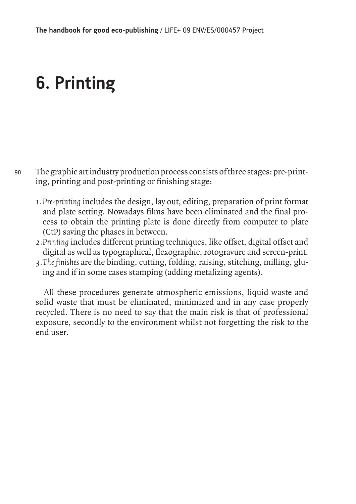# **6. Printing**

- 90 The graphic art industry production process consists of three stages: pre-printing, printing and post-printing or finishing stage:
	- *1. Pre-printing* includes the design, lay out, editing, preparation of print format and plate setting. Nowadays films have been eliminated and the final process to obtain the printing plate is done directly from computer to plate (CtP) saving the phases in between.
	- *2.Printing* includes different printing techniques, like offset, digital offset and digital as well as typographical, flexographic, rotogravure and screen-print.
	- *3.The finishes* are the binding, cutting, folding, raising, stitching, milling, gluing and if in some cases stamping (adding metalizing agents).

All these procedures generate atmospheric emissions, liquid waste and solid waste that must be eliminated, minimized and in any case properly recycled. There is no need to say that the main risk is that of professional exposure, secondly to the environment whilst not forgetting the risk to the end user.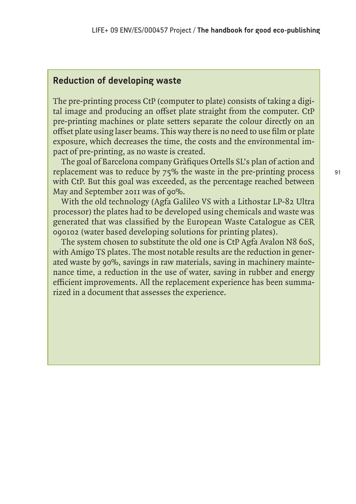## **Reduction of developing waste**

The pre-printing process CtP (computer to plate) consists of taking a digital image and producing an offset plate straight from the computer. CtP pre-printing machines or plate setters separate the colour directly on an offset plate using laser beams. This way there is no need to use film or plate exposure, which decreases the time, the costs and the environmental impact of pre-printing, as no waste is created.

The goal of Barcelona company Gràfiques Ortells SL's plan of action and replacement was to reduce by 75% the waste in the pre-printing process with CtP. But this goal was exceeded, as the percentage reached between May and September 2011 was of 90%.

With the old technology (Agfa Galileo VS with a Lithostar LP-82 Ultra processor) the plates had to be developed using chemicals and waste was generated that was classified by the European Waste Catalogue as CER 090102 (water based developing solutions for printing plates).

The system chosen to substitute the old one is CtP Agfa Avalon N8 60S, with Amigo TS plates. The most notable results are the reduction in generated waste by 90%, savings in raw materials, saving in machinery maintenance time, a reduction in the use of water, saving in rubber and energy efficient improvements. All the replacement experience has been summarized in a document that assesses the experience.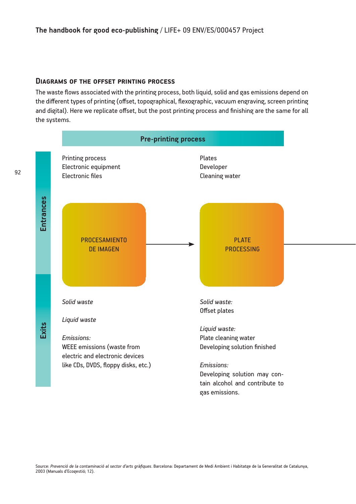#### **Diagrams of the offset printing process**

The waste flows associated with the printing process, both liquid, solid and gas emissions depend on the different types of printing (offset, topographical, flexographic, vacuum engraving, screen printing and digital). Here we replicate offset, but the post printing process and finishing are the same for all the systems.

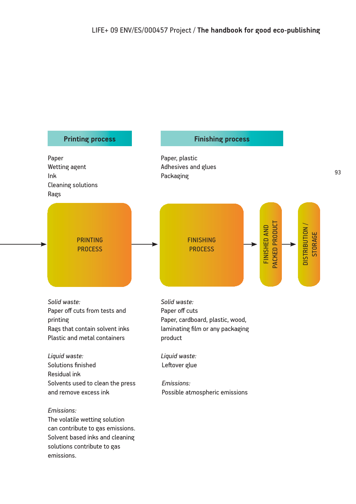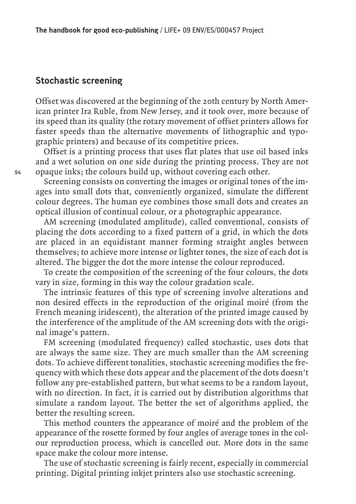# **Stochastic screening**

Offset was discovered at the beginning of the 20th century by North American printer Ira Ruble, from New Jersey, and it took over, more because of its speed than its quality (the rotary movement of offset printers allows for faster speeds than the alternative movements of lithographic and typographic printers) and because of its competitive prices.

Offset is a printing process that uses flat plates that use oil based inks and a wet solution on one side during the printing process. They are not opaque inks; the colours build up, without covering each other.

Screening consists on converting the images or original tones of the images into small dots that, conveniently organized, simulate the different colour degrees. The human eye combines those small dots and creates an optical illusion of continual colour, or a photographic appearance.

AM screening (modulated amplitude), called conventional, consists of placing the dots according to a fixed pattern of a grid, in which the dots are placed in an equidistant manner forming straight angles between themselves; to achieve more intense or lighter tones, the size of each dot is altered. The bigger the dot the more intense the colour reproduced.

To create the composition of the screening of the four colours, the dots vary in size, forming in this way the colour gradation scale.

The intrinsic features of this type of screening involve alterations and non desired effects in the reproduction of the original moiré (from the French meaning iridescent), the alteration of the printed image caused by the interference of the amplitude of the AM screening dots with the original image's pattern.

FM screening (modulated frequency) called stochastic, uses dots that are always the same size. They are much smaller than the AM screening dots. To achieve different tonalities, stochastic screening modifies the frequency with which these dots appear and the placement of the dots doesn't follow any pre-established pattern, but what seems to be a random layout, with no direction. In fact, it is carried out by distribution algorithms that simulate a random layout. The better the set of algorithms applied, the better the resulting screen.

This method counters the appearance of moiré and the problem of the appearance of the rosette formed by four angles of average tones in the colour reproduction process, which is cancelled out. More dots in the same space make the colour more intense.

The use of stochastic screening is fairly recent, especially in commercial printing. Digital printing inkjet printers also use stochastic screening.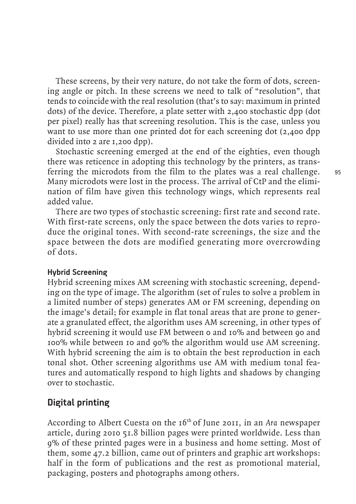These screens, by their very nature, do not take the form of dots, screening angle or pitch. In these screens we need to talk of "resolution", that tends to coincide with the real resolution (that's to say: maximum in printed dots) of the device. Therefore, a plate setter with 2,400 stochastic dpp (dot per pixel) really has that screening resolution. This is the case, unless you want to use more than one printed dot for each screening dot (2,400 dpp) divided into 2 are 1,200 dpp).

Stochastic screening emerged at the end of the eighties, even though there was reticence in adopting this technology by the printers, as transferring the microdots from the film to the plates was a real challenge. Many microdots were lost in the process. The arrival of CtP and the elimination of film have given this technology wings, which represents real added value.

There are two types of stochastic screening: first rate and second rate. With first-rate screens, only the space between the dots varies to reproduce the original tones. With second-rate screenings, the size and the space between the dots are modified generating more overcrowding of dots.

## **Hybrid Screening**

Hybrid screening mixes AM screening with stochastic screening, depending on the type of image. The algorithm (set of rules to solve a problem in a limited number of steps) generates AM or FM screening, depending on the image's detail; for example in flat tonal areas that are prone to generate a granulated effect, the algorithm uses AM screening, in other types of hybrid screening it would use FM between 0 and 10% and between 90 and 100% while between 10 and 90% the algorithm would use AM screening. With hybrid screening the aim is to obtain the best reproduction in each tonal shot. Other screening algorithms use AM with medium tonal features and automatically respond to high lights and shadows by changing over to stochastic.

# **Digital printing**

According to Albert Cuesta on the 16th of June 2011, in an *Ara* newspaper article, during 2010 51.8 billion pages were printed worldwide. Less than 9% of these printed pages were in a business and home setting. Most of them, some 47.2 billion, came out of printers and graphic art workshops: half in the form of publications and the rest as promotional material, packaging, posters and photographs among others.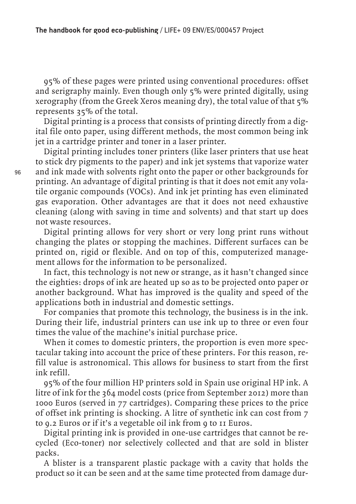**The handbook for good eco-publishing** / LIFE+ 09 ENV/ES/000457 Project

95% of these pages were printed using conventional procedures: offset and serigraphy mainly. Even though only 5% were printed digitally, using xerography (from the Greek Xeros meaning dry), the total value of that  $5\%$ represents 35% of the total.

Digital printing is a process that consists of printing directly from a digital file onto paper, using different methods, the most common being ink jet in a cartridge printer and toner in a laser printer.

Digital printing includes toner printers (like laser printers that use heat to stick dry pigments to the paper) and ink jet systems that vaporize water and ink made with solvents right onto the paper or other backgrounds for printing. An advantage of digital printing is that it does not emit any volatile organic compounds (VOCs). And ink jet printing has even eliminated gas evaporation. Other advantages are that it does not need exhaustive cleaning (along with saving in time and solvents) and that start up does not waste resources.

Digital printing allows for very short or very long print runs without changing the plates or stopping the machines. Different surfaces can be printed on, rigid or flexible. And on top of this, computerized management allows for the information to be personalized.

In fact, this technology is not new or strange, as it hasn't changed since the eighties: drops of ink are heated up so as to be projected onto paper or another background. What has improved is the quality and speed of the applications both in industrial and domestic settings.

For companies that promote this technology, the business is in the ink. During their life, industrial printers can use ink up to three or even four times the value of the machine's initial purchase price.

When it comes to domestic printers, the proportion is even more spectacular taking into account the price of these printers. For this reason, refill value is astronomical. This allows for business to start from the first ink refill.

95% of the four million HP printers sold in Spain use original HP ink. A litre of ink for the 364 model costs (price from September 2012) more than 1000 Euros (served in 77 cartridges). Comparing these prices to the price of offset ink printing is shocking. A litre of synthetic ink can cost from 7 to 9.2 Euros or if it's a vegetable oil ink from 9 to 11 Euros.

Digital printing ink is provided in one-use cartridges that cannot be recycled (Eco-toner) nor selectively collected and that are sold in blister packs.

A blister is a transparent plastic package with a cavity that holds the product so it can be seen and at the same time protected from damage dur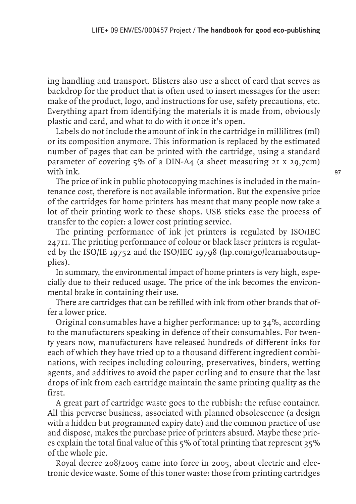ing handling and transport. Blisters also use a sheet of card that serves as backdrop for the product that is often used to insert messages for the user: make of the product, logo, and instructions for use, safety precautions, etc. Everything apart from identifying the materials it is made from, obviously plastic and card, and what to do with it once it's open.

Labels do not include the amount of ink in the cartridge in millilitres (ml) or its composition anymore. This information is replaced by the estimated number of pages that can be printed with the cartridge, using a standard parameter of covering 5% of a DIN-A4 (a sheet measuring 21 x 29,7cm) with ink.

The price of ink in public photocopying machines is included in the maintenance cost, therefore is not available information. But the expensive price of the cartridges for home printers has meant that many people now take a lot of their printing work to these shops. USB sticks ease the process of transfer to the copier: a lower cost printing service.

The printing performance of ink jet printers is regulated by ISO/IEC 24711. The printing performance of colour or black laser printers is regulated by the ISO/IE 19752 and the ISO/IEC 19798 (hp.com/go/learnaboutsupplies).

In summary, the environmental impact of home printers is very high, especially due to their reduced usage. The price of the ink becomes the environmental brake in containing their use.

There are cartridges that can be refilled with ink from other brands that offer a lower price.

Original consumables have a higher performance: up to 34%, according to the manufacturers speaking in defence of their consumables. For twenty years now, manufacturers have released hundreds of different inks for each of which they have tried up to a thousand different ingredient combinations, with recipes including colouring, preservatives, binders, wetting agents, and additives to avoid the paper curling and to ensure that the last drops of ink from each cartridge maintain the same printing quality as the first.

A great part of cartridge waste goes to the rubbish: the refuse container. All this perverse business, associated with planned obsolescence (a design with a hidden but programmed expiry date) and the common practice of use and dispose, makes the purchase price of printers absurd. Maybe these prices explain the total final value of this 5% of total printing that represent 35% of the whole pie.

Royal decree 208/2005 came into force in 2005, about electric and electronic device waste. Some of this toner waste: those from printing cartridges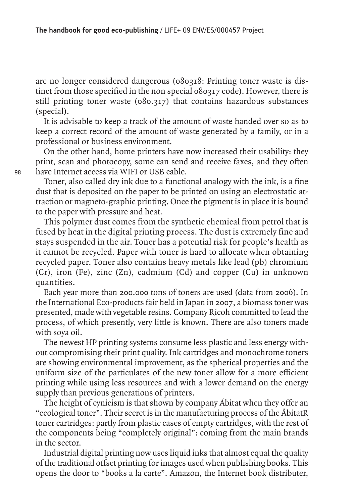are no longer considered dangerous (080318: Printing toner waste is distinct from those specified in the non special 080317 code). However, there is still printing toner waste (080.317) that contains hazardous substances (special).

It is advisable to keep a track of the amount of waste handed over so as to keep a correct record of the amount of waste generated by a family, or in a professional or business environment.

On the other hand, home printers have now increased their usability: they print, scan and photocopy, some can send and receive faxes, and they often have Internet access via WIFI or USB cable.

Toner, also called dry ink due to a functional analogy with the ink, is a fine dust that is deposited on the paper to be printed on using an electrostatic attraction or magneto-graphic printing. Once the pigment is in place it is bound to the paper with pressure and heat.

This polymer dust comes from the synthetic chemical from petrol that is fused by heat in the digital printing process. The dust is extremely fine and stays suspended in the air. Toner has a potential risk for people's health as it cannot be recycled. Paper with toner is hard to allocate when obtaining recycled paper. Toner also contains heavy metals like lead (pb) chromium (Cr), iron (Fe), zinc (Zn), cadmium (Cd) and copper (Cu) in unknown quantities.

Each year more than 200.000 tons of toners are used (data from 2006). In the International Eco-products fair held in Japan in 2007, a biomass toner was presented, made with vegetable resins. Company Ricoh committed to lead the process, of which presently, very little is known. There are also toners made with soya oil.

The newest HP printing systems consume less plastic and less energy without compromising their print quality. Ink cartridges and monochrome toners are showing environmental improvement, as the spherical properties and the uniform size of the particulates of the new toner allow for a more efficient printing while using less resources and with a lower demand on the energy supply than previous generations of printers.

The height of cynicism is that shown by company Ábitat when they offer an "ecological toner". Their secret is in the manufacturing process of the ÄbitatR toner cartridges: partly from plastic cases of empty cartridges, with the rest of the components being "completely original": coming from the main brands in the sector.

Industrial digital printing now uses liquid inks that almost equal the quality of the traditional offset printing for images used when publishing books. This opens the door to "books a la carte". Amazon, the Internet book distributer,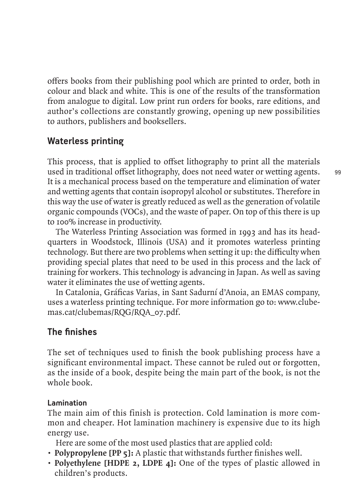offers books from their publishing pool which are printed to order, both in colour and black and white. This is one of the results of the transformation from analogue to digital. Low print run orders for books, rare editions, and author's collections are constantly growing, opening up new possibilities to authors, publishers and booksellers.

# **Waterless printing**

This process, that is applied to offset lithography to print all the materials used in traditional offset lithography, does not need water or wetting agents. It is a mechanical process based on the temperature and elimination of water and wetting agents that contain isopropyl alcohol or substitutes. Therefore in this way the use of water is greatly reduced as well as the generation of volatile organic compounds (VOCs), and the waste of paper. On top of this there is up to 100% increase in productivity.

The Waterless Printing Association was formed in 1993 and has its headquarters in Woodstock, Illinois (USA) and it promotes waterless printing technology. But there are two problems when setting it up: the difficulty when providing special plates that need to be used in this process and the lack of training for workers. This technology is advancing in Japan. As well as saving water it eliminates the use of wetting agents.

In Catalonia, Gráficas Varias, in Sant Sadurní d'Anoia, an EMAS company, uses a waterless printing technique. For more information go to: www.clubemas.cat/clubemas/RQG/RQA\_07.pdf.

# **The finishes**

The set of techniques used to finish the book publishing process have a significant environmental impact. These cannot be ruled out or forgotten, as the inside of a book, despite being the main part of the book, is not the whole book.

# **Lamination**

The main aim of this finish is protection. Cold lamination is more common and cheaper. Hot lamination machinery is expensive due to its high energy use.

Here are some of the most used plastics that are applied cold:

- **Polypropylene [PP 5]:** A plastic that withstands further finishes well.
- **Polyethylene [HDPE 2, LDPE 4]:** One of the types of plastic allowed in children's products.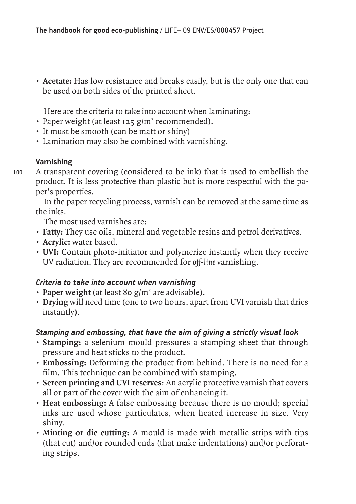**• Acetate:** Has low resistance and breaks easily, but is the only one that can be used on both sides of the printed sheet.

Here are the criteria to take into account when laminating:

- · Paper weight (at least 125 g/m<sup>2</sup> recommended).
- It must be smooth (can be matt or shiny)
- Lamination may also be combined with varnishing.

# **Varnishing**

100

A transparent covering (considered to be ink) that is used to embellish the product. It is less protective than plastic but is more respectful with the paper's properties.

In the paper recycling process, varnish can be removed at the same time as the inks.

The most used varnishes are:

- **Fatty:** They use oils, mineral and vegetable resins and petrol derivatives.
- **Acrylic:** water based.
- **UVI:** Contain photo-initiator and polymerize instantly when they receive UV radiation. They are recommended for *off-line* varnishing.

# *Criteria to take into account when varnishing*

- Paper weight (at least 80 g/m<sup>2</sup> are advisable).
- **Drying** will need time (one to two hours, apart from UVI varnish that dries instantly).

# *Stamping and embossing, that have the aim of giving a strictly visual look*

- **Stamping:** a selenium mould pressures a stamping sheet that through pressure and heat sticks to the product.
- **Embossing:** Deforming the product from behind. There is no need for a film. This technique can be combined with stamping.
- **Screen printing and UVI reserves**: An acrylic protective varnish that covers all or part of the cover with the aim of enhancing it.
- **Heat embossing:** A false embossing because there is no mould; special inks are used whose particulates, when heated increase in size. Very shiny.
- **Minting or die cutting:** A mould is made with metallic strips with tips (that cut) and/or rounded ends (that make indentations) and/or perforating strips.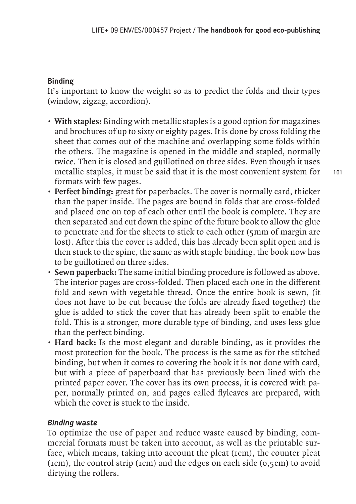## **Binding**

It's important to know the weight so as to predict the folds and their types (window, zigzag, accordion).

- **With staples:** Binding with metallic staples is a good option for magazines and brochures of up to sixty or eighty pages. It is done by cross folding the sheet that comes out of the machine and overlapping some folds within the others. The magazine is opened in the middle and stapled, normally twice. Then it is closed and guillotined on three sides. Even though it uses metallic staples, it must be said that it is the most convenient system for formats with few pages.
- **Perfect binding:** great for paperbacks. The cover is normally card, thicker than the paper inside. The pages are bound in folds that are cross-folded and placed one on top of each other until the book is complete. They are then separated and cut down the spine of the future book to allow the glue to penetrate and for the sheets to stick to each other (5mm of margin are lost). After this the cover is added, this has already been split open and is then stuck to the spine, the same as with staple binding, the book now has to be guillotined on three sides.
- **Sewn paperback:** The same initial binding procedure is followed as above. The interior pages are cross-folded. Then placed each one in the different fold and sewn with vegetable thread. Once the entire book is sewn, (it does not have to be cut because the folds are already fixed together) the glue is added to stick the cover that has already been split to enable the fold. This is a stronger, more durable type of binding, and uses less glue than the perfect binding.
- **Hard back:** Is the most elegant and durable binding, as it provides the most protection for the book. The process is the same as for the stitched binding, but when it comes to covering the book it is not done with card, but with a piece of paperboard that has previously been lined with the printed paper cover. The cover has its own process, it is covered with paper, normally printed on, and pages called flyleaves are prepared, with which the cover is stuck to the inside.

## *Binding waste*

To optimize the use of paper and reduce waste caused by binding, commercial formats must be taken into account, as well as the printable surface, which means, taking into account the pleat (1cm), the counter pleat (1cm), the control strip (1cm) and the edges on each side (0,5cm) to avoid dirtying the rollers.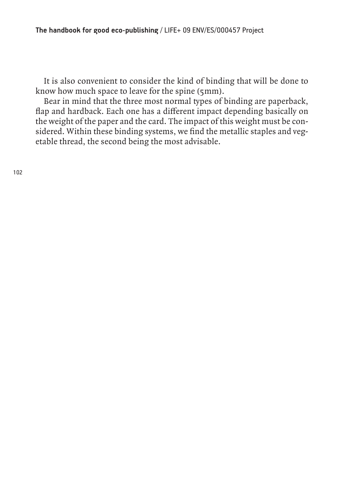It is also convenient to consider the kind of binding that will be done to know how much space to leave for the spine (5mm).

Bear in mind that the three most normal types of binding are paperback, flap and hardback. Each one has a different impact depending basically on the weight of the paper and the card. The impact of this weight must be considered. Within these binding systems, we find the metallic staples and vegetable thread, the second being the most advisable.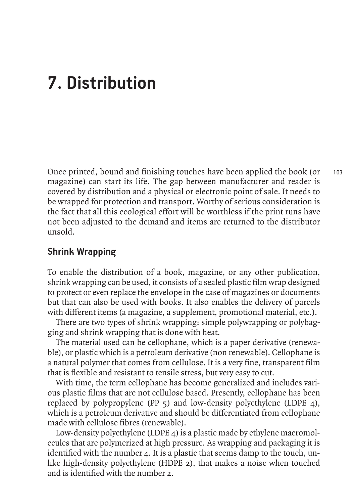# **7. Distribution**

103 Once printed, bound and finishing touches have been applied the book (or magazine) can start its life. The gap between manufacturer and reader is covered by distribution and a physical or electronic point of sale. It needs to be wrapped for protection and transport. Worthy of serious consideration is the fact that all this ecological effort will be worthless if the print runs have not been adjusted to the demand and items are returned to the distributor unsold.

# **Shrink Wrapping**

To enable the distribution of a book, magazine, or any other publication, shrink wrapping can be used, it consists of a sealed plastic film wrap designed to protect or even replace the envelope in the case of magazines or documents but that can also be used with books. It also enables the delivery of parcels with different items (a magazine, a supplement, promotional material, etc.).

There are two types of shrink wrapping: simple polywrapping or polybagging and shrink wrapping that is done with heat.

The material used can be cellophane, which is a paper derivative (renewable), or plastic which is a petroleum derivative (non renewable). Cellophane is a natural polymer that comes from cellulose. It is a very fine, transparent film that is flexible and resistant to tensile stress, but very easy to cut.

With time, the term cellophane has become generalized and includes various plastic films that are not cellulose based. Presently, cellophane has been replaced by polypropylene (PP 5) and low-density polyethylene (LDPE 4), which is a petroleum derivative and should be differentiated from cellophane made with cellulose fibres (renewable).

Low-density polyethylene (LDPE 4) is a plastic made by ethylene macromolecules that are polymerized at high pressure. As wrapping and packaging it is identified with the number 4. It is a plastic that seems damp to the touch, unlike high-density polyethylene (HDPE 2), that makes a noise when touched and is identified with the number 2.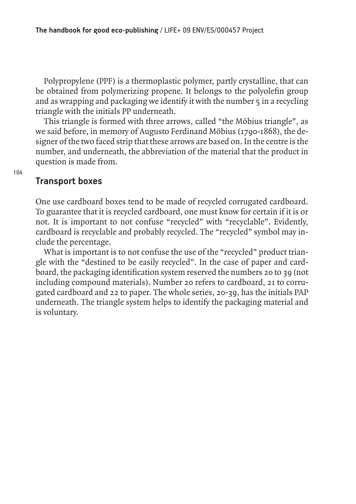Polypropylene (PPF) is a thermoplastic polymer, partly crystalline, that can be obtained from polymerizing propene. It belongs to the polyolefin group and as wrapping and packaging we identify it with the number  $\frac{1}{2}$  in a recycling triangle with the initials PP underneath.

This triangle is formed with three arrows, called "the Möbius triangle", as we said before, in memory of Augusto Ferdinand Möbius (1790-1868), the designer of the two faced strip that these arrows are based on. In the centre is the number, and underneath, the abbreviation of the material that the product in question is made from.

## **Transport boxes**

One use cardboard boxes tend to be made of recycled corrugated cardboard. To guarantee that it is recycled cardboard, one must know for certain if it is or not. It is important to not confuse "recycled" with "recyclable". Evidently, cardboard is recyclable and probably recycled. The "recycled" symbol may include the percentage.

What is important is to not confuse the use of the "recycled" product triangle with the "destined to be easily recycled". In the case of paper and cardboard, the packaging identification system reserved the numbers 20 to 39 (not including compound materials). Number 20 refers to cardboard, 21 to corrugated cardboard and 22 to paper. The whole series, 20-39, has the initials PAP underneath. The triangle system helps to identify the packaging material and is voluntary.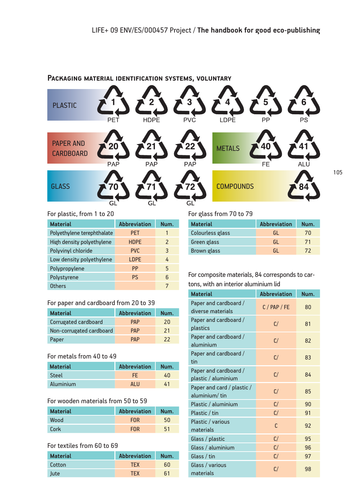

#### **Packaging material identification systems, voluntary**

#### For plastic, from 1 to 20

| <b>Material</b>            | <b>Abbreviation</b> | Num.          |
|----------------------------|---------------------|---------------|
| Polyethylene terephthalate | <b>PET</b>          | 1             |
| High density polyethylene  | <b>HDPE</b>         | $\mathcal{P}$ |
| Polyvinyl chloride         | PVC.                | 3             |
| Low density polyethylene   | <b>LDPE</b>         | 4             |
| Polypropylene              | PP                  | 5             |
| Polystyrene                | <b>PS</b>           | 6             |
| Others                     |                     | 7             |

#### For paper and cardboard from 20 to 39

| <b>Material</b>          | <b>Abbreviation</b> | Num. |
|--------------------------|---------------------|------|
| Corrugated cardboard     | <b>PAP</b>          | 20   |
| Non-corrugated cardboard | <b>PAP</b>          | 21   |
| Paper                    | <b>PAP</b>          | 22   |

### For metals from 40 to 49

| <b>Material</b> | <b>Abbreviation</b> | Num. |
|-----------------|---------------------|------|
| Steel           | FF.                 | 40   |
| Aluminium       | AI U                | 41   |

#### For wooden materials from 50 to 59

| <b>Material</b> | <b>Abbreviation</b> | Num. |
|-----------------|---------------------|------|
| Wood            | <b>FOR</b>          | 50   |
| <b>Cork</b>     | <b>FOR</b>          | 51   |

#### For textiles from 60 to 69

| <b>Material</b> | <b>Abbreviation</b> | Num. |
|-----------------|---------------------|------|
| Cotton          | <b>TFX</b>          | 60   |
| Jute            | <b>TFX</b>          | 61   |

#### For glass from 70 to 79

| <b>Material</b>    | <b>Abbreviation</b> | Num. |
|--------------------|---------------------|------|
| Colourless glass   | GL                  | 70   |
| Green glass        | -GL                 | 71   |
| <b>Brown</b> glass | GL                  | 72   |

#### For composite materials, 84 corresponds to cartons, with an interior aluminium lid

| <b>Material</b>                              | <b>Abbreviation</b> | Num. |
|----------------------------------------------|---------------------|------|
| Paper and cardboard /<br>diverse materials   | $C/$ PAP / FE       | 80   |
| Paper and cardboard /<br>plastics            | C/                  | 81   |
| Paper and cardboard /<br>aluminium           | C/                  | 82   |
| Paper and cardboard /<br>tin                 | C/                  | 83   |
| Paper and cardboard /<br>plastic / aluminium | C/                  | 84   |
| Paper and card / plastic /<br>aluminium/tin  | C/                  | 85   |
| Plastic / aluminium                          | C/                  | 90   |
| Plastic / tin                                | C/                  | 91   |
| Plastic / various<br>materials               | C                   | 92   |
| Glass / plastic                              | C/                  | 95   |
| Glass / aluminium                            | C/                  | 96   |
| Glass / tin                                  | C/                  | 97   |
| Glass / various<br>materials                 | C/                  | 98   |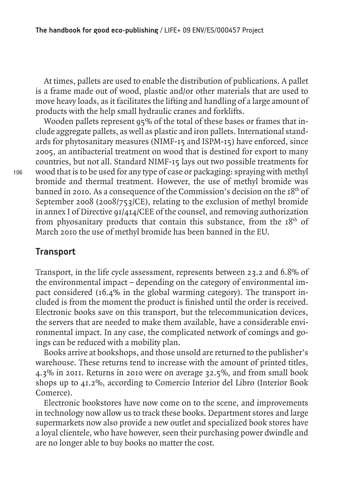At times, pallets are used to enable the distribution of publications. A pallet is a frame made out of wood, plastic and/or other materials that are used to move heavy loads, as it facilitates the lifting and handling of a large amount of products with the help small hydraulic cranes and forklifts.

Wooden pallets represent 95% of the total of these bases or frames that include aggregate pallets, as well as plastic and iron pallets. International standards for phytosanitary measures (NIMF-15 and ISPM-15) have enforced, since 2005, an antibacterial treatment on wood that is destined for export to many countries, but not all. Standard NIMF-15 lays out two possible treatments for wood that is to be used for any type of case or packaging: spraying with methyl bromide and thermal treatment. However, the use of methyl bromide was banned in 2010. As a consequence of the Commission's decision on the  $18<sup>th</sup>$  of September 2008 (2008/753/CE), relating to the exclusion of methyl bromide in annex I of Directive 91/414/CEE of the counsel, and removing authorization from phyosanitary products that contain this substance, from the  $18<sup>th</sup>$  of March 2010 the use of methyl bromide has been banned in the EU.

# **Transport**

Transport, in the life cycle assessment, represents between 23.2 and 6.8% of the environmental impact – depending on the category of environmental impact considered (16.4% in the global warming category). The transport included is from the moment the product is finished until the order is received. Electronic books save on this transport, but the telecommunication devices, the servers that are needed to make them available, have a considerable environmental impact. In any case, the complicated network of comings and goings can be reduced with a mobility plan.

Books arrive at bookshops, and those unsold are returned to the publisher's warehouse. These returns tend to increase with the amount of printed titles, 4.3% in 2011. Returns in 2010 were on average 32.5%, and from small book shops up to 41.2%, according to Comercio Interior del Libro (Interior Book Comerce).

Electronic bookstores have now come on to the scene, and improvements in technology now allow us to track these books. Department stores and large supermarkets now also provide a new outlet and specialized book stores have a loyal clientele, who have however, seen their purchasing power dwindle and are no longer able to buy books no matter the cost.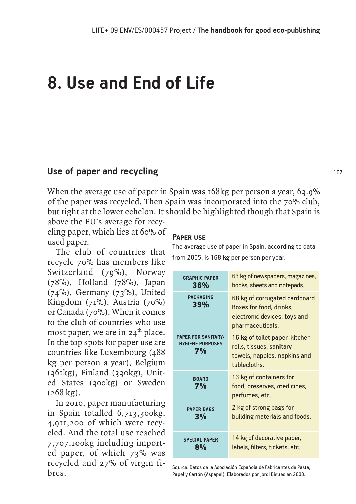# **8. Use and End of Life**

## **Use of paper and recycling**

When the average use of paper in Spain was 168kg per person a year, 63.9% of the paper was recycled. Then Spain was incorporated into the 70% club, but right at the lower echelon. It should be highlighted though that Spain is

above the EU's average for recycling paper, which lies at 60% of used paper.

The club of countries that recycle 70% has members like Switzerland (79%), Norway (78%), Holland (78%), Japan (74%), Germany (73%), United Kingdom (71%), Austria (70%) or Canada (70%). When it comes to the club of countries who use most paper, we are in  $24<sup>th</sup>$  place. In the top spots for paper use are countries like Luxembourg (488 kg per person a year), Belgium (361kg), Finland (330kg), United States (300kg) or Sweden (268 kg).

In 2010, paper manufacturing in Spain totalled 6,713,300kg, 4,911,200 of which were recycled. And the total use reached 7,707,100kg including imported paper, of which 73% was recycled and 27% of virgin fibres.

#### **Paper use**

The average use of paper in Spain, according to data from 2005, is 168 kg per person per year.

| <b>GRAPHIC PAPER</b>                                        | 63 kg of newspapers, magazines,                                                                              |
|-------------------------------------------------------------|--------------------------------------------------------------------------------------------------------------|
| 36%                                                         | books, sheets and notepads.                                                                                  |
| <b>PACKAGING</b><br>39%                                     | 68 kg of corrugated cardboard<br>Boxes for food, drinks,<br>electronic devices, toys and<br>pharmaceuticals. |
| <b>PAPER FOR SANITARY/</b><br><b>HYGIENE PURPOSES</b><br>7% | 16 kg of toilet paper, kitchen<br>rolls, tissues, sanitary<br>towels, nappies, napkins and<br>tablecloths.   |
| <b>BOARD</b><br>7%                                          | 13 kg of containers for<br>food, preserves, medicines,<br>perfumes, etc.                                     |
| <b>PAPER BAGS</b>                                           | 2 kg of strong bags for                                                                                      |
| 3%                                                          | building materials and foods.                                                                                |
| <b>SPECIAL PAPER</b>                                        | 14 kg of decorative paper,                                                                                   |
| 8%                                                          | labels, filters, tickets, etc.                                                                               |

Source: Datos de la Asociación Española de Fabricantes de Pasta, Papel y Cartón (Aspapel). Elaborados por Jordi Bigues en 2008.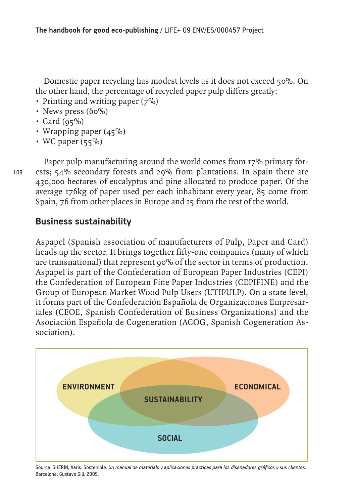Domestic paper recycling has modest levels as it does not exceed 50%. On the other hand, the percentage of recycled paper pulp differs greatly:

- Printing and writing paper (7%)
- News press (60%)
- Card  $(95\%)$
- Wrapping paper (45%)
- WC paper  $(55\%)$

108

Paper pulp manufacturing around the world comes from 17% primary forests; 54% secondary forests and 29% from plantations. In Spain there are 430,000 hectares of eucalyptus and pine allocated to produce paper. Of the average 176kg of paper used per each inhabitant every year, 85 come from Spain, 76 from other places in Europe and 15 from the rest of the world.

# **Business sustainability**

Aspapel (Spanish association of manufacturers of Pulp, Paper and Card) heads up the sector. It brings together fifty-one companies (many of which are transnational) that represent 90% of the sector in terms of production. Aspapel is part of the Confederation of European Paper Industries (CEPI) the Confederation of European Fine Paper Industries (CEPIFINE) and the Group of European Market Wood Pulp Users (UTIPULP). On a state level, it forms part of the Confederación Española de Organizaciones Empresariales (CEOE, Spanish Confederation of Business Organizations) and the Asociación Española de Cogeneration (ACOG, Spanish Cogeneration Association).



Source: SHERIN, Aaris. Sostenible. *Un manual de materials y aplicaciones prácticas para los diseñadores gráficos y sus clientes.* Barcelona: Gustavo Gili, 2009.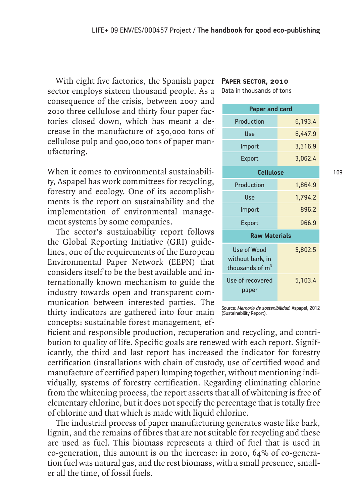With eight five factories, the Spanish paper sector employs sixteen thousand people. As a consequence of the crisis, between 2007 and 2010 three cellulose and thirty four paper factories closed down, which has meant a decrease in the manufacture of 250,000 tons of cellulose pulp and 900,000 tons of paper manufacturing.

When it comes to environmental sustainability, Aspapel has work committees for recycling, forestry and ecology. One of its accomplishments is the report on sustainability and the implementation of environmental management systems by some companies.

The sector's sustainability report follows the Global Reporting Initiative (GRI) guidelines, one of the requirements of the European Environmental Paper Network (EEPN) that considers itself to be the best available and internationally known mechanism to guide the industry towards open and transparent communication between interested parties. The thirty indicators are gathered into four main concepts: sustainable forest management, ef**Paper sector, 2010**

Data in thousands of tons

| <b>Paper and card</b>                                          |         |
|----------------------------------------------------------------|---------|
| Production                                                     | 6,193.4 |
| Use                                                            | 6,447.9 |
| Import                                                         | 3,316.9 |
| <b>Export</b>                                                  | 3,062.4 |
| <b>Cellulose</b>                                               |         |
| Production                                                     | 1,864.9 |
| Use                                                            | 1,794.2 |
| Import                                                         | 896.2   |
| <b>Export</b>                                                  | 966.9   |
| <b>Raw Materials</b>                                           |         |
| Use of Wood<br>without bark, in<br>thousands of m <sup>3</sup> | 5,802.5 |
| Use of recovered<br>paper                                      | 5,103.4 |

Source: *Memoria de sostenibilidad.* Aspapel, 2012 (Sustainability Report).

ficient and responsible production, recuperation and recycling, and contribution to quality of life. Specific goals are renewed with each report. Significantly, the third and last report has increased the indicator for forestry certification (installations with chain of custody, use of certified wood and manufacture of certified paper) lumping together, without mentioning individually, systems of forestry certification. Regarding eliminating chlorine from the whitening process, the report asserts that all of whitening is free of elementary chlorine, but it does not specify the percentage that is totally free of chlorine and that which is made with liquid chlorine.

The industrial process of paper manufacturing generates waste like bark, lignin, and the remains of fibres that are not suitable for recycling and these are used as fuel. This biomass represents a third of fuel that is used in co-generation, this amount is on the increase: in 2010, 64% of co-generation fuel was natural gas, and the rest biomass, with a small presence, smaller all the time, of fossil fuels.

109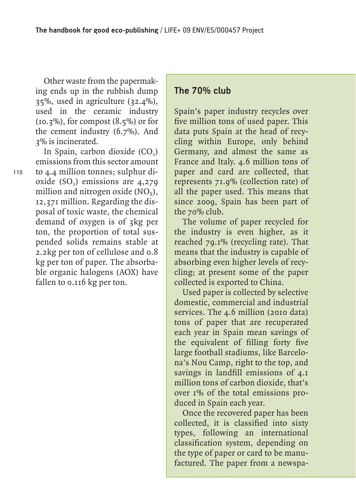Other waste from the papermaking ends up in the rubbish dump 35%, used in agriculture (32.4%), used in the ceramic industry  $(10.3\%)$ , for compost  $(8.5\%)$  or for the cement industry (6.7%). And 3% is incinerated.

In Spain, carbon dioxide  $(CO<sub>2</sub>)$ emissions from this sector amount to 4.4 million tonnes; sulphur dioxide  $(SO<sub>2</sub>)$  emissions are 4,279 million and nitrogen oxide  $(NO_x)$ , 12,371 million. Regarding the disposal of toxic waste, the chemical demand of oxygen is of 3kg per ton, the proportion of total suspended solids remains stable at 2.2kg per ton of cellulose and 0.8 kg per ton of paper. The absorbable organic halogens (AOX) have fallen to 0.116 kg per ton.

110

#### **The 70% club**

Spain's paper industry recycles over five million tons of used paper. This data puts Spain at the head of recycling within Europe, only behind Germany, and almost the same as France and Italy. 4.6 million tons of paper and card are collected, that represents 71.9% (collection rate) of all the paper used. This means that since 2009, Spain has been part of the 70% club.

The volume of paper recycled for the industry is even higher, as it reached 79.1% (recycling rate). That means that the industry is capable of absorbing even higher levels of recycling; at present some of the paper collected is exported to China.

Used paper is collected by selective domestic, commercial and industrial services. The 4.6 million (2010 data) tons of paper that are recuperated each year in Spain mean savings of the equivalent of filling forty five large football stadiums, like Barcelona's Nou Camp, right to the top, and savings in landfill emissions of 4.1 million tons of carbon dioxide, that's over 1% of the total emissions produced in Spain each year.

Once the recovered paper has been collected, it is classified into sixty types, following an international classification system, depending on the type of paper or card to be manufactured. The paper from a newspa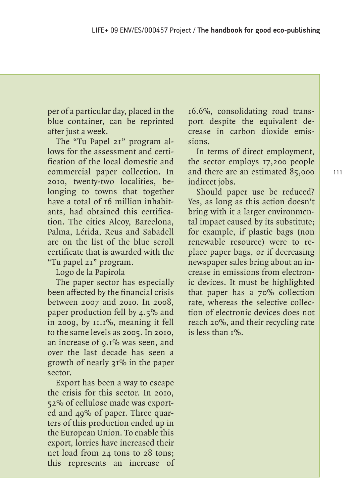per of a particular day, placed in the blue container, can be reprinted after just a week.

The "Tu Papel 21" program allows for the assessment and certification of the local domestic and commercial paper collection. In 2010, twenty-two localities, belonging to towns that together have a total of 16 million inhabitants, had obtained this certification. The cities Alcoy, Barcelona, Palma, Lérida, Reus and Sabadell are on the list of the blue scroll certificate that is awarded with the "Tu papel 21" program.

Logo de la Papirola

The paper sector has especially been affected by the financial crisis between 2007 and 2010. In 2008, paper production fell by 4.5% and in 2009, by 11.1%, meaning it fell to the same levels as 2005. In 2010, an increase of 9.1% was seen, and over the last decade has seen a growth of nearly 31% in the paper sector.

Export has been a way to escape the crisis for this sector. In 2010, 52% of cellulose made was exported and 49% of paper. Three quarters of this production ended up in the European Union. To enable this export, lorries have increased their net load from 24 tons to 28 tons; this represents an increase of

16.6%, consolidating road transport despite the equivalent decrease in carbon dioxide emissions.

In terms of direct employment, the sector employs 17,200 people and there are an estimated 85,000 indirect jobs.

Should paper use be reduced? Yes, as long as this action doesn't bring with it a larger environmental impact caused by its substitute; for example, if plastic bags (non renewable resource) were to replace paper bags, or if decreasing newspaper sales bring about an increase in emissions from electronic devices. It must be highlighted that paper has a 70% collection rate, whereas the selective collection of electronic devices does not reach 20%, and their recycling rate is less than  $I\%$ .

111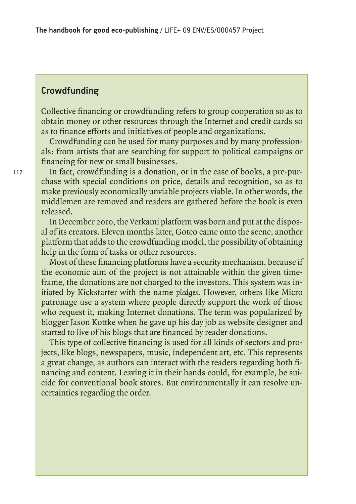## **Crowdfunding**

Collective financing or crowdfunding refers to group cooperation so as to obtain money or other resources through the Internet and credit cards so as to finance efforts and initiatives of people and organizations.

Crowdfunding can be used for many purposes and by many professionals: from artists that are searching for support to political campaigns or financing for new or small businesses.

In fact, crowdfunding is a donation, or in the case of books, a pre-purchase with special conditions on price, details and recognition, so as to make previously economically unviable projects viable. In other words, the middlemen are removed and readers are gathered before the book is even released.

In December 2010, the Verkami platform was born and put at the disposal of its creators. Eleven months later, Goteo came onto the scene, another platform that adds to the crowdfunding model, the possibility of obtaining help in the form of tasks or other resources.

Most of these financing platforms have a security mechanism, because if the economic aim of the project is not attainable within the given timeframe, the donations are not charged to the investors. This system was initiated by Kickstarter with the name *pledges*. However, others like Micro patronage use a system where people directly support the work of those who request it, making Internet donations. The term was popularized by blogger Jason Kottke when he gave up his day job as website designer and started to live of his blogs that are financed by reader donations.

This type of collective financing is used for all kinds of sectors and projects, like blogs, newspapers, music, independent art, etc. This represents a great change, as authors can interact with the readers regarding both financing and content. Leaving it in their hands could, for example, be suicide for conventional book stores. But environmentally it can resolve uncertainties regarding the order.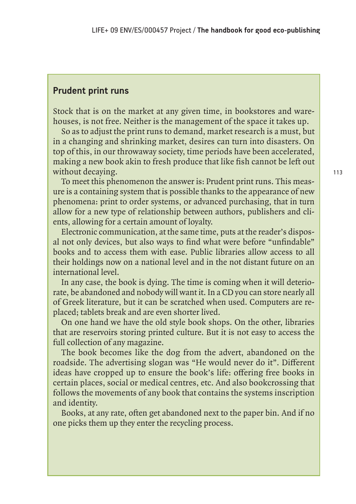#### **Prudent print runs**

Stock that is on the market at any given time, in bookstores and warehouses, is not free. Neither is the management of the space it takes up.

So as to adjust the print runs to demand, market research is a must, but in a changing and shrinking market, desires can turn into disasters. On top of this, in our throwaway society, time periods have been accelerated, making a new book akin to fresh produce that like fish cannot be left out without decaying.

To meet this phenomenon the answer is: Prudent print runs. This measure is a containing system that is possible thanks to the appearance of new phenomena: print to order systems, or advanced purchasing, that in turn allow for a new type of relationship between authors, publishers and clients, allowing for a certain amount of loyalty.

Electronic communication, at the same time, puts at the reader's disposal not only devices, but also ways to find what were before "unfindable" books and to access them with ease. Public libraries allow access to all their holdings now on a national level and in the not distant future on an international level.

In any case, the book is dying. The time is coming when it will deteriorate, be abandoned and nobody will want it. In a CD you can store nearly all of Greek literature, but it can be scratched when used. Computers are replaced; tablets break and are even shorter lived.

On one hand we have the old style book shops. On the other, libraries that are reservoirs storing printed culture. But it is not easy to access the full collection of any magazine.

The book becomes like the dog from the advert, abandoned on the roadside. The advertising slogan was "He would never do it". Different ideas have cropped up to ensure the book's life: offering free books in certain places, social or medical centres, etc. And also bookcrossing that follows the movements of any book that contains the systems inscription and identity.

Books, at any rate, often get abandoned next to the paper bin. And if no one picks them up they enter the recycling process.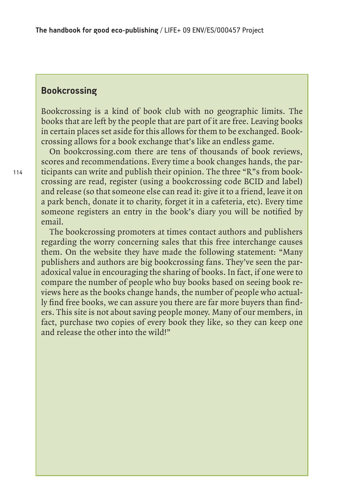#### **Bookcrossing**

Bookcrossing is a kind of book club with no geographic limits. The books that are left by the people that are part of it are free. Leaving books in certain places set aside for this allows for them to be exchanged. Bookcrossing allows for a book exchange that's like an endless game.

On bookcrossing.com there are tens of thousands of book reviews, scores and recommendations. Every time a book changes hands, the participants can write and publish their opinion. The three "R"s from bookcrossing are read, register (using a bookcrossing code BCID and label) and release (so that someone else can read it: give it to a friend, leave it on a park bench, donate it to charity, forget it in a cafeteria, etc). Every time someone registers an entry in the book's diary you will be notified by email.

The bookcrossing promoters at times contact authors and publishers regarding the worry concerning sales that this free interchange causes them. On the website they have made the following statement: "Many publishers and authors are big bookcrossing fans. They've seen the paradoxical value in encouraging the sharing of books. In fact, if one were to compare the number of people who buy books based on seeing book reviews here as the books change hands, the number of people who actually find free books, we can assure you there are far more buyers than finders. This site is not about saving people money. Many of our members, in fact, purchase two copies of every book they like, so they can keep one and release the other into the wild!"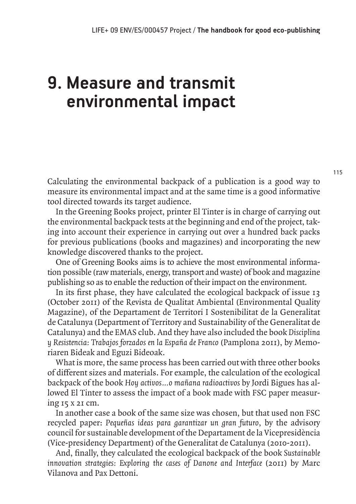# **9. Measure and transmit environmental impact**

Calculating the environmental backpack of a publication is a good way to measure its environmental impact and at the same time is a good informative tool directed towards its target audience.

In the Greening Books project, printer El Tinter is in charge of carrying out the environmental backpack tests at the beginning and end of the project, taking into account their experience in carrying out over a hundred back packs for previous publications (books and magazines) and incorporating the new knowledge discovered thanks to the project.

One of Greening Books aims is to achieve the most environmental information possible (raw materials, energy, transport and waste) of book and magazine publishing so as to enable the reduction of their impact on the environment.

In its first phase, they have calculated the ecological backpack of issue 13 (October 2011) of the Revista de Qualitat Ambiental (Environmental Quality Magazine), of the Departament de Territori I Sostenibilitat de la Generalitat de Catalunya (Department of Territory and Sustainability of the Generalitat de Catalunya) and the EMAS club. And they have also included the book *Disciplina y Resistencia: Trabajos forzados en la España de Franco* (Pamplona 2011), by Memoriaren Bideak and Eguzi Bideoak.

What is more, the same process has been carried out with three other books of different sizes and materials. For example, the calculation of the ecological backpack of the book *Hoy activos…o mañana radioactivos* by Jordi Bigues has allowed El Tinter to assess the impact of a book made with FSC paper measuring 15 x 21 cm.

In another case a book of the same size was chosen, but that used non FSC recycled paper: *Pequeñas ideas para garantizar un gran futuro*, by the advisory council for sustainable development of the Departament de la Vicepresidència (Vice-presidency Department) of the Generalitat de Catalunya (2010-2011).

And, finally, they calculated the ecological backpack of the book *Sustainable innovation strategies: Exploring the cases of Danone and Interface* (2011) by Marc Vilanova and Pax Dettoni.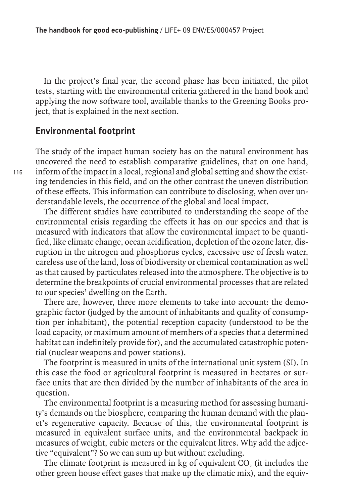In the project's final year, the second phase has been initiated, the pilot tests, starting with the environmental criteria gathered in the hand book and applying the now software tool, available thanks to the Greening Books project, that is explained in the next section.

#### **Environmental footprint**

The study of the impact human society has on the natural environment has uncovered the need to establish comparative guidelines, that on one hand, inform of the impact in a local, regional and global setting and show the existing tendencies in this field, and on the other contrast the uneven distribution of these effects. This information can contribute to disclosing, when over understandable levels, the occurrence of the global and local impact.

The different studies have contributed to understanding the scope of the environmental crisis regarding the effects it has on our species and that is measured with indicators that allow the environmental impact to be quantified, like climate change, ocean acidification, depletion of the ozone later, disruption in the nitrogen and phosphorus cycles, excessive use of fresh water, careless use of the land, loss of biodiversity or chemical contamination as well as that caused by particulates released into the atmosphere. The objective is to determine the breakpoints of crucial environmental processes that are related to our species' dwelling on the Earth.

There are, however, three more elements to take into account: the demographic factor (judged by the amount of inhabitants and quality of consumption per inhabitant), the potential reception capacity (understood to be the load capacity, or maximum amount of members of a species that a determined habitat can indefinitely provide for), and the accumulated catastrophic potential (nuclear weapons and power stations).

The footprint is measured in units of the international unit system (SI). In this case the food or agricultural footprint is measured in hectares or surface units that are then divided by the number of inhabitants of the area in question.

The environmental footprint is a measuring method for assessing humanity's demands on the biosphere, comparing the human demand with the planet's regenerative capacity. Because of this, the environmental footprint is measured in equivalent surface units, and the environmental backpack in measures of weight, cubic meters or the equivalent litres. Why add the adjective "equivalent"? So we can sum up but without excluding.

The climate footprint is measured in kg of equivalent CO<sub>2</sub> (it includes the other green house effect gases that make up the climatic mix), and the equiv-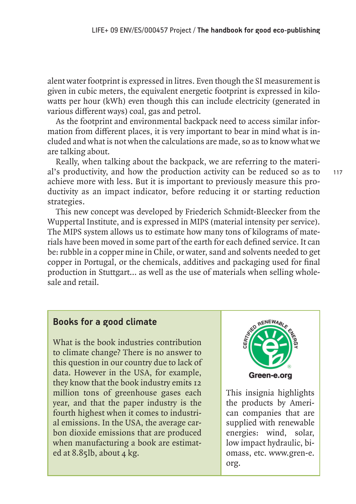alent water footprint is expressed in litres. Even though the SI measurement is given in cubic meters, the equivalent energetic footprint is expressed in kilowatts per hour (kWh) even though this can include electricity (generated in various different ways) coal, gas and petrol.

As the footprint and environmental backpack need to access similar information from different places, it is very important to bear in mind what is included and what is not when the calculations are made, so as to know what we are talking about.

Really, when talking about the backpack, we are referring to the material's productivity, and how the production activity can be reduced so as to achieve more with less. But it is important to previously measure this productivity as an impact indicator, before reducing it or starting reduction strategies.

This new concept was developed by Friederich Schmidt-Bleecker from the Wuppertal Institute, and is expressed in MIPS (material intensity per service). The MIPS system allows us to estimate how many tons of kilograms of materials have been moved in some part of the earth for each defined service. It can be: rubble in a copper mine in Chile, or water, sand and solvents needed to get copper in Portugal, or the chemicals, additives and packaging used for final production in Stuttgart… as well as the use of materials when selling wholesale and retail.

#### **Books for a good climate**

What is the book industries contribution to climate change? There is no answer to this question in our country due to lack of data. However in the USA, for example, they know that the book industry emits 12 million tons of greenhouse gases each year, and that the paper industry is the fourth highest when it comes to industrial emissions. In the USA, the average carbon dioxide emissions that are produced when manufacturing a book are estimated at  $8.85$ lb, about 4 kg.



This insignia highlights the products by American companies that are supplied with renewable energies: wind, solar, low impact hydraulic, biomass, etc. www.gren-e. org.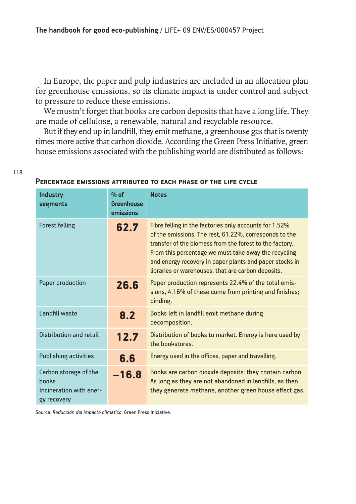In Europe, the paper and pulp industries are included in an allocation plan for greenhouse emissions, so its climate impact is under control and subject to pressure to reduce these emissions.

We mustn't forget that books are carbon deposits that have a long life. They are made of cellulose, a renewable, natural and recyclable resource.

But if they end up in landfill, they emit methane, a greenhouse gas that is twenty times more active that carbon dioxide. According the Green Press Initiative, green house emissions associated with the publishing world are distributed as follows:

#### **Percentage emissions attributed to each phase of the life cycle**

| <b>Industry</b><br>segments                                              | $%$ of<br><b>Greenhouse</b><br>emissions | <b>Notes</b>                                                                                                                                                                                                                                                                                                                                         |
|--------------------------------------------------------------------------|------------------------------------------|------------------------------------------------------------------------------------------------------------------------------------------------------------------------------------------------------------------------------------------------------------------------------------------------------------------------------------------------------|
| <b>Forest felling</b>                                                    | 62.7                                     | Fibre felling in the factories only accounts for 1.52%<br>of the emissions. The rest, 61.22%, corresponds to the<br>transfer of the biomass from the forest to the factory.<br>From this percentage we must take away the recycling<br>and energy recovery in paper plants and paper stocks in<br>libraries or warehouses, that are carbon deposits. |
| Paper production                                                         | 26.6                                     | Paper production represents 22.4% of the total emis-<br>sions, 4.16% of these come from printing and finishes;<br>binding.                                                                                                                                                                                                                           |
| Landfill waste                                                           | 8.2                                      | Books left in landfill emit methane during<br>decomposition.                                                                                                                                                                                                                                                                                         |
| <b>Distribution and retail</b>                                           | 12.7                                     | Distribution of books to market. Energy is here used by<br>the bookstores.                                                                                                                                                                                                                                                                           |
| <b>Publishing activities</b>                                             | 6.6                                      | Energy used in the offices, paper and travelling.                                                                                                                                                                                                                                                                                                    |
| Carbon storage of the<br>books<br>Incineration with ener-<br>gy recovery | $-16.8$                                  | Books are carbon dioxide deposits: they contain carbon.<br>As long as they are not abandoned in landfills, as then<br>they generate methane, another green house effect gas.                                                                                                                                                                         |

Source: *Reducción del impacto climático.* Green Press Iniciative.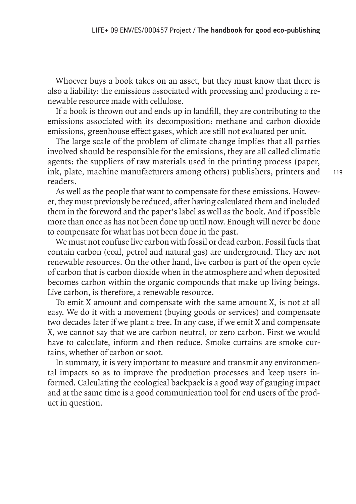Whoever buys a book takes on an asset, but they must know that there is also a liability: the emissions associated with processing and producing a renewable resource made with cellulose.

If a book is thrown out and ends up in landfill, they are contributing to the emissions associated with its decomposition: methane and carbon dioxide emissions, greenhouse effect gases, which are still not evaluated per unit.

The large scale of the problem of climate change implies that all parties involved should be responsible for the emissions, they are all called climatic agents: the suppliers of raw materials used in the printing process (paper, ink, plate, machine manufacturers among others) publishers, printers and readers.

As well as the people that want to compensate for these emissions. However, they must previously be reduced, after having calculated them and included them in the foreword and the paper's label as well as the book. And if possible more than once as has not been done up until now. Enough will never be done to compensate for what has not been done in the past.

We must not confuse live carbon with fossil or dead carbon. Fossil fuels that contain carbon (coal, petrol and natural gas) are underground. They are not renewable resources. On the other hand, live carbon is part of the open cycle of carbon that is carbon dioxide when in the atmosphere and when deposited becomes carbon within the organic compounds that make up living beings. Live carbon, is therefore, a renewable resource.

To emit X amount and compensate with the same amount X, is not at all easy. We do it with a movement (buying goods or services) and compensate two decades later if we plant a tree. In any case, if we emit X and compensate X, we cannot say that we are carbon neutral, or zero carbon. First we would have to calculate, inform and then reduce. Smoke curtains are smoke curtains, whether of carbon or soot.

In summary, it is very important to measure and transmit any environmental impacts so as to improve the production processes and keep users informed. Calculating the ecological backpack is a good way of gauging impact and at the same time is a good communication tool for end users of the product in question.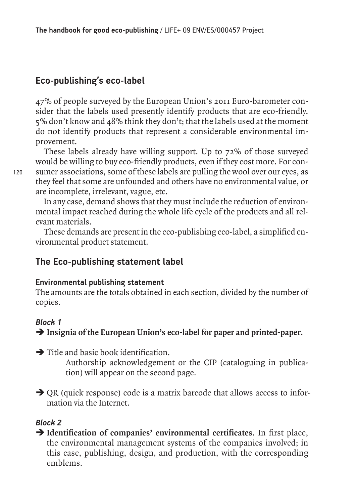## **Eco-publishing's eco-label**

47% of people surveyed by the European Union's 2011 Euro-barometer consider that the labels used presently identify products that are eco-friendly. 5% don't know and 48% think they don't; that the labels used at the moment do not identify products that represent a considerable environmental improvement.

These labels already have willing support. Up to 72% of those surveyed would be willing to buy eco-friendly products, even if they cost more. For consumer associations, some of these labels are pulling the wool over our eyes, as they feel that some are unfounded and others have no environmental value, or are incomplete, irrelevant, vague, etc.

In any case, demand shows that they must include the reduction of environmental impact reached during the whole life cycle of the products and all relevant materials.

These demands are present in the eco-publishing eco-label, a simplified environmental product statement.

#### **The Eco-publishing statement label**

#### **Environmental publishing statement**

The amounts are the totals obtained in each section, divided by the number of copies.

#### *Block 1*

#### $\rightarrow$  Insignia of the European Union's eco-label for paper and printed-paper.

 $\rightarrow$  Title and basic book identification.

 Authorship acknowledgement or the CIP (cataloguing in publication) will appear on the second page.

 $\rightarrow$  OR (quick response) code is a matrix barcode that allows access to information via the Internet.

#### *Block 2*

Î **Identification of companies' environmental certificates**. In first place, the environmental management systems of the companies involved; in this case, publishing, design, and production, with the corresponding emblems.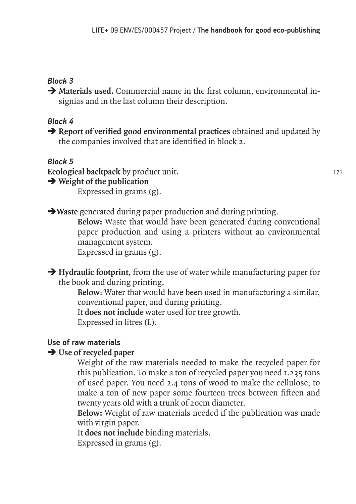#### *Block 3*

 $\rightarrow$  Materials used. Commercial name in the first column, environmental insignias and in the last column their description.

#### *Block 4*

**Exercise 3** Report of verified good environmental practices obtained and updated by the companies involved that are identified in block 2.

*Block 5*

**Ecological backpack** by product unit.

 $\rightarrow$  Weight of the publication

Expressed in grams (g).

**I**Waste generated during paper production and during printing.

 **Below:** Waste that would have been generated during conventional paper production and using a printers without an environmental management system. Expressed in grams (g).

 $\rightarrow$  **Hydraulic footprint**, from the use of water while manufacturing paper for the book and during printing.

 **Below**: Water that would have been used in manufacturing a similar, conventional paper, and during printing.

It **does not include** water used for tree growth.

Expressed in litres (L).

### **Use of raw materials**

### **→ Use of recycled paper**

 Weight of the raw materials needed to make the recycled paper for this publication. To make a ton of recycled paper you need 1.235 tons of used paper. You need 2.4 tons of wood to make the cellulose, to make a ton of new paper some fourteen trees between fifteen and twenty years old with a trunk of 20cm diameter.

 **Below:** Weight of raw materials needed if the publication was made with virgin paper.

It **does not include** binding materials.

Expressed in grams (g).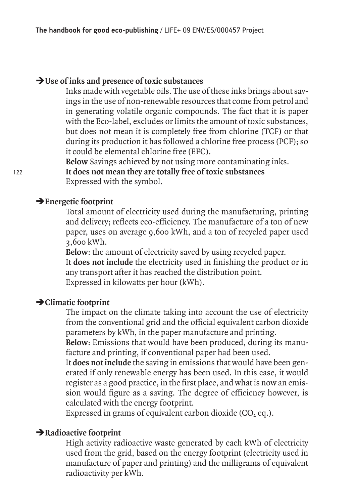#### **→ Use of inks and presence of toxic substances**

 Inks made with vegetable oils. The use of these inks brings about savings in the use of non-renewable resources that come from petrol and in generating volatile organic compounds. The fact that it is paper with the Eco-label, excludes or limits the amount of toxic substances, but does not mean it is completely free from chlorine (TCF) or that during its production it has followed a chlorine free process (PCF); so it could be elemental chlorine free (EFC).

 **Below** Savings achieved by not using more contaminating inks.

 **It does not mean they are totally free of toxic substances** Expressed with the symbol.

#### $→$ **Energetic footprint**

 Total amount of electricity used during the manufacturing, printing and delivery; reflects eco-efficiency. The manufacture of a ton of new paper, uses on average 9,600 kWh, and a ton of recycled paper used 3,600 kWh.

 **Below**: the amount of electricity saved by using recycled paper. It **does not include** the electricity used in finishing the product or in any transport after it has reached the distribution point. Expressed in kilowatts per hour (kWh).

#### Î**Climatic footprint**

 The impact on the climate taking into account the use of electricity from the conventional grid and the official equivalent carbon dioxide parameters by kWh, in the paper manufacture and printing.

 **Below**: Emissions that would have been produced, during its manufacture and printing, if conventional paper had been used.

 It **does not include** the saving in emissions that would have been generated if only renewable energy has been used. In this case, it would register as a good practice, in the first place, and what is now an emission would figure as a saving. The degree of efficiency however, is calculated with the energy footprint.

Expressed in grams of equivalent carbon dioxide  $(CO, eq.)$ .

#### **Example 2 Radioactive footprint**

 High activity radioactive waste generated by each kWh of electricity used from the grid, based on the energy footprint (electricity used in manufacture of paper and printing) and the milligrams of equivalent radioactivity per kWh.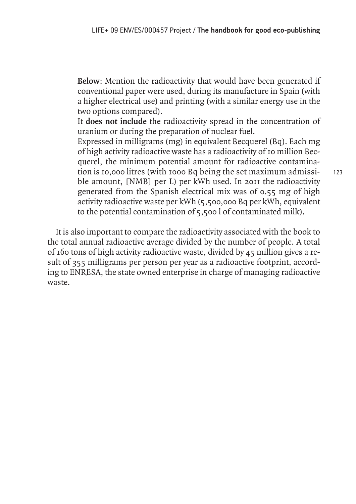**Below**: Mention the radioactivity that would have been generated if conventional paper were used, during its manufacture in Spain (with a higher electrical use) and printing (with a similar energy use in the two options compared).

 It **does not include** the radioactivity spread in the concentration of uranium or during the preparation of nuclear fuel.

 Expressed in milligrams (mg) in equivalent Becquerel (Bq). Each mg of high activity radioactive waste has a radioactivity of 10 million Becquerel, the minimum potential amount for radioactive contamination is 10,000 litres (with 1000 Bq being the set maximum admissible amount, [NMB] per L) per kWh used. In 2011 the radioactivity generated from the Spanish electrical mix was of 0.55 mg of high activity radioactive waste per kWh (5,500,000 Bq per kWh, equivalent to the potential contamination of 5,500 l of contaminated milk).

It is also important to compare the radioactivity associated with the book to the total annual radioactive average divided by the number of people. A total of 160 tons of high activity radioactive waste, divided by 45 million gives a result of 355 milligrams per person per year as a radioactive footprint, according to ENRESA, the state owned enterprise in charge of managing radioactive waste.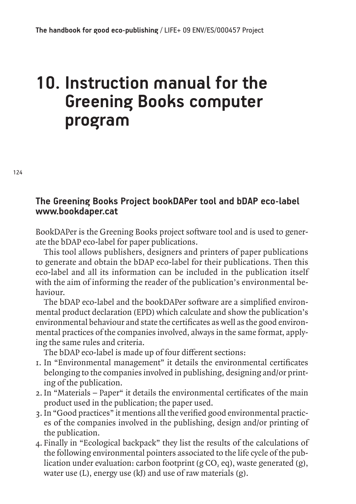# **10. Instruction manual for the Greening Books computer program**

#### **The Greening Books Project bookDAPer tool and bDAP eco-label www.bookdaper.cat**

BookDAPer is the Greening Books project software tool and is used to generate the bDAP eco-label for paper publications.

This tool allows publishers, designers and printers of paper publications to generate and obtain the bDAP eco-label for their publications. Then this eco-label and all its information can be included in the publication itself with the aim of informing the reader of the publication's environmental behaviour.

The bDAP eco-label and the bookDAPer software are a simplified environmental product declaration (EPD) which calculate and show the publication's environmental behaviour and state the certificates as well as the good environmental practices of the companies involved, always in the same format, applying the same rules and criteria.

The bDAP eco-label is made up of four different sections:

- 1. In "Environmental management" it details the environmental certificates belonging to the companies involved in publishing, designing and/or printing of the publication.
- 2. In "Materials Paper" it details the environmental certificates of the main product used in the publication; the paper used.
- 3. In "Good practices" it mentions all the verified good environmental practices of the companies involved in the publishing, design and/or printing of the publication.
- 4. Finally in "Ecological backpack" they list the results of the calculations of the following environmental pointers associated to the life cycle of the publication under evaluation: carbon footprint (g  $CO$ , eq), waste generated (g), water use  $(L)$ , energy use  $(k)$  and use of raw materials  $(g)$ .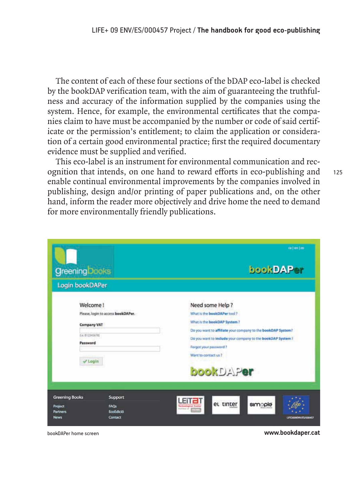The content of each of these four sections of the bDAP eco-label is checked by the bookDAP verification team, with the aim of guaranteeing the truthfulness and accuracy of the information supplied by the companies using the system. Hence, for example, the environmental certificates that the companies claim to have must be accompanied by the number or code of said certificate or the permission's entitlement; to claim the application or consideration of a certain good environmental practice; first the required documentary evidence must be supplied and verified.

This eco-label is an instrument for environmental communication and recognition that intends, on one hand to reward efforts in eco-publishing and enable continual environmental improvements by the companies involved in publishing, design and/or printing of paper publications and, on the other hand, inform the reader more objectively and drive home the need to demand for more environmentally friendly publications.

|                                                               |                                    | call on Lim                                                                                                                                                                                                                                                   |
|---------------------------------------------------------------|------------------------------------|---------------------------------------------------------------------------------------------------------------------------------------------------------------------------------------------------------------------------------------------------------------|
| <b>Greening Dooks</b>                                         |                                    | bookDAPer                                                                                                                                                                                                                                                     |
| Login bookDAPer                                               |                                    |                                                                                                                                                                                                                                                               |
| Welcome!<br><b>Company VAT</b><br>(Le. 812345678)<br>Password | Please, login to access bookDAPer. | Need some Help?<br>What is the bookDAPer tool?<br>What is the bookDAP System?<br>Do you want to affiliate your company to the bookDAP System?<br>Do you want to include your company to the bookDAP System ?<br>Forgot your password ?<br>Want to contact us? |
| $\vee$ Login                                                  |                                    | <b>bookDAPer</b>                                                                                                                                                                                                                                              |
| <b>Greening Books</b><br>Project                              | Support<br><b>FAOs</b>             | <b>FITE</b><br>et tinter<br>simople<br><b>Technological Conte</b>                                                                                                                                                                                             |
| <b>Partners</b><br><b>News</b>                                | EcoEdició<br>Contact               | <b>National Office Advisory</b><br>LIFT2009ENV/ES/000457                                                                                                                                                                                                      |

bookDAPer home screen **www.bookdaper.cat**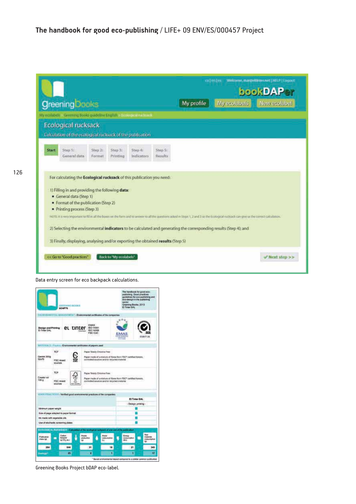|              | <b>Greening Dooks</b><br>My ecolabels Greening Books guideline English > Fontage Intelective                                                                                                                               |                   |                        |                          |                    | My profile                                                                                                                                                                                                                                                                                                        | caleriles | Welcome, margieltinter.net [ HELP ] Logout<br>bookDAPer<br>My ecolabels New ecolabel |  |
|--------------|----------------------------------------------------------------------------------------------------------------------------------------------------------------------------------------------------------------------------|-------------------|------------------------|--------------------------|--------------------|-------------------------------------------------------------------------------------------------------------------------------------------------------------------------------------------------------------------------------------------------------------------------------------------------------------------|-----------|--------------------------------------------------------------------------------------|--|
|              | <b>Ecological rucksack</b><br>Calculation of the ecological rucksack of the publication.                                                                                                                                   |                   |                        |                          |                    |                                                                                                                                                                                                                                                                                                                   |           |                                                                                      |  |
| <b>Start</b> | Step 1:<br>General data                                                                                                                                                                                                    | Step 2:<br>Format | Step 3:<br>Printing    | $Step 4$ :<br>Indicators | Step 5:<br>Results |                                                                                                                                                                                                                                                                                                                   |           |                                                                                      |  |
|              | For calculating the Ecological rucksack of this publication you need:<br>1) Filling in and providing the following data:<br>· General data (Step 1)<br>• Format of the publication (Step 2)<br>· Printing process (Step 3) |                   |                        |                          |                    | NOTE it is very important to fill in all the boxes on the form and to arraver to all the questions asked in Steps 1, 2 and 3 so the Ecological rucksack can give us the correct calculation.<br>2) Selecting the environmental indicators to be calculated and generating the corresponding results (Step 4); and |           |                                                                                      |  |
|              | 3) Finally, displaying, analysing and/or exporting the obtained results (Step 5)<br><< Go to "Good practices"                                                                                                              |                   | Back to "My ecolabels" |                          |                    |                                                                                                                                                                                                                                                                                                                   |           | Wext step >>                                                                         |  |

Data entry screen for eco backpack calculations.

|                                                                                                                                             |                                            | <b><i>LISTMAIL BOOKS</i></b><br><b><i>BOAPTE</i></b>      |                  |                                   |                                                                                                                                                 |                     | <b>NANCROF</b><br>El Tener SAL | publishing. Good practices<br>Greening Books, 2013 | the nentbook for good eco-<br>guidelines for eco-publishing and<br>printed of minimismo.com |  |
|---------------------------------------------------------------------------------------------------------------------------------------------|--------------------------------------------|-----------------------------------------------------------|------------------|-----------------------------------|-------------------------------------------------------------------------------------------------------------------------------------------------|---------------------|--------------------------------|----------------------------------------------------|---------------------------------------------------------------------------------------------|--|
| interestimates the statistic and in T - Environmental certificates of the companies<br>Design and Printing <b>CL TINTEY</b><br>El Timer SAL |                                            |                                                           |                  | <b>EMAS</b>                       | <b>BO14001</b><br><b>ISO 14006</b><br>FSC CoC                                                                                                   |                     | <b>EMA!</b>                    |                                                    | ES09/7126                                                                                   |  |
| U.I./ E11 L. L. J. L. Line - Environmental continuates of papers used                                                                       |                                            |                                                           |                  |                                   |                                                                                                                                                 |                     |                                |                                                    |                                                                                             |  |
| Genini 300g<br>52.00                                                                                                                        | TCF<br>FSC mixed<br>SOUTOIS                |                                                           |                  |                                   | Paper Totally Chicane Free<br>Paper made of a mixture of fibres from FSC* certified forests.<br>controlled sources and/or recycled material.    |                     |                                |                                                    |                                                                                             |  |
| Creator vol<br>100 <sub>0</sub>                                                                                                             | <b>TCR</b><br><b>FSC mixed</b><br>SOURCES. |                                                           | -<br>Fair incame |                                   | Prizzer Testally Childrine Free<br>Paper made of a mixture of Stres from FSC* certified forests.<br>controlled sources and/or recycled material |                     | <b>MOOTHERN PR</b>             | <b>POUR ALST MY SYSTEM</b>                         |                                                                                             |  |
| GEORGIAN TO ES - Ventiled good environmental practices of the companies.                                                                    |                                            |                                                           |                  |                                   |                                                                                                                                                 |                     |                                |                                                    |                                                                                             |  |
|                                                                                                                                             |                                            |                                                           |                  |                                   |                                                                                                                                                 |                     |                                | El Timber SAL                                      |                                                                                             |  |
| Minimum paper weight                                                                                                                        |                                            |                                                           |                  |                                   |                                                                                                                                                 |                     |                                | - Design printing -                                |                                                                                             |  |
| Size of page adapted to paper format                                                                                                        |                                            |                                                           |                  |                                   |                                                                                                                                                 |                     |                                |                                                    |                                                                                             |  |
| Ink made with wegetable oils.                                                                                                               |                                            |                                                           |                  |                                   |                                                                                                                                                 |                     |                                |                                                    |                                                                                             |  |
| Use of stochastic screening plates:                                                                                                         |                                            |                                                           |                  |                                   |                                                                                                                                                 |                     |                                |                                                    |                                                                                             |  |
| comment as it provides in Carabikon of the ecological rucksack of one ont of the publication                                                |                                            |                                                           |                  |                                   |                                                                                                                                                 |                     |                                |                                                    |                                                                                             |  |
| P-bloaton<br>mais list                                                                                                                      |                                            | Cathin<br><b>Bouldvillene</b><br>ip OO <sub>2</sub> ass.) |                  | <b>Laster</b><br>phiduplican<br>ш | <b>Billated</b><br>ы                                                                                                                            | <b>Lonk umphist</b> | Energy<br>consumption<br>6LLI  |                                                    | Row<br>materials<br>consumption<br>us.                                                      |  |
|                                                                                                                                             |                                            | 664                                                       |                  | 3ť                                |                                                                                                                                                 | 16                  |                                | Ħ                                                  | 345                                                                                         |  |
| 264                                                                                                                                         |                                            |                                                           |                  |                                   |                                                                                                                                                 |                     |                                |                                                    |                                                                                             |  |

Greening Books Project bDAP eco-label.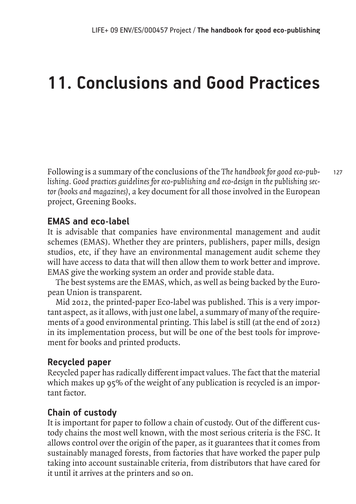# **11. Conclusions and Good Practices**

127 Following is a summary of the conclusions of the *The handbook for good eco-publishing. Good practices guidelines for eco-publishing and eco-design in the publishing sector (books and magazines)*, a key document for all those involved in the European project, Greening Books.

## **EMAS and eco-label**

It is advisable that companies have environmental management and audit schemes (EMAS). Whether they are printers, publishers, paper mills, design studios, etc, if they have an environmental management audit scheme they will have access to data that will then allow them to work better and improve. EMAS give the working system an order and provide stable data.

The best systems are the EMAS, which, as well as being backed by the European Union is transparent.

Mid 2012, the printed-paper Eco-label was published. This is a very important aspect, as it allows, with just one label, a summary of many of the requirements of a good environmental printing. This label is still (at the end of 2012) in its implementation process, but will be one of the best tools for improvement for books and printed products.

# **Recycled paper**

Recycled paper has radically different impact values. The fact that the material which makes up 95% of the weight of any publication is recycled is an important factor.

# **Chain of custody**

It is important for paper to follow a chain of custody. Out of the different custody chains the most well known, with the most serious criteria is the FSC. It allows control over the origin of the paper, as it guarantees that it comes from sustainably managed forests, from factories that have worked the paper pulp taking into account sustainable criteria, from distributors that have cared for it until it arrives at the printers and so on.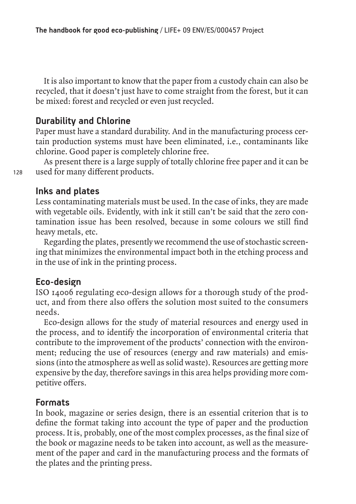It is also important to know that the paper from a custody chain can also be recycled, that it doesn't just have to come straight from the forest, but it can be mixed: forest and recycled or even just recycled.

### **Durability and Chlorine**

Paper must have a standard durability. And in the manufacturing process certain production systems must have been eliminated, i.e., contaminants like chlorine. Good paper is completely chlorine free.

As present there is a large supply of totally chlorine free paper and it can be used for many different products.

### **Inks and plates**

Less contaminating materials must be used. In the case of inks, they are made with vegetable oils. Evidently, with ink it still can't be said that the zero contamination issue has been resolved, because in some colours we still find heavy metals, etc.

Regarding the plates, presently we recommend the use of stochastic screening that minimizes the environmental impact both in the etching process and in the use of ink in the printing process.

#### **Eco-design**

ISO 14006 regulating eco-design allows for a thorough study of the product, and from there also offers the solution most suited to the consumers needs.

Eco-design allows for the study of material resources and energy used in the process, and to identify the incorporation of environmental criteria that contribute to the improvement of the products' connection with the environment; reducing the use of resources (energy and raw materials) and emissions (into the atmosphere as well as solid waste). Resources are getting more expensive by the day, therefore savings in this area helps providing more competitive offers.

#### **Formats**

In book, magazine or series design, there is an essential criterion that is to define the format taking into account the type of paper and the production process. It is, probably, one of the most complex processes, as the final size of the book or magazine needs to be taken into account, as well as the measurement of the paper and card in the manufacturing process and the formats of the plates and the printing press.

128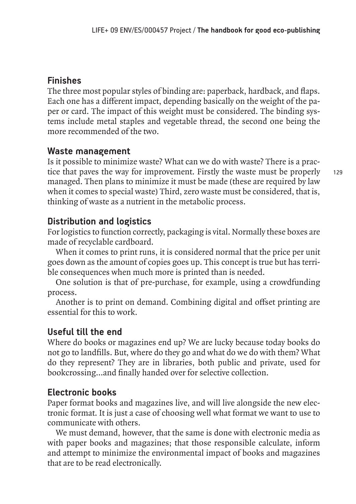# **Finishes**

The three most popular styles of binding are: paperback, hardback, and flaps. Each one has a different impact, depending basically on the weight of the paper or card. The impact of this weight must be considered. The binding systems include metal staples and vegetable thread, the second one being the more recommended of the two.

## **Waste management**

Is it possible to minimize waste? What can we do with waste? There is a practice that paves the way for improvement. Firstly the waste must be properly managed. Then plans to minimize it must be made (these are required by law when it comes to special waste) Third, zero waste must be considered, that is, thinking of waste as a nutrient in the metabolic process.

## **Distribution and logistics**

For logistics to function correctly, packaging is vital. Normally these boxes are made of recyclable cardboard.

When it comes to print runs, it is considered normal that the price per unit goes down as the amount of copies goes up. This concept is true but has terrible consequences when much more is printed than is needed.

One solution is that of pre-purchase, for example, using a crowdfunding process.

Another is to print on demand. Combining digital and offset printing are essential for this to work.

# **Useful till the end**

Where do books or magazines end up? We are lucky because today books do not go to landfills. But, where do they go and what do we do with them? What do they represent? They are in libraries, both public and private, used for bookcrossing…and finally handed over for selective collection.

# **Electronic books**

Paper format books and magazines live, and will live alongside the new electronic format. It is just a case of choosing well what format we want to use to communicate with others.

We must demand, however, that the same is done with electronic media as with paper books and magazines; that those responsible calculate, inform and attempt to minimize the environmental impact of books and magazines that are to be read electronically.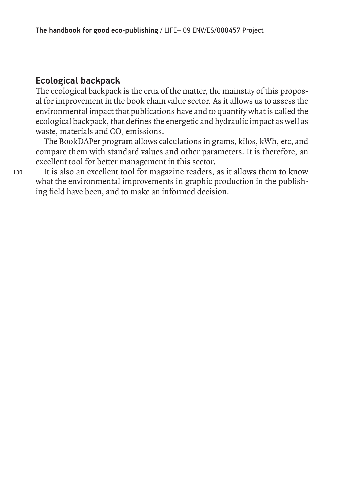## **Ecological backpack**

The ecological backpack is the crux of the matter, the mainstay of this proposal for improvement in the book chain value sector. As it allows us to assess the environmental impact that publications have and to quantify what is called the ecological backpack, that defines the energetic and hydraulic impact as well as waste, materials and CO<sub>2</sub> emissions.

The BookDAPer program allows calculations in grams, kilos, kWh, etc, and compare them with standard values and other parameters. It is therefore, an excellent tool for better management in this sector.

It is also an excellent tool for magazine readers, as it allows them to know what the environmental improvements in graphic production in the publishing field have been, and to make an informed decision.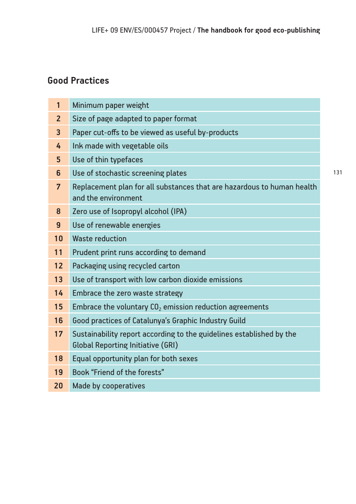# **Good Practices**

| $\mathbf{1}$   | Minimum paper weight                                                                                             |
|----------------|------------------------------------------------------------------------------------------------------------------|
| $\overline{2}$ | Size of page adapted to paper format                                                                             |
| $\overline{3}$ | Paper cut-offs to be viewed as useful by-products                                                                |
| 4              | Ink made with vegetable oils                                                                                     |
| 5              | Use of thin typefaces                                                                                            |
| 6              | Use of stochastic screening plates                                                                               |
| $\overline{7}$ | Replacement plan for all substances that are hazardous to human health<br>and the environment                    |
| 8              | Zero use of Isopropyl alcohol (IPA)                                                                              |
| $\overline{9}$ | Use of renewable energies                                                                                        |
| 10             | <b>Waste reduction</b>                                                                                           |
| 11             | Prudent print runs according to demand                                                                           |
| 12             | Packaging using recycled carton                                                                                  |
| 13             | Use of transport with low carbon dioxide emissions                                                               |
| 14             | Embrace the zero waste strategy                                                                                  |
| 15             | Embrace the voluntary $CO2$ emission reduction agreements                                                        |
| 16             | Good practices of Catalunya's Graphic Industry Guild                                                             |
| 17             | Sustainability report according to the guidelines established by the<br><b>Global Reporting Initiative (GRI)</b> |
| 18             | Equal opportunity plan for both sexes                                                                            |
| 19             | Book "Friend of the forests"                                                                                     |
| 20             | Made by cooperatives                                                                                             |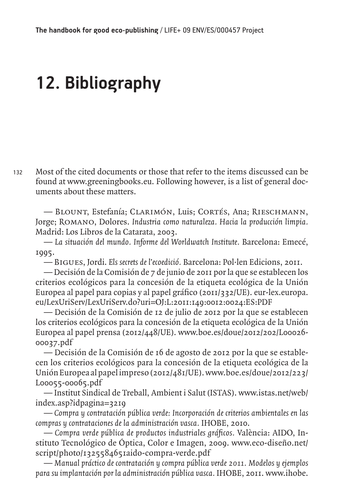# **12. Bibliography**

132 Most of the cited documents or those that refer to the items discussed can be found at www.greeningbooks.eu. Following however, is a list of general documents about these matters.

— Blount, Estefanía; Clarimón, Luis; Cortés, Ana; Rieschmann, Jorge; Romano, Dolores. *Industria como naturaleza. Hacia la producción limpia.* Madrid: Los Libros de la Catarata, 2003.

— *La situación del mundo. Informe del Worldwatch Institute.* Barcelona: Emecé, 1995.

— Bigues, Jordi. *Els secrets de l'ecoedició.* Barcelona: Pol·len Edicions, 2011.

— Decisión de la Comisión de 7 de junio de 2011 por la que se establecen los criterios ecológicos para la concesión de la etiqueta ecológica de la Unión Europea al papel para copias y al papel gráfico (2011/332/UE). eur-lex.europa. eu/LexUriServ/LexUriServ.do?uri=OJ:L:2011:149:0012:0024:ES:PDF

— Decisión de la Comisión de 12 de julio de 2012 por la que se establecen los criterios ecológicos para la concesión de la etiqueta ecológica de la Unión Europea al papel prensa (2012/448/UE). www.boe.es/doue/2012/202/L00026- 00037.pdf

— Decisión de la Comisión de 16 de agosto de 2012 por la que se establecen los criterios ecológicos para la concesión de la etiqueta ecológica de la Unión Europea al papel impreso (2012/481/UE). www.boe.es/doue/2012/223/ L00055-00065.pdf

— Institut Sindical de Treball, Ambient i Salut (ISTAS). www.istas.net/web/ index.asp?idpagina=3219

— *Compra y contratación pública verde: Incorporación de criterios ambientales en las compras y contrataciones de la administración vasca.* IHOBE, 2010.

— *Compra verde pública de productos industriales gráficos.* València: AIDO, Instituto Tecnológico de Óptica, Color e Imagen, 2009. www.eco-diseño.net/ script/photo/1325584651aido-compra-verde.pdf

— *Manual práctico de contratación y compra pública verde 2011. Modelos y ejemplos para su implantación por la administración pública vasca.* IHOBE, 2011. www.ihobe.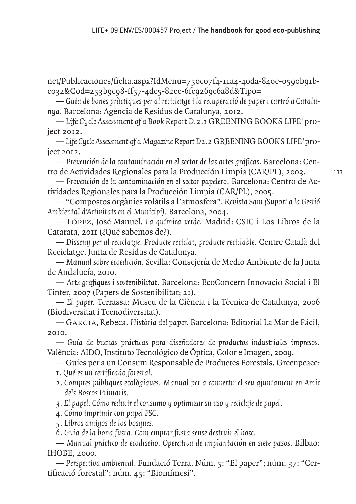net/Publicaciones/ficha.aspx?IdMenu=750e07f4-11a4-40da-840c-0590b91bc032&Cod=253b9e98-ff57-4dc5-82ce-6fc9269c6a8d&Tipo=

— *Guia de bones pràctiques per al reciclatge i la recuperació de paper i cartró a Catalunya.* Barcelona: Agència de Residus de Catalunya, 2012.

— *Life Cycle Assessment of a Book Report D.2.1* GREENING BOOKS LIFE+ project 2012.

— *Life Cycle Assessment of a Magazine Report D2.2* GREENING BOOKS LIFE+ project 2012.

— *Prevención de la contaminación en el sector de las artes gráficas.* Barcelona: Centro de Actividades Regionales para la Producción Limpia (CAR/PL), 2003.

— *Prevención de la contaminación en el sector papelero.* Barcelona: Centro de Actividades Regionales para la Producción Limpia (CAR/PL), 2005.

— "Compostos orgànics volàtils a l'atmosfera". *Revista Sam (Suport a la Gestió Ambiental d'Activitats en el Municipi).* Barcelona, 2004.

— López, José Manuel. *La química verde*. Madrid: CSIC i Los Libros de la Catarata, 2011 (¿Qué sabemos de?).

— *Disseny per al reciclatge. Producte reciclat, producte reciclable.* Centre Català del Reciclatge. Junta de Residus de Catalunya.

— *Manual sobre ecoedición. S*evilla: Consejería de Medio Ambiente de la Junta de Andalucía, 2010.

— A*rts gràfiques i sostenibilitat.* Barcelona: EcoConcern Innovació Social i El Tinter, 2007 (Papers de Sostenibilitat; 21).

— *El paper.* Terrassa: Museu de la Ciència i la Tècnica de Catalunya, 2006 (Biodiversitat i Tecnodiversitat).

— Garcia, Rebeca. *Història del paper.* Barcelona: Editorial La Mar de Fácil, 2010.

— *Guía de buenas prácticas para diseñadores de productos industriales impresos.*  València: AIDO, Instituto Tecnológico de Óptica, Color e Imagen, 2009.

— Guies per a un Consum Responsable de Productes Forestals. Greenpeace: 1. *Qué es un certificado forestal.*

- 2. *Compres públiques ecològiques. Manual per a convertir el seu ajuntament en Amic dels Boscos Primaris.*
- *3. El papel. Cómo reducir el consumo y optimizar su uso y reciclaje de papel.*
- *4. Cómo imprimir con papel FSC.*
- *5. Libros amigos de los bosques.*
- *6. Guia de la bona fusta. Com emprar fusta sense destruir el bosc.*

— *Manual práctico de ecodiseño. Operativa de implantación en siete pasos.* Bilbao: IHOBE, 2000.

— *Perspectiva ambiental.* Fundació Terra. Núm. 5: "El paper"; núm. 37: "Certificació forestal"; núm. 45: "Biomímesi".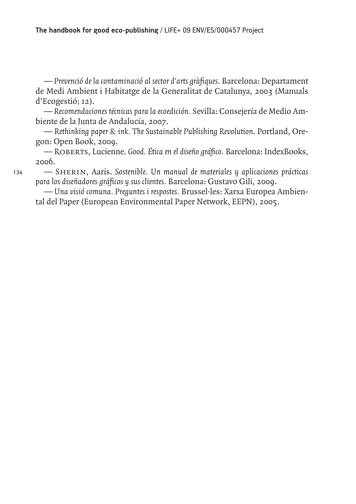— *Prevenció de la contaminació al sector d'arts gràfiques.* Barcelona: Departament de Medi Ambient i Habitatge de la Generalitat de Catalunya, 2003 (Manuals d'Ecogestió; 12).

— *Recomendaciones técnicas para la ecoedición.* Sevilla: Consejería de Medio Ambiente de la Junta de Andalucía, 2007.

— *Rethinking paper & ink. The Sustainable Publishing Revolution*. Portland, Oregon: Open Book, 2009.

— Roberts, Lucienne. *Good. Ética en el diseño gráfico.* Barcelona: IndexBooks, 2006.

— Sherin, Aaris. *Sostenible. Un manual de materiales y aplicaciones prácticas para los diseñadores gráficos y sus clientes.* Barcelona: Gustavo Gili, 2009.

— *Una visió comuna. Preguntes i respostes.* Brussel·les: Xarxa Europea Ambiental del Paper (European Environmental Paper Network, EEPN), 2005.

134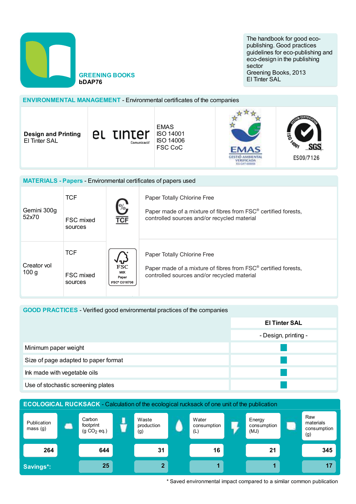

**GREENING BOOKS** bDAP76

The handbook for good ecopublishing. Good practices guidelines for eco-publishing and eco-design in the publishing sector Greening Books, 2013 El Tinter SAL

# **ENVIRONMENTAL MANAGEMENT - Environmental certificates of the companies**

**Design and Printing** El Tinter SAL



**GESTIÓ AMBIENTAL** VERIFICADA **ES-CAT** 

ES09/7126

| <b>MATERIALS - Papers - Environmental certificates of papers used</b> |                                    |                                                                          |                                                                                                                                                          |  |  |  |
|-----------------------------------------------------------------------|------------------------------------|--------------------------------------------------------------------------|----------------------------------------------------------------------------------------------------------------------------------------------------------|--|--|--|
| Gemini 300g<br>52x70                                                  | <b>TCF</b><br>FSC mixed<br>sources | $\frac{6}{\sqrt{100}}$                                                   | Paper Totally Chlorine Free<br>Paper made of a mixture of fibres from FSC <sup>®</sup> certified forests,<br>controlled sources and/or recycled material |  |  |  |
| Creator vol<br>100 <sub>g</sub>                                       | <b>TCF</b><br>FSC mixed<br>sources | $\sqrt{\mathbf{r}}$<br><b>FSC</b><br><b>MIX</b><br>Paper<br>FSC® C016706 | Paper Totally Chlorine Free<br>Paper made of a mixture of fibres from FSC <sup>®</sup> certified forests,<br>controlled sources and/or recycled material |  |  |  |

#### **GOOD PRACTICES** - Verified good environmental practices of the companies

|                                      | <b>El Tinter SAL</b> |
|--------------------------------------|----------------------|
|                                      | - Design, printing - |
| Minimum paper weight                 |                      |
| Size of page adapted to paper format |                      |
| Ink made with vegetable oils         |                      |
| Use of stochastic screening plates   |                      |



\* Saved environmental impact compared to a similar common publication